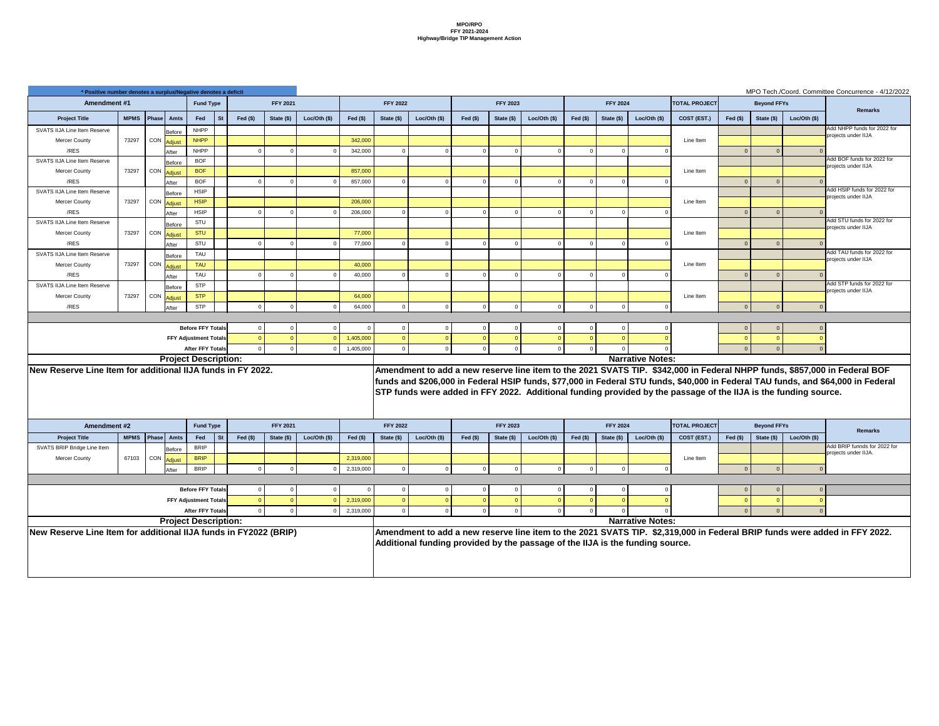|               | $\alpha$ ס משטושט של השוטוסט מ<br><b>Fund Type</b> |           |                             | <b>FFY 2021</b> |               |            | <b>FFY 2022</b> |               |           | <b>FFY 2023</b> |                |                | <b>FFY 2024</b> |                         | <b>TOTAL PROJECT</b>                                                                                            |            | <b>Beyond FFYs</b> |                | <u>INTO TECH TOODIU.</u> COMMITTICE CONCUMENCE - 4/12/2022                                                                       |
|---------------|----------------------------------------------------|-----------|-----------------------------|-----------------|---------------|------------|-----------------|---------------|-----------|-----------------|----------------|----------------|-----------------|-------------------------|-----------------------------------------------------------------------------------------------------------------|------------|--------------------|----------------|----------------------------------------------------------------------------------------------------------------------------------|
|               |                                                    |           |                             |                 |               |            |                 |               |           |                 |                |                |                 |                         |                                                                                                                 |            |                    |                | <b>Remarks</b>                                                                                                                   |
| Amts          | Fed                                                | <b>St</b> | Fed $($)$                   | State $(\$)$    | Loc/Oth $($)$ | Fed $(\$)$ | State (\$)      | Loc/Oth $($)$ | Fed $($)$ | State (\$)      | Loc/Oth $(\$)$ | Fed $(§)$      | State (\$)      | Loc/Oth $(\$)$          | COST (EST.)                                                                                                     | Fed $(§)$  | State (\$)         | Loc/Oth $(\$)$ |                                                                                                                                  |
| Before        | <b>NHPP</b>                                        |           |                             |                 |               |            |                 |               |           |                 |                |                |                 |                         |                                                                                                                 |            |                    |                | Add NHPP funds for 2022 for<br>projects under IIJA                                                                               |
| Adjust        | <b>NHPP</b>                                        |           |                             |                 |               | 342,000    |                 |               |           |                 |                |                |                 |                         | Line Item                                                                                                       |            |                    |                |                                                                                                                                  |
| After         | <b>NHPP</b>                                        |           |                             | $\Omega$        |               | 342,000    |                 |               |           | $\Omega$        |                | $\overline{0}$ |                 |                         |                                                                                                                 |            | $\overline{0}$     |                |                                                                                                                                  |
| Before        | <b>BOF</b>                                         |           |                             |                 |               |            |                 |               |           |                 |                |                |                 |                         |                                                                                                                 |            |                    |                | Add BOF funds for 2022 for<br>projects under IIJA                                                                                |
| Adjust        | <b>BOF</b>                                         |           |                             |                 |               | 857,000    |                 |               |           |                 |                |                |                 |                         | Line Item                                                                                                       |            |                    |                |                                                                                                                                  |
| After         | <b>BOF</b>                                         |           | $\Omega$                    | $\Omega$        |               | 857,000    |                 |               |           | $\Omega$        |                | $\Omega$       |                 |                         |                                                                                                                 |            | $\overline{0}$     |                |                                                                                                                                  |
| Before        | <b>HSIP</b>                                        |           |                             |                 |               |            |                 |               |           |                 |                |                |                 |                         |                                                                                                                 |            |                    |                | Add HSIP funds for 2022 for<br>projects under IIJA                                                                               |
| Adjust        | <b>HSIP</b>                                        |           |                             |                 |               | 206,000    |                 |               |           |                 |                |                |                 |                         | Line Item                                                                                                       |            |                    |                |                                                                                                                                  |
| After         | <b>HSIP</b>                                        |           | $\Omega$                    | $\Omega$        |               | 206,000    |                 |               |           | $\Omega$        |                | - 0            |                 |                         |                                                                                                                 |            | $\Omega$           |                |                                                                                                                                  |
| Before        | STU                                                |           |                             |                 |               |            |                 |               |           |                 |                |                |                 |                         |                                                                                                                 |            |                    |                | Add STU funds for 2022 for<br>projects under IIJA                                                                                |
| Adjust        | <b>STU</b>                                         |           |                             |                 |               | 77,000     |                 |               |           |                 |                |                |                 |                         | Line Item                                                                                                       |            |                    |                |                                                                                                                                  |
| After         | STU                                                |           | $\Omega$                    | $\Omega$        |               | 77,000     |                 |               |           | $\Omega$        |                | $\overline{0}$ |                 |                         |                                                                                                                 |            | $\overline{0}$     |                |                                                                                                                                  |
| Before        | TAU                                                |           |                             |                 |               |            |                 |               |           |                 |                |                |                 |                         |                                                                                                                 |            |                    |                | Add TAU funds for 2022 for<br>projects under IIJA                                                                                |
| Adjust        | <b>TAU</b>                                         |           |                             |                 |               | 40,000     |                 |               |           |                 |                |                |                 |                         | Line Item                                                                                                       |            |                    |                |                                                                                                                                  |
| After         | TAU                                                |           |                             | $\Omega$        |               | 40,000     |                 |               |           | $\Omega$        |                | - 0            |                 |                         |                                                                                                                 |            | $\Omega$           |                |                                                                                                                                  |
| Before        | <b>STP</b>                                         |           |                             |                 |               |            |                 |               |           |                 |                |                |                 |                         |                                                                                                                 |            |                    |                | Add STP funds for 2022 for<br>projects under IIJA                                                                                |
| Adjust        | <b>STP</b>                                         |           |                             |                 |               | 64,000     |                 |               |           |                 |                |                |                 |                         | Line Item                                                                                                       |            |                    |                |                                                                                                                                  |
| After         | <b>STP</b>                                         |           | $\Omega$                    | $\overline{0}$  |               | 64,000     |                 | $\Omega$      |           | $\Omega$        |                | $\overline{0}$ |                 |                         |                                                                                                                 |            | $\Omega$           |                |                                                                                                                                  |
|               |                                                    |           |                             |                 |               |            |                 |               |           |                 |                |                |                 |                         |                                                                                                                 |            |                    |                |                                                                                                                                  |
|               | <b>Before FFY Totals</b>                           |           | $\overline{0}$              | 0               |               |            |                 |               |           |                 |                | $\overline{0}$ |                 |                         |                                                                                                                 |            | $\overline{0}$     |                |                                                                                                                                  |
|               | <b>FFY Adjustment Totals</b>                       |           |                             |                 |               | 1,405,000  |                 |               |           |                 |                |                |                 |                         |                                                                                                                 |            |                    |                |                                                                                                                                  |
|               | <b>After FFY Totals</b>                            |           |                             |                 |               | 1,405,000  |                 |               |           |                 |                |                |                 |                         |                                                                                                                 |            |                    |                |                                                                                                                                  |
|               | roject Description:                                |           |                             |                 |               |            |                 |               |           |                 |                |                |                 | <b>Narrative Notes:</b> |                                                                                                                 |            |                    |                |                                                                                                                                  |
|               |                                                    |           | onal IIJA funds in FY 2022. |                 |               |            |                 |               |           |                 |                |                |                 |                         |                                                                                                                 |            |                    |                | Amendment to add a new reserve line item to the 2021 SVATS TIP.  \$342,000 in Federal NHPP funds, \$857,000 in Federal BOF       |
|               |                                                    |           |                             |                 |               |            |                 |               |           |                 |                |                |                 |                         |                                                                                                                 |            |                    |                | funds and \$206,000 in Federal HSIP funds, \$77,000 in Federal STU funds, \$40,000 in Federal TAU funds, and \$64,000 in Federal |
|               |                                                    |           |                             |                 |               |            |                 |               |           |                 |                |                |                 |                         | STP funds were added in FFY 2022. Additional funding provided by the passage of the IIJA is the funding source. |            |                    |                |                                                                                                                                  |
|               |                                                    |           |                             |                 |               |            |                 |               |           |                 |                |                |                 |                         |                                                                                                                 |            |                    |                |                                                                                                                                  |
|               |                                                    |           |                             |                 |               |            |                 |               |           |                 |                |                |                 |                         |                                                                                                                 |            |                    |                |                                                                                                                                  |
|               | <b>Fund Type</b>                                   |           |                             | <b>FFY 2021</b> |               |            | <b>FFY 2022</b> |               |           | <b>FFY 2023</b> |                |                | <b>FFY 2024</b> |                         | <b>TOTAL PROJECT</b>                                                                                            |            | <b>Beyond FFYs</b> |                | <b>Remarks</b>                                                                                                                   |
| <b>Amts</b>   | Fed                                                | <b>St</b> | Fed $($)$                   | State (\$)      | Loc/Oh (\$)   | Fed $(s)$  | State (\$)      | Loc/Oth $($)$ | Fed $($)$ | State (\$)      | Loc/Oh (\$)    | Fed $($)$      | State (\$)      | Loc/Oth $($)$           | COST (EST.)                                                                                                     | Fed $(\$)$ | State (\$)         | Loc/Oh (       |                                                                                                                                  |
| Before        | <b>BRIP</b>                                        |           |                             |                 |               |            |                 |               |           |                 |                |                |                 |                         |                                                                                                                 |            |                    |                | Add BRIP funnds for 2022 for<br>projects under IIJA.                                                                             |
| <u>Adjust</u> | <b>BRIP</b>                                        |           |                             |                 |               | 2,319,000  |                 |               |           |                 |                |                |                 |                         | Line Item                                                                                                       |            |                    |                |                                                                                                                                  |
| After         | <b>BRIP</b>                                        |           | 0                           | 0               |               | 2,319,000  |                 |               |           |                 |                | $\overline{0}$ |                 |                         |                                                                                                                 |            |                    |                |                                                                                                                                  |

| * Positive number denotes a surplus/Negative denotes a deficit   |       |                     |                         |                              |           |           |                 |                |           |                 |                |           |                 |             |           |                 |                                                                               |                                                                                                                 |                |                    |                | MPO Tech./Coord. Committee Concurrence - 4/12                                                                                   |
|------------------------------------------------------------------|-------|---------------------|-------------------------|------------------------------|-----------|-----------|-----------------|----------------|-----------|-----------------|----------------|-----------|-----------------|-------------|-----------|-----------------|-------------------------------------------------------------------------------|-----------------------------------------------------------------------------------------------------------------|----------------|--------------------|----------------|---------------------------------------------------------------------------------------------------------------------------------|
| <b>Amendment #1</b>                                              |       |                     |                         | <b>Fund Type</b>             |           |           | <b>FFY 2021</b> |                |           | <b>FFY 2022</b> |                |           | <b>FFY 2023</b> |             |           | <b>FFY 2024</b> |                                                                               | <b>TOTAL PROJECT</b>                                                                                            |                | <b>Beyond FFYs</b> |                | <b>Remarks</b>                                                                                                                  |
| <b>Project Title</b>                                             |       | MPMS   Phase        | <b>Amts</b>             | Fed                          | <b>St</b> | Fed $($)$ | State (\$)      | Loc/Oh (\$)    | Fed $(s)$ | State (\$)      | Loc/Oth $(\$)$ | Fed $($)$ | State (\$)      | Loc/Oh (\$) | Fed $($)$ | State (\$)      | Loc/Oth $($)$                                                                 | COST (EST.)                                                                                                     | Fed $(\$)$     | State (\$)         | Loc/Oth $($)$  |                                                                                                                                 |
| <b>SVATS IIJA Line Item Reserve</b>                              |       |                     | Before                  | <b>NHPP</b>                  |           |           |                 |                |           |                 |                |           |                 |             |           |                 |                                                                               |                                                                                                                 |                |                    |                | Add NHPP funds for 2022 fo                                                                                                      |
| <b>Mercer County</b>                                             | 73297 | CON                 | <b>Adjust</b>           | <b>NHPP</b>                  |           |           |                 |                | 342,000   |                 |                |           |                 |             |           |                 |                                                                               | Line Item                                                                                                       |                |                    |                | projects under IIJA                                                                                                             |
| /RES                                                             |       |                     | After                   | <b>NHPP</b>                  |           |           |                 |                | 342,000   |                 |                |           |                 |             | - 0       |                 |                                                                               |                                                                                                                 | $\Omega$       |                    |                |                                                                                                                                 |
| <b>SVATS IIJA Line Item Reserve</b>                              |       |                     | Before                  | <b>BOF</b>                   |           |           |                 |                |           |                 |                |           |                 |             |           |                 |                                                                               |                                                                                                                 |                |                    |                | Add BOF funds for 2022 for<br>projects under IIJA                                                                               |
| <b>Mercer County</b>                                             | 73297 |                     | ∟ CON Adjust            | <b>BOF</b>                   |           |           |                 |                | 857,000   |                 |                |           |                 |             |           |                 |                                                                               | Line Item                                                                                                       |                |                    |                |                                                                                                                                 |
| /RES                                                             |       |                     | After                   | <b>BOF</b>                   |           |           |                 |                | 857,000   |                 |                |           |                 |             |           |                 |                                                                               |                                                                                                                 | $\Omega$       |                    |                |                                                                                                                                 |
| <b>SVATS IIJA Line Item Reserve</b>                              |       |                     | Before                  | <b>HSIP</b>                  |           |           |                 |                |           |                 |                |           |                 |             |           |                 |                                                                               |                                                                                                                 |                |                    |                | Add HSIP funds for 2022 for<br>projects under IIJA                                                                              |
| <b>Mercer County</b>                                             | 73297 | CON                 | <b>Adjust</b>           | <b>HSIP</b>                  |           |           |                 |                | 206,000   |                 |                |           |                 |             |           |                 |                                                                               | Line Item                                                                                                       |                |                    |                |                                                                                                                                 |
| /RES                                                             |       |                     | After                   | <b>HSIP</b>                  |           |           |                 |                | 206,000   |                 |                |           |                 |             |           |                 |                                                                               |                                                                                                                 | $\Omega$       |                    |                | Add STU funds for 2022 for                                                                                                      |
| <b>SVATS IIJA Line Item Reserve</b>                              |       |                     | Before                  | STU                          |           |           |                 |                |           |                 |                |           |                 |             |           |                 |                                                                               |                                                                                                                 |                |                    |                | projects under IIJA                                                                                                             |
| <b>Mercer County</b>                                             | 73297 | CON                 | <b>Adjust</b>           | <b>STU</b>                   |           |           |                 |                | 77,000    |                 |                |           |                 |             |           |                 |                                                                               | Line Item                                                                                                       |                |                    |                |                                                                                                                                 |
| /RES                                                             |       |                     | After                   | STU                          |           |           |                 |                | 77,000    |                 |                |           |                 |             |           |                 |                                                                               |                                                                                                                 | $\Omega$       |                    |                | Add TAU funds for 2022 for                                                                                                      |
| <b>SVATS IIJA Line Item Reserve</b>                              |       |                     | Before                  | TAU                          |           |           |                 |                |           |                 |                |           |                 |             |           |                 |                                                                               |                                                                                                                 |                |                    |                | projects under IIJA                                                                                                             |
| <b>Mercer County</b>                                             | 73297 | CON                 | <b>Adjust</b>           | <b>TAU</b>                   |           |           |                 |                | 40,000    |                 |                |           |                 |             |           |                 |                                                                               | Line Item                                                                                                       |                |                    |                |                                                                                                                                 |
| /RES                                                             |       |                     | After                   | <b>TAU</b>                   |           |           |                 |                | 40,000    |                 |                |           |                 |             |           |                 |                                                                               |                                                                                                                 | $\Omega$       |                    |                | Add STP funds for 2022 for                                                                                                      |
| <b>SVATS IIJA Line Item Reserve</b>                              |       |                     | <b>Before</b>           | <b>STP</b>                   |           |           |                 |                |           |                 |                |           |                 |             |           |                 |                                                                               |                                                                                                                 |                |                    |                | projects under IIJA                                                                                                             |
| <b>Mercer County</b>                                             | 73297 | CON                 | <b>Adjust</b>           | <b>STP</b>                   |           |           |                 |                | 64,000    |                 |                |           |                 |             |           |                 |                                                                               | Line Item                                                                                                       |                |                    |                |                                                                                                                                 |
| /RES                                                             |       |                     | After                   | <b>STP</b>                   |           |           |                 |                | 64,000    |                 |                |           |                 |             |           |                 |                                                                               |                                                                                                                 | $\Omega$       |                    |                |                                                                                                                                 |
|                                                                  |       |                     |                         | <b>Before FFY Totals</b>     |           |           |                 |                |           |                 | $\Omega$       |           |                 |             | $\Omega$  |                 | $\Omega$                                                                      |                                                                                                                 |                |                    |                |                                                                                                                                 |
|                                                                  |       |                     |                         | <b>FFY Adjustment Totals</b> |           |           |                 |                |           |                 |                |           |                 | $\Omega$    |           |                 |                                                                               |                                                                                                                 | $\overline{0}$ |                    | $\overline{0}$ |                                                                                                                                 |
|                                                                  |       |                     |                         | <b>After FFY Totals</b>      |           |           |                 |                | 1,405,000 |                 |                |           |                 |             |           |                 |                                                                               |                                                                                                                 |                |                    |                |                                                                                                                                 |
|                                                                  |       |                     |                         | <b>Project Description:</b>  |           |           |                 |                | 1,405,000 |                 |                |           |                 |             |           |                 | <b>Narrative Notes:</b>                                                       |                                                                                                                 |                |                    |                |                                                                                                                                 |
| New Reserve Line Item for additional IIJA funds in FY 2022.      |       |                     |                         |                              |           |           |                 |                |           |                 |                |           |                 |             |           |                 |                                                                               |                                                                                                                 |                |                    |                |                                                                                                                                 |
|                                                                  |       |                     |                         |                              |           |           |                 |                |           |                 |                |           |                 |             |           |                 |                                                                               |                                                                                                                 |                |                    |                | Amendment to add a new reserve line item to the 2021 SVATS TIP. \$342,000 in Federal NHPP funds, \$857,000 in Federal BOF       |
|                                                                  |       |                     |                         |                              |           |           |                 |                |           |                 |                |           |                 |             |           |                 |                                                                               |                                                                                                                 |                |                    |                | funds and \$206,000 in Federal HSIP funds, \$77,000 in Federal STU funds, \$40,000 in Federal TAU funds, and \$64,000 in Federa |
|                                                                  |       |                     |                         |                              |           |           |                 |                |           |                 |                |           |                 |             |           |                 |                                                                               | STP funds were added in FFY 2022. Additional funding provided by the passage of the IIJA is the funding source. |                |                    |                |                                                                                                                                 |
|                                                                  |       |                     |                         |                              |           |           |                 |                |           |                 |                |           |                 |             |           |                 |                                                                               |                                                                                                                 |                |                    |                |                                                                                                                                 |
| <b>Amendment #2</b>                                              |       |                     |                         | <b>Fund Type</b>             |           |           | <b>FFY 2021</b> |                |           | <b>FFY 2022</b> |                |           | <b>FFY 2023</b> |             |           | <b>FFY 2024</b> |                                                                               | <b>TOTAL PROJECT</b>                                                                                            |                | <b>Beyond FFYs</b> |                |                                                                                                                                 |
| <b>Project Title</b>                                             |       | MPMS   Phase   Amts |                         | Fed St                       |           | Fed $($)$ | State (\$)      | Loc/Oth $(\$)$ | Fed $($)$ | State (\$)      | Loc/Oth $(\$)$ | Fed $($)$ | State (\$)      | Loc/Oh (\$) | Fed $($)$ | State (\$)      | Loc/Oth $(\$)$                                                                | COST (EST.)                                                                                                     | Fed $($)$      | State (\$)         | Loc/Oth $(\$)$ | <b>Remarks</b>                                                                                                                  |
| SVATS BRIP Bridge Line Item                                      |       |                     | Before                  | <b>BRIP</b>                  |           |           |                 |                |           |                 |                |           |                 |             |           |                 |                                                                               |                                                                                                                 |                |                    |                | Add BRIP funnds for 2022 f                                                                                                      |
| <b>Mercer County</b>                                             | 67103 |                     | <sub>I</sub> CON Adjust | <b>BRIP</b>                  |           |           |                 |                | 2,319,000 |                 |                |           |                 |             |           |                 |                                                                               | Line Item                                                                                                       |                |                    |                | projects under IIJA.                                                                                                            |
|                                                                  |       |                     | After                   | <b>BRIP</b>                  |           |           |                 |                | 2,319,000 |                 |                |           |                 |             |           |                 |                                                                               |                                                                                                                 |                |                    |                |                                                                                                                                 |
|                                                                  |       |                     |                         |                              |           |           |                 |                |           |                 |                |           |                 |             |           |                 |                                                                               |                                                                                                                 |                |                    |                |                                                                                                                                 |
|                                                                  |       |                     |                         | <b>Before FFY Totals</b>     |           |           |                 |                |           |                 |                |           |                 |             |           |                 |                                                                               |                                                                                                                 |                |                    |                |                                                                                                                                 |
|                                                                  |       |                     |                         | <b>FFY Adjustment Totals</b> |           |           |                 |                | 2,319,000 |                 |                |           |                 |             |           |                 |                                                                               |                                                                                                                 |                |                    |                |                                                                                                                                 |
|                                                                  |       |                     |                         | <b>After FFY Totals</b>      |           |           |                 |                | 2,319,000 |                 |                |           |                 |             |           |                 |                                                                               |                                                                                                                 |                |                    |                |                                                                                                                                 |
|                                                                  |       |                     |                         | <b>Project Description:</b>  |           |           |                 |                |           |                 |                |           |                 |             |           |                 | <b>Narrative Notes:</b>                                                       |                                                                                                                 |                |                    |                |                                                                                                                                 |
| New Reserve Line Item for additional IIJA funds in FY2022 (BRIP) |       |                     |                         |                              |           |           |                 |                |           |                 |                |           |                 |             |           |                 |                                                                               |                                                                                                                 |                |                    |                | Amendment to add a new reserve line item to the 2021 SVATS TIP. \$2,319,000 in Federal BRIP funds were added in FFY 2022.       |
|                                                                  |       |                     |                         |                              |           |           |                 |                |           |                 |                |           |                 |             |           |                 | Additional funding provided by the passage of the IIJA is the funding source. |                                                                                                                 |                |                    |                |                                                                                                                                 |
|                                                                  |       |                     |                         |                              |           |           |                 |                |           |                 |                |           |                 |             |           |                 |                                                                               |                                                                                                                 |                |                    |                |                                                                                                                                 |
|                                                                  |       |                     |                         |                              |           |           |                 |                |           |                 |                |           |                 |             |           |                 |                                                                               |                                                                                                                 |                |                    |                |                                                                                                                                 |
|                                                                  |       |                     |                         |                              |           |           |                 |                |           |                 |                |           |                 |             |           |                 |                                                                               |                                                                                                                 |                |                    |                |                                                                                                                                 |

MPO Tech./Coord. Committee Concurrence - 4/12/2022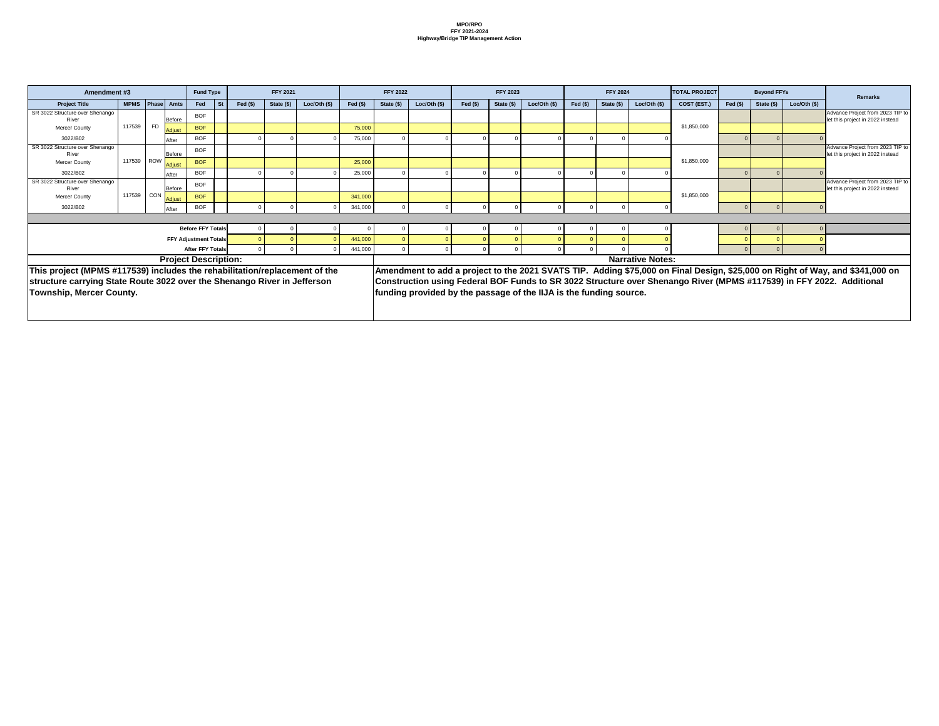| <b>FFY 2021</b> |                           |             | <b>FFY 2022</b> |                                                                    |           | <b>FFY 2023</b> |              |              | <b>FFY 2024</b> |                         | <b>TOTAL PROJECT</b> |           | <b>Beyond FFYs</b> |             | <b>Remarks</b>                                                                                                                |
|-----------------|---------------------------|-------------|-----------------|--------------------------------------------------------------------|-----------|-----------------|--------------|--------------|-----------------|-------------------------|----------------------|-----------|--------------------|-------------|-------------------------------------------------------------------------------------------------------------------------------|
| State (\$)      | Loc/Oh (\$)               | Fed $($)$   | State (\$)      | Loc/Oh (\$)                                                        | Fed $($)$ | State (\$)      | Loc/Oth (\$) | Fed $($)$    | State (\$)      | Loc/Oh (\$)             | COST (EST.)          | Fed $(s)$ | State (\$)         | Loc/Oh (\$) |                                                                                                                               |
|                 |                           |             |                 |                                                                    |           |                 |              |              |                 |                         |                      |           |                    |             | Advance Project from 2023 TIP to<br>let this project in 2022 instead                                                          |
|                 |                           | 75,000      |                 |                                                                    |           |                 |              |              |                 |                         | \$1,850,000          |           |                    |             |                                                                                                                               |
| $\Omega$        |                           | 75,000      | 0               |                                                                    |           |                 |              | $\Omega$     |                 |                         |                      |           |                    |             |                                                                                                                               |
|                 |                           |             |                 |                                                                    |           |                 |              |              |                 |                         |                      |           |                    |             | Advance Project from 2023 TIP to<br>let this project in 2022 instead                                                          |
|                 |                           | 25,000      |                 |                                                                    |           |                 |              |              |                 |                         | \$1,850,000          |           |                    |             |                                                                                                                               |
|                 |                           | 25,000      | 0               |                                                                    |           |                 |              | $\Omega$     |                 |                         |                      |           |                    |             |                                                                                                                               |
|                 |                           |             |                 |                                                                    |           |                 |              |              |                 |                         |                      |           |                    |             | Advance Project from 2023 TIP to<br>let this project in 2022 instead                                                          |
|                 |                           | 341,000     |                 |                                                                    |           |                 |              |              |                 |                         | \$1,850,000          |           |                    |             |                                                                                                                               |
|                 |                           | 341,000     | 0               |                                                                    |           |                 |              | $\Omega$     |                 |                         |                      |           |                    |             |                                                                                                                               |
|                 |                           |             |                 |                                                                    |           |                 |              |              |                 |                         |                      |           |                    |             |                                                                                                                               |
|                 |                           | $\mathbf 0$ | 0               |                                                                    |           |                 |              | $\mathbf{0}$ |                 |                         |                      |           | $\Omega$           | $\mathbf 0$ |                                                                                                                               |
|                 |                           | 441,000     | $\Omega$        |                                                                    |           |                 |              |              |                 |                         |                      |           |                    |             |                                                                                                                               |
| $\overline{0}$  |                           | 441,000     | $\mathbf 0$     |                                                                    |           | 0               |              | $\mathbf 0$  |                 |                         |                      |           | $\Omega$           |             |                                                                                                                               |
|                 |                           |             |                 |                                                                    |           |                 |              |              |                 | <b>Narrative Notes:</b> |                      |           |                    |             |                                                                                                                               |
|                 | /replacement of the       |             |                 |                                                                    |           |                 |              |              |                 |                         |                      |           |                    |             | Amendment to add a project to the 2021 SVATS TIP. Adding \$75,000 on Final Design, \$25,000 on Right of Way, and \$341,000 on |
|                 | <b>River in Jefferson</b> |             |                 |                                                                    |           |                 |              |              |                 |                         |                      |           |                    |             | Construction using Federal BOF Funds to SR 3022 Structure over Shenango River (MPMS #117539) in FFY 2022. Additional          |
|                 |                           |             |                 | funding provided by the passage of the IIJA is the funding source. |           |                 |              |              |                 |                         |                      |           |                    |             |                                                                                                                               |

| Amendment #3                                                               |             |       |               | <b>Fund Type</b>             |           |           | <b>FFY 2021</b> |              |           | <b>FFY 2022</b> |                                                                    |           | <b>FFY 2023</b> |               |           | <b>FFY 2024</b> |                         | <b>TOTAL PROJECT</b>                                                                                        |           | <b>Beyond FFYs</b> |                |
|----------------------------------------------------------------------------|-------------|-------|---------------|------------------------------|-----------|-----------|-----------------|--------------|-----------|-----------------|--------------------------------------------------------------------|-----------|-----------------|---------------|-----------|-----------------|-------------------------|-------------------------------------------------------------------------------------------------------------|-----------|--------------------|----------------|
| <b>Project Title</b>                                                       | <b>MPMS</b> | Phase | <b>Amts</b>   | Fed                          | <b>St</b> | Fed $(s)$ | State (\$)      | Loc/Oth (\$) | Fed $(s)$ | State (\$)      | Loc/Oth $($ \$)                                                    | Fed $($)$ | State (\$)      | Loc/Oth $($)$ | Fed $($)$ | State (\$)      | Loc/Oth (\$)            | COST (EST.)                                                                                                 | Fed $(s)$ | State (\$)         | Loc/Oth $(\$)$ |
| SR 3022 Structure over Shenango<br>River                                   |             |       | Before        | <b>BOF</b>                   |           |           |                 |              |           |                 |                                                                    |           |                 |               |           |                 |                         |                                                                                                             |           |                    |                |
| <b>Mercer County</b>                                                       | 117539      | FD    | Adjust        | <b>BOF</b>                   |           |           |                 |              | 75,000    |                 |                                                                    |           |                 |               |           |                 |                         | \$1,850,000                                                                                                 |           |                    |                |
| 3022/B02                                                                   |             |       | After         | <b>BOF</b>                   |           |           |                 |              | 75,000    |                 |                                                                    |           |                 |               |           |                 |                         |                                                                                                             | $\Omega$  |                    |                |
| SR 3022 Structure over Shenango<br>River                                   |             |       | Before        | <b>BOF</b>                   |           |           |                 |              |           |                 |                                                                    |           |                 |               |           |                 |                         |                                                                                                             |           |                    |                |
| <b>Mercer County</b>                                                       | 117539 ROW  |       | Adjust        | <b>BOF</b>                   |           |           |                 |              | 25,000    |                 |                                                                    |           |                 |               |           |                 |                         | \$1,850,000                                                                                                 |           |                    |                |
| 3022/B02                                                                   |             |       | After         | <b>BOF</b>                   |           |           |                 |              | 25,000    |                 |                                                                    |           |                 |               |           |                 |                         |                                                                                                             |           |                    |                |
| SR 3022 Structure over Shenango<br>River                                   |             |       | <b>Before</b> | <b>BOF</b>                   |           |           |                 |              |           |                 |                                                                    |           |                 |               |           |                 |                         |                                                                                                             |           |                    |                |
| <b>Mercer County</b>                                                       | 117539      | CON   | Adjust        | <b>BOF</b>                   |           |           |                 |              | 341,000   |                 |                                                                    |           |                 |               |           |                 |                         | \$1,850,000                                                                                                 |           |                    |                |
| 3022/B02                                                                   |             |       | After         | <b>BOF</b>                   |           |           |                 |              | 341,000   |                 |                                                                    |           |                 |               |           |                 | - 0                     |                                                                                                             | $\Omega$  |                    |                |
|                                                                            |             |       |               |                              |           |           |                 |              |           |                 |                                                                    |           |                 |               |           |                 |                         |                                                                                                             |           |                    |                |
|                                                                            |             |       |               | <b>Before FFY Totals</b>     |           |           |                 |              |           |                 |                                                                    |           |                 |               |           |                 |                         |                                                                                                             |           |                    |                |
|                                                                            |             |       |               | <b>FFY Adjustment Totals</b> |           |           |                 |              | 441,000   |                 |                                                                    |           |                 |               |           |                 |                         |                                                                                                             |           |                    |                |
|                                                                            |             |       |               | <b>After FFY Totals</b>      |           |           |                 |              | 441,000   | $\Omega$        |                                                                    |           |                 |               |           |                 |                         |                                                                                                             |           |                    |                |
|                                                                            |             |       |               | <b>Project Description:</b>  |           |           |                 |              |           |                 |                                                                    |           |                 |               |           |                 | <b>Narrative Notes:</b> |                                                                                                             |           |                    |                |
| This project (MPMS #117539) includes the rehabilitation/replacement of the |             |       |               |                              |           |           |                 |              |           |                 |                                                                    |           |                 |               |           |                 |                         | Amendment to add a project to the 2021 SVATS TIP.  Adding \$75,000 on Final Design, \$25,000 on Right of Wa |           |                    |                |
| structure carrying State Route 3022 over the Shenango River in Jefferson   |             |       |               |                              |           |           |                 |              |           |                 |                                                                    |           |                 |               |           |                 |                         | Construction using Federal BOF Funds to SR 3022 Structure over Shenango River (MPMS #117539) in FFY 20      |           |                    |                |
| <b>Township, Mercer County.</b>                                            |             |       |               |                              |           |           |                 |              |           |                 | funding provided by the passage of the IIJA is the funding source. |           |                 |               |           |                 |                         |                                                                                                             |           |                    |                |
|                                                                            |             |       |               |                              |           |           |                 |              |           |                 |                                                                    |           |                 |               |           |                 |                         |                                                                                                             |           |                    |                |
|                                                                            |             |       |               |                              |           |           |                 |              |           |                 |                                                                    |           |                 |               |           |                 |                         |                                                                                                             |           |                    |                |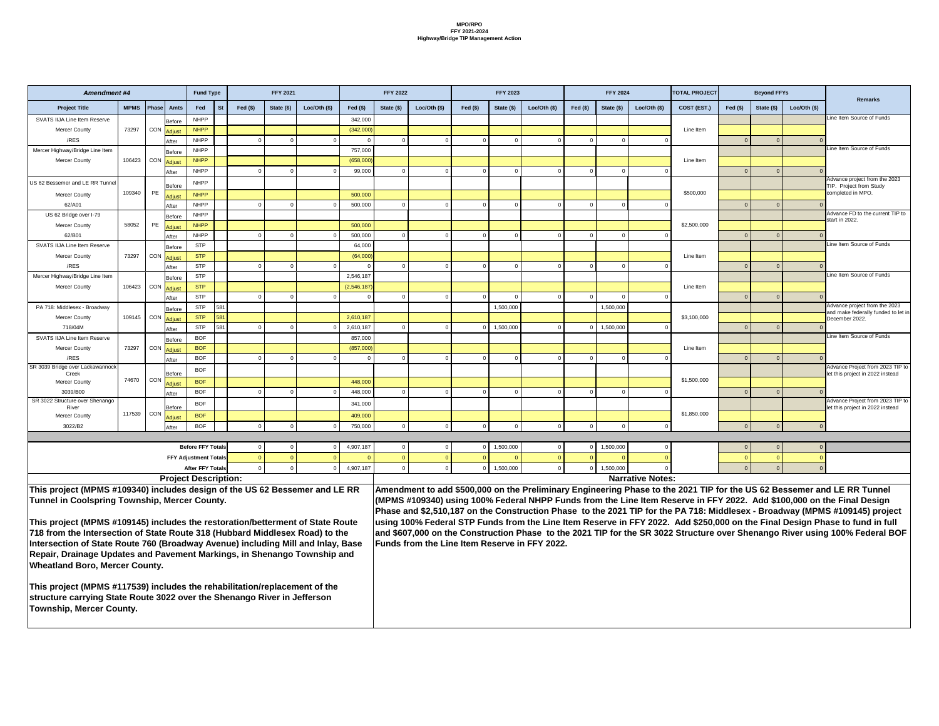| <b>Amendment #4</b>                                                                                                                                                                                                                                                                                                                                                                                                                                                                                                                                                                          |             |                    |                        | <b>Fund Type</b>             |            |           | <b>FFY 2021</b> |                |                     | <b>FFY 2022</b> |              |           | <b>FFY 2023</b> |                                               |           | <b>FFY 2024</b> |                         | <b>TOTAL PROJECT</b> |           | <b>Beyond FFYs</b> |               |                                                                                                                                                                                                                                                                                                                                                                                                                                                                                                                                                                                                                                                  |
|----------------------------------------------------------------------------------------------------------------------------------------------------------------------------------------------------------------------------------------------------------------------------------------------------------------------------------------------------------------------------------------------------------------------------------------------------------------------------------------------------------------------------------------------------------------------------------------------|-------------|--------------------|------------------------|------------------------------|------------|-----------|-----------------|----------------|---------------------|-----------------|--------------|-----------|-----------------|-----------------------------------------------|-----------|-----------------|-------------------------|----------------------|-----------|--------------------|---------------|--------------------------------------------------------------------------------------------------------------------------------------------------------------------------------------------------------------------------------------------------------------------------------------------------------------------------------------------------------------------------------------------------------------------------------------------------------------------------------------------------------------------------------------------------------------------------------------------------------------------------------------------------|
| <b>Project Title</b>                                                                                                                                                                                                                                                                                                                                                                                                                                                                                                                                                                         | <b>MPMS</b> | Phase <sup>r</sup> | Amts                   | Fed                          | <b>St</b>  | Fed $($)$ | State (\$)      | Loc/Oth $(\$)$ | Fed $(\$)$          | State (\$)      | Loc/Oth (\$) | Fed $(s)$ | State (\$)      | Loc/Oth (\$)                                  | Fed $($)$ | State (\$)      | Loc/Oth $($)$           | COST (EST.)          | Fed $($)$ | State (\$)         | Loc/Oth $($)$ | <b>Remarks</b>                                                                                                                                                                                                                                                                                                                                                                                                                                                                                                                                                                                                                                   |
| <b>SVATS IIJA Line Item Reserve</b>                                                                                                                                                                                                                                                                                                                                                                                                                                                                                                                                                          |             |                    | Before                 | <b>NHPP</b>                  |            |           |                 |                | 342,000             |                 |              |           |                 |                                               |           |                 |                         |                      |           |                    |               | Line Item Source of Funds                                                                                                                                                                                                                                                                                                                                                                                                                                                                                                                                                                                                                        |
| <b>Mercer County</b>                                                                                                                                                                                                                                                                                                                                                                                                                                                                                                                                                                         | 73297       | CON                | Adjust                 | <b>NHPP</b>                  |            |           |                 |                | (342,000)           |                 |              |           |                 |                                               |           |                 |                         | Line Item            |           |                    |               |                                                                                                                                                                                                                                                                                                                                                                                                                                                                                                                                                                                                                                                  |
| /RES                                                                                                                                                                                                                                                                                                                                                                                                                                                                                                                                                                                         |             |                    | After                  | <b>NHPP</b>                  |            |           |                 |                |                     |                 |              |           |                 |                                               |           |                 |                         |                      |           |                    |               | Line Item Source of Funds                                                                                                                                                                                                                                                                                                                                                                                                                                                                                                                                                                                                                        |
| Mercer Highway/Bridge Line Item                                                                                                                                                                                                                                                                                                                                                                                                                                                                                                                                                              | 106423      | CON                | <b>Before</b>          | <b>NHPP</b><br><b>NHPP</b>   |            |           |                 |                | 757,000             |                 |              |           |                 |                                               |           |                 |                         | Line Item            |           |                    |               |                                                                                                                                                                                                                                                                                                                                                                                                                                                                                                                                                                                                                                                  |
| <b>Mercer County</b>                                                                                                                                                                                                                                                                                                                                                                                                                                                                                                                                                                         |             |                    | <b>Adjust</b><br>After | <b>NHPP</b>                  |            |           |                 |                | (658,000)<br>99,000 |                 |              |           |                 |                                               |           |                 |                         |                      |           |                    |               |                                                                                                                                                                                                                                                                                                                                                                                                                                                                                                                                                                                                                                                  |
| US 62 Bessemer and LE RR Tunnel                                                                                                                                                                                                                                                                                                                                                                                                                                                                                                                                                              |             |                    |                        | <b>NHPP</b>                  |            |           |                 |                |                     |                 |              |           |                 |                                               |           |                 |                         |                      |           |                    |               | Advance project from the 2023                                                                                                                                                                                                                                                                                                                                                                                                                                                                                                                                                                                                                    |
| <b>Mercer County</b>                                                                                                                                                                                                                                                                                                                                                                                                                                                                                                                                                                         | 109340      | PE                 | Before                 | <b>NHPP</b>                  |            |           |                 |                | 500,000             |                 |              |           |                 |                                               |           |                 |                         | \$500,000            |           |                    |               | TIP. Project from Study<br>completed in MPO                                                                                                                                                                                                                                                                                                                                                                                                                                                                                                                                                                                                      |
| 62/A01                                                                                                                                                                                                                                                                                                                                                                                                                                                                                                                                                                                       |             |                    | <b>Adjust</b><br>After | <b>NHPP</b>                  |            |           |                 |                | 500,000             |                 |              |           |                 |                                               |           |                 |                         |                      |           |                    |               |                                                                                                                                                                                                                                                                                                                                                                                                                                                                                                                                                                                                                                                  |
| US 62 Bridge over I-79                                                                                                                                                                                                                                                                                                                                                                                                                                                                                                                                                                       |             |                    | Before                 | <b>NHPP</b>                  |            |           |                 |                |                     |                 |              |           |                 |                                               |           |                 |                         |                      |           |                    |               | Advance FD to the current TIP to                                                                                                                                                                                                                                                                                                                                                                                                                                                                                                                                                                                                                 |
| <b>Mercer County</b>                                                                                                                                                                                                                                                                                                                                                                                                                                                                                                                                                                         | 58052       | PE                 | <b>Adjust</b>          | <b>NHPP</b>                  |            |           |                 |                | 500,000             |                 |              |           |                 |                                               |           |                 |                         | \$2,500,000          |           |                    |               | start in 2022.                                                                                                                                                                                                                                                                                                                                                                                                                                                                                                                                                                                                                                   |
| 62/B01                                                                                                                                                                                                                                                                                                                                                                                                                                                                                                                                                                                       |             |                    | After                  | <b>NHPP</b>                  |            |           |                 |                | 500,000             |                 |              |           |                 |                                               |           |                 |                         |                      |           |                    |               |                                                                                                                                                                                                                                                                                                                                                                                                                                                                                                                                                                                                                                                  |
| <b>SVATS IIJA Line Item Reserve</b>                                                                                                                                                                                                                                                                                                                                                                                                                                                                                                                                                          |             |                    | <b>Before</b>          | <b>STP</b>                   |            |           |                 |                | 64,000              |                 |              |           |                 |                                               |           |                 |                         |                      |           |                    |               | Line Item Source of Funds                                                                                                                                                                                                                                                                                                                                                                                                                                                                                                                                                                                                                        |
| <b>Mercer County</b>                                                                                                                                                                                                                                                                                                                                                                                                                                                                                                                                                                         | 73297       | CON                | <b>Adjust</b>          | <b>STP</b>                   |            |           |                 |                | (64,000)            |                 |              |           |                 |                                               |           |                 |                         | Line Item            |           |                    |               |                                                                                                                                                                                                                                                                                                                                                                                                                                                                                                                                                                                                                                                  |
| /RES                                                                                                                                                                                                                                                                                                                                                                                                                                                                                                                                                                                         |             |                    | After                  | <b>STP</b>                   |            |           |                 |                |                     |                 |              |           |                 |                                               |           |                 |                         |                      |           |                    |               |                                                                                                                                                                                                                                                                                                                                                                                                                                                                                                                                                                                                                                                  |
| Mercer Highway/Bridge Line Item                                                                                                                                                                                                                                                                                                                                                                                                                                                                                                                                                              |             |                    | Before                 | <b>STP</b>                   |            |           |                 |                | 2,546,187           |                 |              |           |                 |                                               |           |                 |                         |                      |           |                    |               | Line Item Source of Funds                                                                                                                                                                                                                                                                                                                                                                                                                                                                                                                                                                                                                        |
| <b>Mercer County</b>                                                                                                                                                                                                                                                                                                                                                                                                                                                                                                                                                                         | 106423      | CON                | <b>Adjust</b>          | <b>STP</b>                   |            |           |                 |                | (2,546,187)         |                 |              |           |                 |                                               |           |                 |                         | Line Item            |           |                    |               |                                                                                                                                                                                                                                                                                                                                                                                                                                                                                                                                                                                                                                                  |
|                                                                                                                                                                                                                                                                                                                                                                                                                                                                                                                                                                                              |             |                    | After                  | <b>STP</b>                   |            |           |                 |                |                     |                 |              |           |                 |                                               |           |                 |                         |                      |           |                    |               | Advance project from the 2023                                                                                                                                                                                                                                                                                                                                                                                                                                                                                                                                                                                                                    |
| PA 718: Middlesex - Broadway<br><b>Mercer County</b>                                                                                                                                                                                                                                                                                                                                                                                                                                                                                                                                         | 109145      | CON                | <b>Before</b>          | <b>STP</b><br><b>STP</b>     | 581<br>581 |           |                 |                | 2,610,187           |                 |              |           | 1,500,000       |                                               |           | 1,500,000       |                         | \$3,100,000          |           |                    |               | and make federally funded to let in                                                                                                                                                                                                                                                                                                                                                                                                                                                                                                                                                                                                              |
| 718/04M                                                                                                                                                                                                                                                                                                                                                                                                                                                                                                                                                                                      |             |                    | <b>Adjust</b><br>After | <b>STP</b>                   | 581        | $\Omega$  |                 |                | 2,610,187           |                 |              | $\Omega$  | 1,500,000       |                                               |           | 1,500,000       |                         |                      | $\Omega$  | $\Omega$           | $\Omega$      | December 2022.                                                                                                                                                                                                                                                                                                                                                                                                                                                                                                                                                                                                                                   |
| <b>SVATS IIJA Line Item Reserve</b>                                                                                                                                                                                                                                                                                                                                                                                                                                                                                                                                                          |             |                    | Before                 | <b>BOF</b>                   |            |           |                 |                | 857,000             |                 |              |           |                 |                                               |           |                 |                         |                      |           |                    |               | Line Item Source of Funds                                                                                                                                                                                                                                                                                                                                                                                                                                                                                                                                                                                                                        |
| <b>Mercer County</b>                                                                                                                                                                                                                                                                                                                                                                                                                                                                                                                                                                         | 73297       | CON                | <b>Adjust</b>          | <b>BOF</b>                   |            |           |                 |                | (857,000)           |                 |              |           |                 |                                               |           |                 |                         | Line Item            |           |                    |               |                                                                                                                                                                                                                                                                                                                                                                                                                                                                                                                                                                                                                                                  |
| /RES                                                                                                                                                                                                                                                                                                                                                                                                                                                                                                                                                                                         |             |                    | After                  | <b>BOF</b>                   |            |           |                 |                |                     |                 |              |           |                 |                                               |           |                 |                         |                      |           |                    |               |                                                                                                                                                                                                                                                                                                                                                                                                                                                                                                                                                                                                                                                  |
| SR 3039 Bridge over Lackawannock<br>Creek                                                                                                                                                                                                                                                                                                                                                                                                                                                                                                                                                    |             |                    | <b>Before</b>          | <b>BOF</b>                   |            |           |                 |                |                     |                 |              |           |                 |                                               |           |                 |                         |                      |           |                    |               | Advance Project from 2023 TIP to<br>let this project in 2022 instead                                                                                                                                                                                                                                                                                                                                                                                                                                                                                                                                                                             |
| <b>Mercer County</b>                                                                                                                                                                                                                                                                                                                                                                                                                                                                                                                                                                         | 74670       | CON                | <b>Adjust</b>          | <b>BOF</b>                   |            |           |                 |                | 448,000             |                 |              |           |                 |                                               |           |                 |                         | \$1,500,000          |           |                    |               |                                                                                                                                                                                                                                                                                                                                                                                                                                                                                                                                                                                                                                                  |
| 3039/B00                                                                                                                                                                                                                                                                                                                                                                                                                                                                                                                                                                                     |             |                    | After                  | <b>BOF</b>                   |            |           |                 |                | 448,000             |                 |              |           |                 |                                               |           |                 |                         |                      |           |                    |               |                                                                                                                                                                                                                                                                                                                                                                                                                                                                                                                                                                                                                                                  |
| SR 3022 Structure over Shenango<br>River                                                                                                                                                                                                                                                                                                                                                                                                                                                                                                                                                     |             |                    | Before                 | <b>BOF</b>                   |            |           |                 |                | 341,000             |                 |              |           |                 |                                               |           |                 |                         |                      |           |                    |               | Advance Project from 2023 TIP to<br>let this project in 2022 instead                                                                                                                                                                                                                                                                                                                                                                                                                                                                                                                                                                             |
| <b>Mercer County</b>                                                                                                                                                                                                                                                                                                                                                                                                                                                                                                                                                                         | 117539 CON  |                    | Adjust                 | <b>BOF</b>                   |            |           |                 |                | 409,000             |                 |              |           |                 |                                               |           |                 |                         | \$1,850,000          |           |                    |               |                                                                                                                                                                                                                                                                                                                                                                                                                                                                                                                                                                                                                                                  |
| 3022/B2                                                                                                                                                                                                                                                                                                                                                                                                                                                                                                                                                                                      |             |                    | After                  | <b>BOF</b>                   |            |           |                 |                | 750,000             |                 |              |           |                 |                                               |           |                 |                         |                      |           |                    |               |                                                                                                                                                                                                                                                                                                                                                                                                                                                                                                                                                                                                                                                  |
|                                                                                                                                                                                                                                                                                                                                                                                                                                                                                                                                                                                              |             |                    |                        |                              |            |           |                 |                |                     |                 |              |           |                 |                                               |           |                 |                         |                      |           |                    |               |                                                                                                                                                                                                                                                                                                                                                                                                                                                                                                                                                                                                                                                  |
|                                                                                                                                                                                                                                                                                                                                                                                                                                                                                                                                                                                              |             |                    |                        | <b>Before FFY Totals</b>     |            |           |                 |                | 4,907,187           |                 |              |           | 1,500,000       |                                               |           | 1,500,000       |                         |                      |           |                    |               |                                                                                                                                                                                                                                                                                                                                                                                                                                                                                                                                                                                                                                                  |
|                                                                                                                                                                                                                                                                                                                                                                                                                                                                                                                                                                                              |             |                    |                        | <b>FFY Adjustment Totals</b> |            |           |                 |                |                     |                 |              |           |                 |                                               |           |                 |                         |                      |           |                    |               |                                                                                                                                                                                                                                                                                                                                                                                                                                                                                                                                                                                                                                                  |
|                                                                                                                                                                                                                                                                                                                                                                                                                                                                                                                                                                                              |             |                    |                        | <b>After FFY Totals</b>      |            |           |                 |                | 4,907,187           |                 |              |           | 1,500,000       |                                               |           | ,500,000        |                         |                      |           |                    |               |                                                                                                                                                                                                                                                                                                                                                                                                                                                                                                                                                                                                                                                  |
|                                                                                                                                                                                                                                                                                                                                                                                                                                                                                                                                                                                              |             |                    |                        | <b>Project Description:</b>  |            |           |                 |                |                     |                 |              |           |                 |                                               |           |                 | <b>Narrative Notes:</b> |                      |           |                    |               |                                                                                                                                                                                                                                                                                                                                                                                                                                                                                                                                                                                                                                                  |
| This project (MPMS #109340) includes design of the US 62 Bessemer and LE RR<br><b>Tunnel in Coolspring Township, Mercer County.</b><br>This project (MPMS #109145) includes the restoration/betterment of State Route<br>718 from the Intersection of State Route 318 (Hubbard Middlesex Road) to the<br>Intersection of State Route 760 (Broadway Avenue) including Mill and Inlay, Base<br>Repair, Drainage Updates and Pavement Markings, in Shenango Township and<br><b>Wheatland Boro, Mercer County.</b><br>This project (MPMS #117539) includes the rehabilitation/replacement of the |             |                    |                        |                              |            |           |                 |                |                     |                 |              |           |                 | Funds from the Line Item Reserve in FFY 2022. |           |                 |                         |                      |           |                    |               | Amendment to add \$500,000 on the Preliminary Engineering Phase to the 2021 TIP for the US 62 Bessemer and LE RR Tunnel<br>(MPMS #109340) using 100% Federal NHPP Funds from the Line Item Reserve in FFY 2022. Add \$100,000 on the Final Design<br>Phase and \$2,510,187 on the Construction Phase to the 2021 TIP for the PA 718: Middlesex - Broadway (MPMS #109145) project<br>using 100% Federal STP Funds from the Line Item Reserve in FFY 2022. Add \$250,000 on the Final Design Phase to fund in full<br>and \$607,000 on the Construction Phase to the 2021 TIP for the SR 3022 Structure over Shenango River using 100% Federal BOF |
| structure carrying State Route 3022 over the Shenango River in Jefferson<br><b>Township, Mercer County.</b>                                                                                                                                                                                                                                                                                                                                                                                                                                                                                  |             |                    |                        |                              |            |           |                 |                |                     |                 |              |           |                 |                                               |           |                 |                         |                      |           |                    |               |                                                                                                                                                                                                                                                                                                                                                                                                                                                                                                                                                                                                                                                  |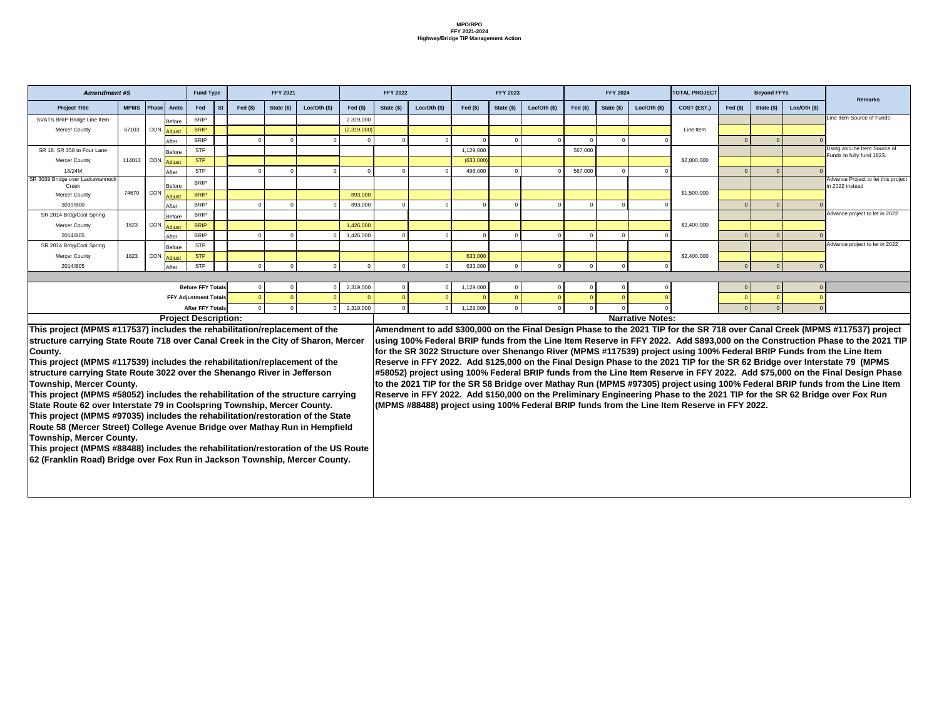|               | <b>Fund Type</b>             |           |                | <b>FFY 2021</b> |             |             | <b>FFY 2022</b> |               |           | <b>FFY 2023</b> |               |                | <b>FFY 2024</b> |                         | <b>TOTAL PROJECT</b> |                | <b>Beyond FFYs</b> |                |                                                           |
|---------------|------------------------------|-----------|----------------|-----------------|-------------|-------------|-----------------|---------------|-----------|-----------------|---------------|----------------|-----------------|-------------------------|----------------------|----------------|--------------------|----------------|-----------------------------------------------------------|
| <b>Amts</b>   | Fed                          | <b>St</b> | Fed $($)$      | State (\$)      | Loc/Oh (\$) | Fed $(s)$   | State (\$)      | Loc/Oth $($)$ | Fed $($)$ | State (\$)      | Loc/Oth $($)$ | Fed $($)$      | State (\$)      | Loc/Oth (\$)            | COST (EST.)          | Fed $($)$      | State (\$)         | Loc/Oth $(\$)$ | <b>Remarks</b>                                            |
| Before        | <b>BRIP</b>                  |           |                |                 |             | 2,319,000   |                 |               |           |                 |               |                |                 |                         |                      |                |                    |                | Line Item Source of Funds                                 |
| <b>Adjust</b> | <b>BRIP</b>                  |           |                |                 |             | (2,319,000) |                 |               |           |                 |               |                |                 |                         | Line Item            |                |                    |                |                                                           |
| After         | <b>BRIP</b>                  |           | $\Omega$       | 0               |             | $\Omega$    |                 |               |           | $\Omega$        |               | $\Omega$       |                 |                         |                      | $\Omega$       | $\overline{0}$     |                |                                                           |
| Before        | <b>STP</b>                   |           |                |                 |             |             |                 |               | 1,129,000 |                 |               | 567,000        |                 |                         |                      |                |                    |                | Using as Line Item Source of<br>Funds to fully fund 1823. |
| Adjust        | <b>STP</b>                   |           |                |                 |             |             |                 |               | (633,000) |                 |               |                |                 |                         | \$2,000,000          |                |                    |                |                                                           |
| After         | <b>STP</b>                   |           | $\Omega$       | $\mathbf 0$     |             | $\Omega$    | $\Omega$        |               | 496,000   | $\Omega$        |               | 567,000        | $\Omega$        |                         |                      | $\Omega$       | $\overline{0}$     | $\Omega$       |                                                           |
| Before        | <b>BRIP</b>                  |           |                |                 |             |             |                 |               |           |                 |               |                |                 |                         |                      |                |                    |                | Advance Project to let this project<br>in 2022 instead    |
| <b>Adjust</b> | <b>BRIP</b>                  |           |                |                 |             | 893,000     |                 |               |           |                 |               |                |                 |                         | \$1,500,000          |                |                    |                |                                                           |
| After         | <b>BRIP</b>                  |           | $\Omega$       | $\mathbf 0$     |             | 893,000     | $\Omega$        |               |           |                 |               | $\Omega$       |                 |                         |                      | $\Omega$       | $\overline{0}$     |                |                                                           |
| Before        | <b>BRIP</b>                  |           |                |                 |             |             |                 |               |           |                 |               |                |                 |                         |                      |                |                    |                | Advance project to let in 2022                            |
| Adjust        | <b>BRIP</b>                  |           |                |                 |             | 1,426,000   |                 |               |           |                 |               |                |                 |                         | \$2,400,000          |                |                    |                |                                                           |
| After         | <b>BRIP</b>                  |           | $\Omega$       | $\Omega$        |             | 1,426,000   | $\Omega$        | $\Omega$      |           | $\Omega$        |               | $\Omega$       |                 |                         |                      | $\Omega$       | $\overline{0}$     |                |                                                           |
| Before        | <b>STP</b>                   |           |                |                 |             |             |                 |               |           |                 |               |                |                 |                         |                      |                |                    |                | Advance project to let in 2022                            |
| Adjust        | <b>STP</b>                   |           |                |                 |             |             |                 |               | 633,000   |                 |               |                |                 |                         | \$2,400,000          |                |                    |                |                                                           |
| After         | <b>STP</b>                   |           | $\Omega$       | $\mathbf 0$     |             | 0           | $\Omega$        |               | 633,000   | $\Omega$        | $\Omega$      | $\Omega$       | ∩               |                         |                      | $\Omega$       | $\overline{0}$     | $\Omega$       |                                                           |
|               |                              |           |                |                 |             |             |                 |               |           |                 |               |                |                 |                         |                      |                |                    |                |                                                           |
|               | <b>Before FFY Totals</b>     |           | $\overline{0}$ | $\overline{0}$  |             | 2,319,000   |                 |               | 1,129,000 | $\Omega$        |               | - 0            |                 |                         |                      | $\Omega$       | $\overline{0}$     | $\Omega$       |                                                           |
|               | <b>FFY Adjustment Totals</b> |           | $\Omega$       | $\overline{0}$  |             |             |                 |               |           |                 |               | $\overline{0}$ |                 |                         |                      |                | $\overline{0}$     |                |                                                           |
|               | <b>After FFY Totals</b>      |           | $\overline{0}$ | $\overline{0}$  |             | 2,319,000   | $\Omega$        | $\Omega$      | 1,129,000 | $\mathbf 0$     | $\Omega$      | $\Omega$       |                 |                         |                      | $\overline{0}$ | $\overline{0}$     | $\Omega$       |                                                           |
|               | roject Description:          |           |                |                 |             |             |                 |               |           |                 |               |                |                 | <b>Narrative Notes:</b> |                      |                |                    |                |                                                           |

**0 on the Final Design Phase to the 2021 TIP for the SR 718 over Canal Creek (MPMS #117537) project** unds from the Line Item Reserve in FFY 2022. Add \$893,000 on the Construction Phase to the 2021 TIP ver Shenango River (MPMS #117539) project using 100% Federal BRIP Funds from the Line Item **Reserve in FFY 2022. Add \$125,000 on the Final Design Phase to the 2021 TIP for the SR 62 Bridge over Interstate 79 (MPMS**  b Federal BRIP funds from the Line Item Reserve in FFY 2022. Add \$75,000 on the Final Design Phase **by to Bridge over Mathay Run (MPMS #97305) project using 100% Federal BRIP funds from the Line Item &**  $$150,000$  on the Preliminary Engineering Phase to the 2021 TIP for the SR 62 Bridge over Fox Run **Mg 100% Federal BRIP funds from the Line Item Reserve in FFY 2022.** 

| <b>Amendment #5</b>                                                                                                                                                                                                                                                                                                                                                                                                                                                                                                                                                                                                                                                                                                                                                                                                                                                                                                            |             |       |               | <b>Fund Type</b>             |           |           | <b>FFY 2021</b> |              |             | <b>FFY 2022</b> |             |           | <b>FFY 2023</b> |                |           | <b>FFY 2024</b> |                         | <b>TOTAL PROJECT</b>                                                                                                                                                                                                                                                                                                                                                                                                                                                                                                                                                                                                                                                                                                                                                                                                                                                                      |           | <b>Beyond FFYs</b> |              |
|--------------------------------------------------------------------------------------------------------------------------------------------------------------------------------------------------------------------------------------------------------------------------------------------------------------------------------------------------------------------------------------------------------------------------------------------------------------------------------------------------------------------------------------------------------------------------------------------------------------------------------------------------------------------------------------------------------------------------------------------------------------------------------------------------------------------------------------------------------------------------------------------------------------------------------|-------------|-------|---------------|------------------------------|-----------|-----------|-----------------|--------------|-------------|-----------------|-------------|-----------|-----------------|----------------|-----------|-----------------|-------------------------|-------------------------------------------------------------------------------------------------------------------------------------------------------------------------------------------------------------------------------------------------------------------------------------------------------------------------------------------------------------------------------------------------------------------------------------------------------------------------------------------------------------------------------------------------------------------------------------------------------------------------------------------------------------------------------------------------------------------------------------------------------------------------------------------------------------------------------------------------------------------------------------------|-----------|--------------------|--------------|
| <b>Project Title</b>                                                                                                                                                                                                                                                                                                                                                                                                                                                                                                                                                                                                                                                                                                                                                                                                                                                                                                           | <b>MPMS</b> | Phase | Amts          | Fed                          | <b>St</b> | Fed $($)$ | State (\$)      | Loc/Oth (\$) | Fed $($)$   | State (\$)      | Loc/Oh (\$) | Fed $($)$ | State (\$)      | Loc/Oth $(\$)$ | Fed $($)$ | State (\$)      | Loc/Oth $($)$           | COST (EST.)                                                                                                                                                                                                                                                                                                                                                                                                                                                                                                                                                                                                                                                                                                                                                                                                                                                                               | Fed $(s)$ | State $($)$        | Loc/Oth (\$) |
| SVATS BRIP Bridge Line Item                                                                                                                                                                                                                                                                                                                                                                                                                                                                                                                                                                                                                                                                                                                                                                                                                                                                                                    |             |       | <b>Before</b> | <b>BRIP</b>                  |           |           |                 |              | 2,319,000   |                 |             |           |                 |                |           |                 |                         |                                                                                                                                                                                                                                                                                                                                                                                                                                                                                                                                                                                                                                                                                                                                                                                                                                                                                           |           |                    |              |
| <b>Mercer County</b>                                                                                                                                                                                                                                                                                                                                                                                                                                                                                                                                                                                                                                                                                                                                                                                                                                                                                                           | 67103       | CON   | <b>Adjust</b> | <b>BRIP</b>                  |           |           |                 |              | (2,319,000) |                 |             |           |                 |                |           |                 |                         | Line Item                                                                                                                                                                                                                                                                                                                                                                                                                                                                                                                                                                                                                                                                                                                                                                                                                                                                                 |           |                    |              |
|                                                                                                                                                                                                                                                                                                                                                                                                                                                                                                                                                                                                                                                                                                                                                                                                                                                                                                                                |             |       | After         | <b>BRIP</b>                  |           |           |                 |              |             |                 |             |           |                 |                |           |                 |                         |                                                                                                                                                                                                                                                                                                                                                                                                                                                                                                                                                                                                                                                                                                                                                                                                                                                                                           |           |                    |              |
| SR 18: SR 358 to Four Lane                                                                                                                                                                                                                                                                                                                                                                                                                                                                                                                                                                                                                                                                                                                                                                                                                                                                                                     |             |       | Before        | <b>STP</b>                   |           |           |                 |              |             |                 |             | 1,129,000 |                 |                | 567,000   |                 |                         |                                                                                                                                                                                                                                                                                                                                                                                                                                                                                                                                                                                                                                                                                                                                                                                                                                                                                           |           |                    |              |
| <b>Mercer County</b>                                                                                                                                                                                                                                                                                                                                                                                                                                                                                                                                                                                                                                                                                                                                                                                                                                                                                                           | 114013      |       | ⊥ CON Adjust  | <b>STP</b>                   |           |           |                 |              |             |                 |             | (633,000) |                 |                |           |                 |                         | \$2,000,000                                                                                                                                                                                                                                                                                                                                                                                                                                                                                                                                                                                                                                                                                                                                                                                                                                                                               |           |                    |              |
| 18/24M                                                                                                                                                                                                                                                                                                                                                                                                                                                                                                                                                                                                                                                                                                                                                                                                                                                                                                                         |             |       | After         | <b>STP</b>                   |           |           |                 |              | $\Omega$    |                 |             | 496,000   |                 |                | 567,000   |                 |                         |                                                                                                                                                                                                                                                                                                                                                                                                                                                                                                                                                                                                                                                                                                                                                                                                                                                                                           | $\Omega$  |                    |              |
| SR 3039 Bridge over Lackawannock<br>Creek                                                                                                                                                                                                                                                                                                                                                                                                                                                                                                                                                                                                                                                                                                                                                                                                                                                                                      |             |       | Before        | <b>BRIP</b>                  |           |           |                 |              |             |                 |             |           |                 |                |           |                 |                         |                                                                                                                                                                                                                                                                                                                                                                                                                                                                                                                                                                                                                                                                                                                                                                                                                                                                                           |           |                    |              |
| <b>Mercer County</b>                                                                                                                                                                                                                                                                                                                                                                                                                                                                                                                                                                                                                                                                                                                                                                                                                                                                                                           | 74670       | CON   | Adjust        | <b>BRIP</b>                  |           |           |                 |              | 893,000     |                 |             |           |                 |                |           |                 |                         | \$1,500,000                                                                                                                                                                                                                                                                                                                                                                                                                                                                                                                                                                                                                                                                                                                                                                                                                                                                               |           |                    |              |
| 3039/B00                                                                                                                                                                                                                                                                                                                                                                                                                                                                                                                                                                                                                                                                                                                                                                                                                                                                                                                       |             |       | After         | <b>BRIP</b>                  |           |           |                 |              | 893,000     |                 |             |           |                 |                | $\Omega$  |                 |                         |                                                                                                                                                                                                                                                                                                                                                                                                                                                                                                                                                                                                                                                                                                                                                                                                                                                                                           | $\Omega$  |                    |              |
| SR 2014 Brdg/Cool Spring                                                                                                                                                                                                                                                                                                                                                                                                                                                                                                                                                                                                                                                                                                                                                                                                                                                                                                       |             |       | <b>Before</b> | <b>BRIP</b>                  |           |           |                 |              |             |                 |             |           |                 |                |           |                 |                         |                                                                                                                                                                                                                                                                                                                                                                                                                                                                                                                                                                                                                                                                                                                                                                                                                                                                                           |           |                    |              |
| <b>Mercer County</b>                                                                                                                                                                                                                                                                                                                                                                                                                                                                                                                                                                                                                                                                                                                                                                                                                                                                                                           | 1823        | CON   | <b>Adjust</b> | <b>BRIP</b>                  |           |           |                 |              | 1,426,000   |                 |             |           |                 |                |           |                 |                         | \$2,400,000                                                                                                                                                                                                                                                                                                                                                                                                                                                                                                                                                                                                                                                                                                                                                                                                                                                                               |           |                    |              |
| 2014/B05                                                                                                                                                                                                                                                                                                                                                                                                                                                                                                                                                                                                                                                                                                                                                                                                                                                                                                                       |             |       | After         | <b>BRIP</b>                  |           |           |                 |              | 1,426,000   |                 |             |           |                 |                |           |                 |                         |                                                                                                                                                                                                                                                                                                                                                                                                                                                                                                                                                                                                                                                                                                                                                                                                                                                                                           |           |                    |              |
| SR 2014 Brdg/Cool Spring                                                                                                                                                                                                                                                                                                                                                                                                                                                                                                                                                                                                                                                                                                                                                                                                                                                                                                       |             |       | Before        | <b>STP</b>                   |           |           |                 |              |             |                 |             |           |                 |                |           |                 |                         |                                                                                                                                                                                                                                                                                                                                                                                                                                                                                                                                                                                                                                                                                                                                                                                                                                                                                           |           |                    |              |
| <b>Mercer County</b>                                                                                                                                                                                                                                                                                                                                                                                                                                                                                                                                                                                                                                                                                                                                                                                                                                                                                                           | 1823        | CON   | <b>Adjust</b> | <b>STP</b>                   |           |           |                 |              |             |                 |             | 633,000   |                 |                |           |                 |                         | \$2,400,000                                                                                                                                                                                                                                                                                                                                                                                                                                                                                                                                                                                                                                                                                                                                                                                                                                                                               |           |                    |              |
| 2014/B05                                                                                                                                                                                                                                                                                                                                                                                                                                                                                                                                                                                                                                                                                                                                                                                                                                                                                                                       |             |       | After         | <b>STP</b>                   |           |           |                 |              |             |                 |             | 633,000   |                 |                |           |                 |                         |                                                                                                                                                                                                                                                                                                                                                                                                                                                                                                                                                                                                                                                                                                                                                                                                                                                                                           | $\Omega$  |                    |              |
|                                                                                                                                                                                                                                                                                                                                                                                                                                                                                                                                                                                                                                                                                                                                                                                                                                                                                                                                |             |       |               |                              |           |           |                 |              |             |                 |             |           |                 |                |           |                 |                         |                                                                                                                                                                                                                                                                                                                                                                                                                                                                                                                                                                                                                                                                                                                                                                                                                                                                                           |           |                    |              |
|                                                                                                                                                                                                                                                                                                                                                                                                                                                                                                                                                                                                                                                                                                                                                                                                                                                                                                                                |             |       |               | <b>Before FFY Totals</b>     |           |           |                 |              | 2,319,000   |                 |             | 1,129,000 |                 |                | 0         |                 |                         |                                                                                                                                                                                                                                                                                                                                                                                                                                                                                                                                                                                                                                                                                                                                                                                                                                                                                           | $\Omega$  |                    |              |
|                                                                                                                                                                                                                                                                                                                                                                                                                                                                                                                                                                                                                                                                                                                                                                                                                                                                                                                                |             |       |               | <b>FFY Adjustment Totals</b> |           |           |                 |              |             |                 |             |           |                 |                |           |                 |                         |                                                                                                                                                                                                                                                                                                                                                                                                                                                                                                                                                                                                                                                                                                                                                                                                                                                                                           |           |                    |              |
|                                                                                                                                                                                                                                                                                                                                                                                                                                                                                                                                                                                                                                                                                                                                                                                                                                                                                                                                |             |       |               | After FFY Totals             |           |           |                 |              | 2,319,000   |                 |             | 1,129,000 |                 |                |           |                 |                         |                                                                                                                                                                                                                                                                                                                                                                                                                                                                                                                                                                                                                                                                                                                                                                                                                                                                                           |           |                    |              |
|                                                                                                                                                                                                                                                                                                                                                                                                                                                                                                                                                                                                                                                                                                                                                                                                                                                                                                                                |             |       |               | <b>Project Description:</b>  |           |           |                 |              |             |                 |             |           |                 |                |           |                 | <b>Narrative Notes:</b> |                                                                                                                                                                                                                                                                                                                                                                                                                                                                                                                                                                                                                                                                                                                                                                                                                                                                                           |           |                    |              |
| This project (MPMS #117537) includes the rehabilitation/replacement of the<br>Structure carrying State Route 718 over Canal Creek in the City of Sharon, Mercer<br>County.<br>This project (MPMS #117539) includes the rehabilitation/replacement of the<br><b>Structure carrying State Route 3022 over the Shenango River in Jefferson</b><br><b>Township, Mercer County.</b><br>This project (MPMS #58052) includes the rehabilitation of the structure carrying<br>State Route 62 over Interstate 79 in Coolspring Township, Mercer County.<br>This project (MPMS #97035) includes the rehabilitation/restoration of the State<br>Route 58 (Mercer Street) College Avenue Bridge over Mathay Run in Hempfield<br><b>Township, Mercer County.</b><br><b>This project (MPMS #88488) includes the rehabilitation/restoration of the US Route</b><br>62 (Franklin Road) Bridge over Fox Run in Jackson Township, Mercer County. |             |       |               |                              |           |           |                 |              |             |                 |             |           |                 |                |           |                 |                         | Amendment to add \$300,000 on the Final Design Phase to the 2021 TIP for the SR 718 over Canal Creek (MPN<br>using 100% Federal BRIP funds from the Line Item Reserve in FFY 2022. Add \$893,000 on the Construction F <br>for the SR 3022 Structure over Shenango River (MPMS #117539) project using 100% Federal BRIP Funds fron<br>Reserve in FFY 2022. Add \$125,000 on the Final Design Phase to the 2021 TIP for the SR 62 Bridge over Inter<br>#58052) project using 100% Federal BRIP funds from the Line Item Reserve in FFY 2022. Add \$75,000 on the<br>to the 2021 TIP for the SR 58 Bridge over Mathay Run (MPMS #97305) project using 100% Federal BRIP funds<br>Reserve in FFY 2022. Add \$150,000 on the Preliminary Engineering Phase to the 2021 TIP for the SR 62 Bridg<br>(MPMS #88488) project using 100% Federal BRIP funds from the Line Item Reserve in FFY 2022. |           |                    |              |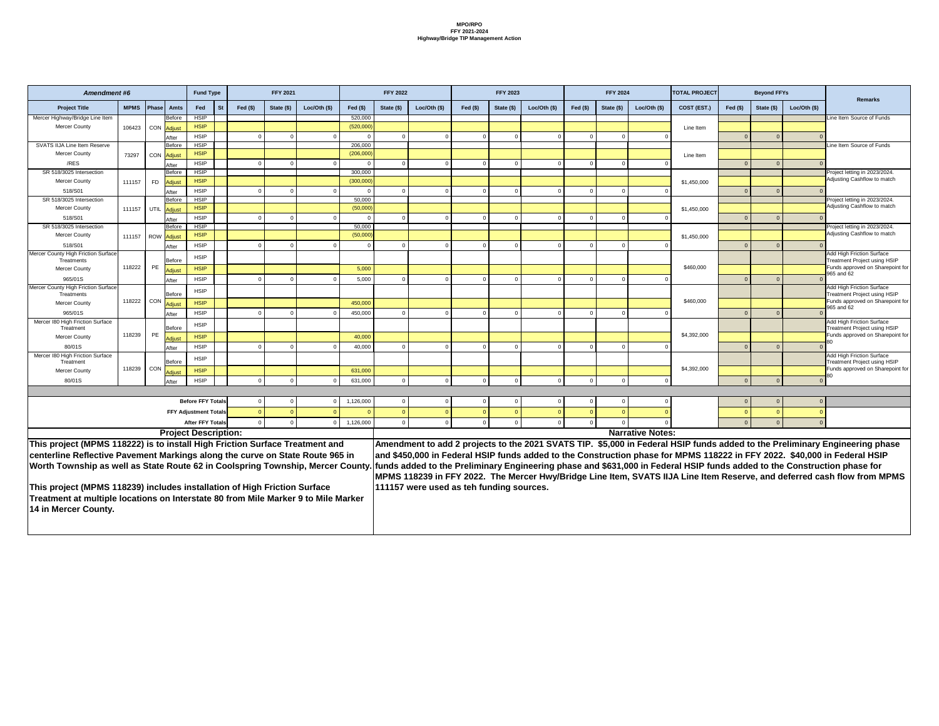| <b>Amendment #6</b>                                                                |             |                                         | <b>Fund Type</b>             |           |           | <b>FFY 2021</b> |              |           | <b>FFY 2022</b> |                                          |            | <b>FFY 2023</b> |              |           | <b>FFY 2024</b> |                         | <b>TOTAL PROJECT</b> |            | <b>Beyond FFYs</b> |               |                                                                                                                             |
|------------------------------------------------------------------------------------|-------------|-----------------------------------------|------------------------------|-----------|-----------|-----------------|--------------|-----------|-----------------|------------------------------------------|------------|-----------------|--------------|-----------|-----------------|-------------------------|----------------------|------------|--------------------|---------------|-----------------------------------------------------------------------------------------------------------------------------|
| <b>Project Title</b>                                                               | <b>MPMS</b> | Amts<br><b>Phase</b>                    | <b>Fed</b>                   | <b>St</b> | Fed $(s)$ | State (\$)      | Loc/Oth (\$) | Fed $($)$ | State (\$)      | Loc/Oth $(\$)$                           | Fed $(\$)$ | State (\$)      | Loc/Oth (\$) | Fed $($)$ | State (\$)      | Loc/Oth $(\$)$          | COST (EST.)          | Fed $(\$)$ | State (\$)         | Loc/Oth $($)$ | <b>Remarks</b>                                                                                                              |
| Mercer Highway/Bridge Line Item                                                    |             | Before                                  | <b>HSIP</b>                  |           |           |                 |              | 520,000   |                 |                                          |            |                 |              |           |                 |                         |                      |            |                    |               | Line Item Source of Funds                                                                                                   |
| <b>Mercer County</b>                                                               | 106423      | CON Adjust                              | <b>HSIP</b>                  |           |           |                 |              | (520,000) |                 |                                          |            |                 |              |           |                 |                         | Line Item            |            |                    |               |                                                                                                                             |
|                                                                                    |             | After                                   | <b>HSIP</b>                  |           |           |                 |              |           |                 |                                          |            |                 |              |           |                 |                         |                      |            |                    |               |                                                                                                                             |
| <b>SVATS IIJA Line Item Reserve</b>                                                |             | Before                                  | <b>HSIP</b>                  |           |           |                 |              | 206,000   |                 |                                          |            |                 |              |           |                 |                         |                      |            |                    |               | Line Item Source of Funds                                                                                                   |
| <b>Mercer County</b>                                                               | 73297       | CON<br><b>Adjust</b>                    | <b>HSIP</b>                  |           |           |                 |              | (206,000) |                 |                                          |            |                 |              |           |                 |                         | Line Item            |            |                    |               |                                                                                                                             |
| /RES                                                                               |             | After                                   | <b>HSIP</b>                  |           |           |                 |              |           |                 |                                          |            |                 |              |           |                 |                         |                      |            |                    |               |                                                                                                                             |
| SR 518/3025 Intersection                                                           |             | <b>Before</b>                           | <b>HSIP</b>                  |           |           |                 |              | 300,000   |                 |                                          |            |                 |              |           |                 |                         |                      |            |                    |               | Project letting in 2023/2024                                                                                                |
| <b>Mercer County</b>                                                               | 111157      | <b>FD</b><br><b>Adjust</b>              | <b>HSIP</b>                  |           |           |                 |              | (300,000) |                 |                                          |            |                 |              |           |                 |                         | \$1,450,000          |            |                    |               | Adjusting Cashflow to match                                                                                                 |
| 518/S01                                                                            |             | After                                   | <b>HSIP</b>                  |           |           |                 |              |           |                 |                                          |            |                 |              |           |                 |                         |                      |            |                    |               |                                                                                                                             |
| SR 518/3025 Intersection                                                           |             | Before                                  | <b>HSIP</b>                  |           |           |                 |              | 50,000    |                 |                                          |            |                 |              |           |                 |                         |                      |            |                    |               | Project letting in 2023/2024.                                                                                               |
| <b>Mercer County</b>                                                               | 111157      | <b>UTIL</b><br>Adjust                   | <b>HSIP</b>                  |           |           |                 |              | (50,000)  |                 |                                          |            |                 |              |           |                 |                         | \$1,450,000          |            |                    |               | Adjusting Cashflow to match                                                                                                 |
| 518/S01                                                                            |             | After                                   | <b>HSIP</b>                  |           |           |                 |              |           |                 |                                          |            |                 |              |           |                 |                         |                      |            |                    |               |                                                                                                                             |
| SR 518/3025 Intersection                                                           |             | <b>Before</b>                           | <b>HSIP</b>                  |           |           |                 |              | 50,000    |                 |                                          |            |                 |              |           |                 |                         |                      |            |                    |               | Project letting in 2023/2024.<br>Adjusting Cashflow to match                                                                |
| <b>Mercer County</b>                                                               | 111157      | ROW Adjust                              | <b>HSIP</b>                  |           |           |                 |              | (50,000)  |                 |                                          |            |                 |              |           |                 |                         | \$1,450,000          |            |                    |               |                                                                                                                             |
| 518/S01                                                                            |             | After                                   | <b>HSIP</b>                  |           |           |                 |              |           |                 |                                          |            |                 |              |           |                 |                         |                      |            |                    |               |                                                                                                                             |
| Mercer County High Friction Surface<br>Treatments                                  |             | <b>Before</b>                           | <b>HSIP</b>                  |           |           |                 |              |           |                 |                                          |            |                 |              |           |                 |                         |                      |            |                    |               | <b>Add High Friction Surface</b><br>Treatment Project using HSIP                                                            |
| <b>Mercer County</b>                                                               | 118222      | <b>PE</b><br>Adjust                     | <b>HSIP</b>                  |           |           |                 |              | 5,000     |                 |                                          |            |                 |              |           |                 |                         | \$460,000            |            |                    |               | Funds approved on Sharepoint for                                                                                            |
| 965/01S                                                                            |             | After                                   | <b>HSIP</b>                  |           |           |                 |              | 5,000     |                 |                                          |            |                 |              |           |                 |                         |                      |            |                    |               | 965 and 62                                                                                                                  |
| <b>Mercer County High Friction Surface</b>                                         |             |                                         | <b>HSIP</b>                  |           |           |                 |              |           |                 |                                          |            |                 |              |           |                 |                         |                      |            |                    |               | <b>Add High Friction Surface</b>                                                                                            |
| Treatments                                                                         |             | <b>Before</b>                           |                              |           |           |                 |              |           |                 |                                          |            |                 |              |           |                 |                         |                      |            |                    |               | <b>Treatment Project using HSIP</b>                                                                                         |
| <b>Mercer County</b>                                                               | 118222      | $\overline{\phantom{a}}$ CON.<br>Adjust | <b>HSIP</b>                  |           |           |                 |              | 450,000   |                 |                                          |            |                 |              |           |                 |                         | \$460,000            |            |                    |               | Funds approved on Sharepoint for<br>965 and 62                                                                              |
| 965/01S                                                                            |             | After                                   | <b>HSIP</b>                  |           |           |                 |              | 450,000   |                 |                                          |            |                 |              |           |                 |                         |                      |            |                    |               |                                                                                                                             |
| Mercer 180 High Friction Surface                                                   |             |                                         | <b>HSIP</b>                  |           |           |                 |              |           |                 |                                          |            |                 |              |           |                 |                         |                      |            |                    |               | Add High Friction Surface<br>Treatment Project using HSIP                                                                   |
| I reatment<br><b>Mercer County</b>                                                 | 118239      | Betore<br>PE                            | <b>HSIP</b>                  |           |           |                 |              | 40,000    |                 |                                          |            |                 |              |           |                 |                         | \$4,392,000          |            |                    |               | Funds approved on Sharepoint for                                                                                            |
| 80/01S                                                                             |             | <b>Adjust</b>                           | <b>HSIP</b>                  |           |           |                 |              | 40,000    |                 |                                          |            |                 |              |           |                 |                         |                      |            |                    |               |                                                                                                                             |
| Mercer 180 High Friction Surface                                                   |             | After                                   |                              |           |           |                 |              |           |                 |                                          |            |                 |              |           |                 |                         |                      |            |                    |               | <b>Add High Friction Surface</b>                                                                                            |
| Treatment                                                                          |             | Before                                  | <b>HSIP</b>                  |           |           |                 |              |           |                 |                                          |            |                 |              |           |                 |                         |                      |            |                    |               | Treatment Project using HSIP                                                                                                |
| Mercer County                                                                      | 118239      | $\vert$ CON<br>Adjust                   | <b>HSIP</b>                  |           |           |                 |              | 631,000   |                 |                                          |            |                 |              |           |                 |                         | \$4,392,000          |            |                    |               | Funds approved on Sharepoint for                                                                                            |
| 80/01S                                                                             |             | After                                   | <b>HSIP</b>                  |           |           |                 |              | 631,000   |                 |                                          |            |                 |              |           |                 |                         |                      |            |                    |               |                                                                                                                             |
|                                                                                    |             |                                         |                              |           |           |                 |              |           |                 |                                          |            |                 |              |           |                 |                         |                      |            |                    |               |                                                                                                                             |
|                                                                                    |             |                                         | <b>Before FFY Totals</b>     |           |           |                 |              | 1,126,000 |                 |                                          |            |                 |              |           |                 |                         |                      |            |                    |               |                                                                                                                             |
|                                                                                    |             |                                         | <b>FFY Adjustment Totals</b> |           |           |                 |              |           |                 |                                          |            |                 |              |           |                 |                         |                      |            |                    |               |                                                                                                                             |
|                                                                                    |             |                                         | <b>After FFY Totals</b>      |           |           |                 |              | 1,126,000 |                 |                                          |            |                 |              |           |                 |                         |                      |            |                    |               |                                                                                                                             |
|                                                                                    |             |                                         |                              |           |           |                 |              |           |                 |                                          |            |                 |              |           |                 | <b>Narrative Notes:</b> |                      |            |                    |               |                                                                                                                             |
|                                                                                    |             | <b>Project Description:</b>             |                              |           |           |                 |              |           |                 |                                          |            |                 |              |           |                 |                         |                      |            |                    |               |                                                                                                                             |
| This project (MPMS 118222) is to install High Friction Surface Treatment and       |             |                                         |                              |           |           |                 |              |           |                 |                                          |            |                 |              |           |                 |                         |                      |            |                    |               | Amendment to add 2 projects to the 2021 SVATS TIP. \$5,000 in Federal HSIP funds added to the Preliminary Engineering phase |
| centerline Reflective Pavement Markings along the curve on State Route 965 in      |             |                                         |                              |           |           |                 |              |           |                 |                                          |            |                 |              |           |                 |                         |                      |            |                    |               | and \$450,000 in Federal HSIP funds added to the Construction phase for MPMS 118222 in FFY 2022. \$40,000 in Federal HSIP   |
| Worth Township as well as State Route 62 in Coolspring Township, Mercer County.    |             |                                         |                              |           |           |                 |              |           |                 |                                          |            |                 |              |           |                 |                         |                      |            |                    |               | funds added to the Preliminary Engineering phase and \$631,000 in Federal HSIP funds added to the Construction phase for    |
|                                                                                    |             |                                         |                              |           |           |                 |              |           |                 |                                          |            |                 |              |           |                 |                         |                      |            |                    |               | MPMS 118239 in FFY 2022. The Mercer Hwy/Bridge Line Item, SVATS IIJA Line Item Reserve, and deferred cash flow from MPMS    |
| This project (MPMS 118239) includes installation of High Friction Surface          |             |                                         |                              |           |           |                 |              |           |                 | 111157 were used as teh funding sources. |            |                 |              |           |                 |                         |                      |            |                    |               |                                                                                                                             |
| Treatment at multiple locations on Interstate 80 from Mile Marker 9 to Mile Marker |             |                                         |                              |           |           |                 |              |           |                 |                                          |            |                 |              |           |                 |                         |                      |            |                    |               |                                                                                                                             |
|                                                                                    |             |                                         |                              |           |           |                 |              |           |                 |                                          |            |                 |              |           |                 |                         |                      |            |                    |               |                                                                                                                             |
| 14 in Mercer County.                                                               |             |                                         |                              |           |           |                 |              |           |                 |                                          |            |                 |              |           |                 |                         |                      |            |                    |               |                                                                                                                             |
|                                                                                    |             |                                         |                              |           |           |                 |              |           |                 |                                          |            |                 |              |           |                 |                         |                      |            |                    |               |                                                                                                                             |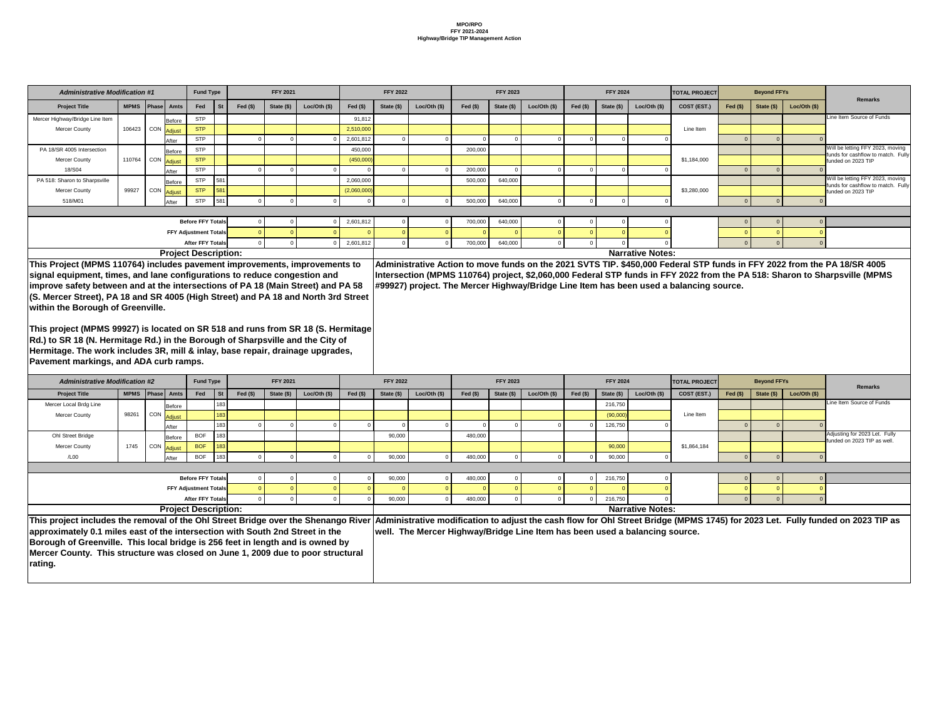|             | <b>Fund Type</b>             |                 |           | <b>FFY 2021</b> |                |             | <b>FFY 2022</b> |                |           | <b>FFY 2023</b> |                |           | <b>FFY 2024</b> |                         | <b>TOTAL PROJECT</b> |           | <b>Beyond FFYs</b> |             |                                                                        |
|-------------|------------------------------|-----------------|-----------|-----------------|----------------|-------------|-----------------|----------------|-----------|-----------------|----------------|-----------|-----------------|-------------------------|----------------------|-----------|--------------------|-------------|------------------------------------------------------------------------|
| <b>Amts</b> | Fed                          | St <sup>/</sup> | Fed $($)$ | State (\$)      | Loc/Oth $(\$)$ | Fed $($)$   | State (\$)      | Loc/Oth $(\$)$ | Fed $($)$ | State (\$)      | Loc/Oth $(\$)$ | Fed $($)$ | State (\$)      | Loc/Oth $(\$)$          | COST (EST.)          | Fed $($)$ | State (\$)         | Loc/Oh (\$) | Remarks                                                                |
| Before      | <b>STP</b>                   |                 |           |                 |                | 91,812      |                 |                |           |                 |                |           |                 |                         |                      |           |                    |             | Line Item Source of Funds                                              |
| Adjust      | <b>STP</b>                   |                 |           |                 |                | 2,510,000   |                 |                |           |                 |                |           |                 |                         | Line Item            |           |                    |             |                                                                        |
| After       | <b>STP</b>                   |                 |           |                 |                | 2,601,812   |                 |                |           |                 |                |           |                 |                         |                      |           |                    |             |                                                                        |
| Before      | <b>STP</b>                   |                 |           |                 |                | 450,000     |                 |                | 200,000   |                 |                |           |                 |                         |                      |           |                    |             | Will be letting FFY 2023, moving<br>funds for cashflow to match. Fully |
| Adjust      | <b>STP</b>                   |                 |           |                 |                | (450,000)   |                 |                |           |                 |                |           |                 |                         | \$1,184,000          |           |                    |             | funded on 2023 TIP                                                     |
| After       | <b>STP</b>                   |                 |           |                 |                |             |                 |                | 200,000   |                 |                |           |                 |                         |                      |           |                    |             |                                                                        |
| Before      | <b>STP</b>                   | 581             |           |                 |                | 2,060,000   |                 |                | 500,000   | 640,000         |                |           |                 |                         |                      |           |                    |             | Will be letting FFY 2023, moving<br>funds for cashflow to match. Fully |
| Adjust      | <b>STP</b>                   | 581             |           |                 |                | (2,060,000) |                 |                |           |                 |                |           |                 |                         | \$3,280,000          |           |                    |             | funded on 2023 TIP                                                     |
| After       | <b>STP</b>                   | 581             |           | $\Omega$        |                |             |                 |                | 500,000   | 640,000         |                |           |                 |                         |                      |           |                    |             |                                                                        |
|             |                              |                 |           |                 |                |             |                 |                |           |                 |                |           |                 |                         |                      |           |                    |             |                                                                        |
|             | <b>Before FFY Totals</b>     |                 |           |                 |                | 2,601,812   |                 |                | 700,000   | 640,000         |                |           |                 |                         |                      |           |                    |             |                                                                        |
|             | <b>FFY Adjustment Totals</b> |                 |           |                 |                |             |                 |                |           |                 |                |           |                 |                         |                      |           |                    |             |                                                                        |
|             | <b>After FFY Totals</b>      |                 |           | $\Omega$        |                | 2,601,812   |                 | $\Omega$       | 700,000   | 640,000         |                | - 0       |                 |                         |                      |           |                    |             |                                                                        |
|             | roject Description:          |                 |           |                 |                |             |                 |                |           |                 |                |           |                 | <b>Narrative Notes:</b> |                      |           |                    |             |                                                                        |

**bve funds on the 2021 SVTS TIP. \$450,000 Federal STP funds in FFY 2022 from the PA 18/SR 4005** Intersect, \$2,060,000 Federal STP funds in FFY 2022 from the PA 518: Sharon to Sharpsville (MPMS **Highway/Bridge Line Item has been used a balancing source.** 

| <b>Administrative Modification #1</b>                                                                                                                               |              |                         |                              | <b>Fund Type</b>         |           |             | <b>FFY 2021</b> |                |             | <b>FFY 2022</b> |                                                                             |            | <b>FFY 2023</b> |                |           | <b>FFY 2024</b> |                         | <b>TOTAL PROJECT</b>                                                                                          |            | <b>Beyond FFYs</b> |                |
|---------------------------------------------------------------------------------------------------------------------------------------------------------------------|--------------|-------------------------|------------------------------|--------------------------|-----------|-------------|-----------------|----------------|-------------|-----------------|-----------------------------------------------------------------------------|------------|-----------------|----------------|-----------|-----------------|-------------------------|---------------------------------------------------------------------------------------------------------------|------------|--------------------|----------------|
| <b>Project Title</b>                                                                                                                                                | MPMS   Phase |                         | Amts                         | Fed                      | <b>St</b> | Fed $($)$   | State (\$)      | Loc/Oth $(\$)$ | Fed $(\$)$  | State $(\$)$    | Loc/Oh (\$)                                                                 | Fed $(\$)$ | State (\$)      | Loc/Oth $(\$)$ | Fed $($)$ | State (\$)      | Loc/Oth $($)$           | COST (EST.)                                                                                                   | Fed $(s)$  | State $(\$)$       | Loc/Oth $(\$)$ |
| Mercer Highway/Bridge Line Item                                                                                                                                     |              |                         | Before                       | <b>STP</b>               |           |             |                 |                | 91,812      |                 |                                                                             |            |                 |                |           |                 |                         |                                                                                                               |            |                    |                |
| <b>Mercer County</b>                                                                                                                                                | 106423       | CON Adjust              |                              | <b>STP</b>               |           |             |                 |                | 2,510,000   |                 |                                                                             |            |                 |                |           |                 |                         | Line Item                                                                                                     |            |                    |                |
|                                                                                                                                                                     |              |                         | After                        | <b>STP</b>               |           |             |                 |                | 2,601,812   |                 |                                                                             |            |                 |                |           |                 |                         |                                                                                                               | $\Omega$   |                    |                |
| PA 18/SR 4005 Intersection                                                                                                                                          |              |                         | Before                       | <b>STP</b>               |           |             |                 |                | 450,000     |                 |                                                                             | 200,000    |                 |                |           |                 |                         |                                                                                                               |            |                    |                |
| <b>Mercer County</b>                                                                                                                                                | 110764       | I CON Adjust            |                              | <b>STP</b>               |           |             |                 |                | (450,000)   |                 |                                                                             |            |                 |                |           |                 |                         | \$1,184,000                                                                                                   |            |                    |                |
| 18/S04                                                                                                                                                              |              |                         | After                        | <b>STP</b>               |           |             |                 |                |             |                 |                                                                             | 200,000    |                 |                |           |                 |                         |                                                                                                               |            |                    |                |
| PA 518: Sharon to Sharpsville                                                                                                                                       |              |                         | <b>Before</b>                | <b>STP</b>               | 581       |             |                 |                | 2,060,000   |                 |                                                                             | 500,000    | 640,000         |                |           |                 |                         |                                                                                                               |            |                    |                |
| <b>Mercer County</b>                                                                                                                                                | 99927        | <sub>I</sub> CON Adjust |                              | <b>STP</b>               | 581       |             |                 |                | (2,060,000) |                 |                                                                             |            |                 |                |           |                 |                         | \$3,280,000                                                                                                   |            |                    |                |
| 518/M01                                                                                                                                                             |              |                         | After                        | <b>STP</b>               | 581       |             |                 |                |             |                 |                                                                             | 500,000    | 640,000         |                |           |                 |                         |                                                                                                               |            |                    |                |
|                                                                                                                                                                     |              |                         |                              |                          |           |             |                 |                |             |                 |                                                                             |            |                 |                |           |                 |                         |                                                                                                               |            |                    |                |
|                                                                                                                                                                     |              |                         |                              | <b>Before FFY Totals</b> |           |             |                 |                | 2,601,812   |                 |                                                                             | 700,000    | 640,000         |                |           |                 |                         |                                                                                                               |            |                    |                |
|                                                                                                                                                                     |              |                         | <b>FFY Adjustment Totals</b> |                          |           |             |                 |                |             |                 |                                                                             |            |                 |                |           |                 |                         |                                                                                                               |            |                    |                |
|                                                                                                                                                                     |              |                         |                              | <b>After FFY Totals</b>  |           |             |                 |                | 2,601,812   |                 |                                                                             | 700,000    | 640,000         |                |           |                 |                         |                                                                                                               |            |                    |                |
|                                                                                                                                                                     |              |                         | <b>Project Description:</b>  |                          |           |             |                 |                |             |                 |                                                                             |            |                 |                |           |                 | <b>Narrative Notes:</b> |                                                                                                               |            |                    |                |
| This Project (MPMS 110764) includes pavement improvements, improvements to                                                                                          |              |                         |                              |                          |           |             |                 |                |             |                 |                                                                             |            |                 |                |           |                 |                         | Administrative Action to move funds on the 2021 SVTS TIP. \$450,000 Federal STP funds in FFY 2022 from the    |            |                    |                |
| signal equipment, times, and lane configurations to reduce congestion and                                                                                           |              |                         |                              |                          |           |             |                 |                |             |                 |                                                                             |            |                 |                |           |                 |                         | Intersection (MPMS 110764) project, \$2,060,000 Federal STP funds in FFY 2022 from the PA 518: Sharon to SI   |            |                    |                |
| improve safety between and at the intersections of PA 18 (Main Street) and PA 58                                                                                    |              |                         |                              |                          |           |             |                 |                |             |                 |                                                                             |            |                 |                |           |                 |                         | #99927) project. The Mercer Highway/Bridge Line Item has been used a balancing source.                        |            |                    |                |
| (S. Mercer Street), PA 18 and SR 4005 (High Street) and PA 18 and North 3rd Street                                                                                  |              |                         |                              |                          |           |             |                 |                |             |                 |                                                                             |            |                 |                |           |                 |                         |                                                                                                               |            |                    |                |
| <b>Within the Borough of Greenville.</b>                                                                                                                            |              |                         |                              |                          |           |             |                 |                |             |                 |                                                                             |            |                 |                |           |                 |                         |                                                                                                               |            |                    |                |
|                                                                                                                                                                     |              |                         |                              |                          |           |             |                 |                |             |                 |                                                                             |            |                 |                |           |                 |                         |                                                                                                               |            |                    |                |
| This project (MPMS 99927) is located on SR 518 and runs from SR 18 (S. Hermitage                                                                                    |              |                         |                              |                          |           |             |                 |                |             |                 |                                                                             |            |                 |                |           |                 |                         |                                                                                                               |            |                    |                |
| Rd.) to SR 18 (N. Hermitage Rd.) in the Borough of Sharpsville and the City of                                                                                      |              |                         |                              |                          |           |             |                 |                |             |                 |                                                                             |            |                 |                |           |                 |                         |                                                                                                               |            |                    |                |
|                                                                                                                                                                     |              |                         |                              |                          |           |             |                 |                |             |                 |                                                                             |            |                 |                |           |                 |                         |                                                                                                               |            |                    |                |
| Hermitage. The work includes 3R, mill & inlay, base repair, drainage upgrades,                                                                                      |              |                         |                              |                          |           |             |                 |                |             |                 |                                                                             |            |                 |                |           |                 |                         |                                                                                                               |            |                    |                |
| Pavement markings, and ADA curb ramps.                                                                                                                              |              |                         |                              |                          |           |             |                 |                |             |                 |                                                                             |            |                 |                |           |                 |                         |                                                                                                               |            |                    |                |
| <b>Administrative Modification #2</b>                                                                                                                               |              |                         |                              | <b>Fund Type</b>         |           |             | <b>FFY 2021</b> |                |             | <b>FFY 2022</b> |                                                                             |            | <b>FFY 2023</b> |                |           | <b>FFY 2024</b> |                         | <b>TOTAL PROJECT</b>                                                                                          |            | <b>Beyond FFYs</b> |                |
| <b>Project Title</b>                                                                                                                                                | <b>MPMS</b>  | Phase                   | Amts                         | Fed                      | <b>St</b> | Fed $($ \$) | State (\$)      | Loc/Oth (\$)   | Fed $($)$   | State (\$)      | Loc/Oh (\$)                                                                 | Fed $($)$  | State (\$)      | Loc/Oth (\$)   | Fed $($)$ | State (\$)      | Loc/Oth (\$)            | COST (EST.)                                                                                                   | $Fed($ \$) | State (\$)         | Loc/Oth (\$)   |
| Mercer Local Brdg Line                                                                                                                                              |              |                         | Before                       |                          | 183       |             |                 |                |             |                 |                                                                             |            |                 |                |           | 216,750         |                         |                                                                                                               |            |                    |                |
| <b>Mercer County</b>                                                                                                                                                | 98261        | CON Adjust              |                              |                          | 183       |             |                 |                |             |                 |                                                                             |            |                 |                |           | (90,000)        |                         | Line Item                                                                                                     |            |                    |                |
|                                                                                                                                                                     |              |                         | After                        |                          | 183       |             |                 |                |             |                 |                                                                             |            |                 |                |           | 126,750         |                         |                                                                                                               |            |                    |                |
| Ohl Street Bridge                                                                                                                                                   |              |                         | Before                       | <b>BOF</b>               | 183       |             |                 |                |             | 90,000          |                                                                             | 480,000    |                 |                |           |                 |                         |                                                                                                               |            |                    |                |
| <b>Mercer County</b>                                                                                                                                                | 1745         |                         | CON Adjust                   | <b>BOF</b>               | 183       |             |                 |                |             |                 |                                                                             |            |                 |                |           | 90,000          |                         | \$1,864,184                                                                                                   |            |                    |                |
| /L00                                                                                                                                                                |              |                         |                              |                          | 183       |             |                 |                | $\Omega$    | 90,000          |                                                                             | 480,000    |                 |                |           | 90,000          |                         |                                                                                                               |            |                    |                |
|                                                                                                                                                                     |              |                         |                              | <b>BOF</b>               |           |             |                 |                |             |                 |                                                                             |            |                 |                |           |                 |                         |                                                                                                               | $\Omega$   |                    |                |
|                                                                                                                                                                     |              |                         | After                        |                          |           |             |                 |                |             |                 |                                                                             |            |                 |                |           |                 |                         |                                                                                                               |            |                    |                |
|                                                                                                                                                                     |              |                         |                              | <b>Before FFY Totals</b> |           |             |                 |                |             | 90,000          |                                                                             | 480,000    |                 |                |           | 216,750         |                         |                                                                                                               |            |                    |                |
|                                                                                                                                                                     |              |                         | <b>FFY Adjustment Totals</b> |                          |           |             |                 |                |             |                 |                                                                             |            |                 |                |           |                 |                         |                                                                                                               |            |                    |                |
|                                                                                                                                                                     |              |                         |                              | <b>After FFY Totals</b>  |           |             |                 |                |             |                 |                                                                             |            |                 |                |           |                 |                         |                                                                                                               |            |                    |                |
|                                                                                                                                                                     |              |                         |                              |                          |           |             |                 |                |             | 90,000          |                                                                             | 480,000    |                 |                |           | 216,750         |                         |                                                                                                               |            |                    |                |
|                                                                                                                                                                     |              |                         | <b>Project Description:</b>  |                          |           |             |                 |                |             |                 |                                                                             |            |                 |                |           |                 | <b>Narrative Notes:</b> |                                                                                                               |            |                    |                |
| This project includes the removal of the Ohl Street Bridge over the Shenango River<br>approximately 0.1 miles east of the intersection with South 2nd Street in the |              |                         |                              |                          |           |             |                 |                |             |                 | well. The Mercer Highway/Bridge Line Item has been used a balancing source. |            |                 |                |           |                 |                         | Administrative modification to adjust the cash flow for Ohl Street Bridge (MPMS 1745) for 2023 Let. Fully fun |            |                    |                |

|                                                                                                          | <b>Fund Type</b>             |           |           | <b>FFY 2021</b> |                                                  |           | <b>FFY 2022</b> |                                                                             |           | <b>FFY 2023</b> |               |           | <b>FFY 2024</b> |                         | <b>TOTAL PROJECT</b>                                         |           | <b>Beyond FFYs</b> |             | <b>Remarks</b>                                                                                                                  |
|----------------------------------------------------------------------------------------------------------|------------------------------|-----------|-----------|-----------------|--------------------------------------------------|-----------|-----------------|-----------------------------------------------------------------------------|-----------|-----------------|---------------|-----------|-----------------|-------------------------|--------------------------------------------------------------|-----------|--------------------|-------------|---------------------------------------------------------------------------------------------------------------------------------|
| <b>Amts</b>                                                                                              | Fed                          | <b>St</b> | Fed $($)$ | State (\$)      | Loc/Oth $(\$)$                                   | Fed $($)$ | State (\$)      | Loc/Oh (\$)                                                                 | Fed $($)$ | State (\$)      | Loc/Oth $($)$ | Fed $($)$ | State (\$)      | Loc/Oth $($)$           | COST (EST.)                                                  | Fed $($)$ | State (\$)         | Loc/Oh (\$) |                                                                                                                                 |
| Before                                                                                                   |                              | 183       |           |                 |                                                  |           |                 |                                                                             |           |                 |               |           | 216,750         |                         |                                                              |           |                    |             | Line Item Source of Funds                                                                                                       |
| <b>Adjust</b>                                                                                            |                              | 183       |           |                 |                                                  |           |                 |                                                                             |           |                 |               |           | (90,000)        |                         | Line Item                                                    |           |                    |             |                                                                                                                                 |
| After                                                                                                    |                              | 183       |           |                 |                                                  |           |                 |                                                                             |           |                 |               |           | 126,750         |                         |                                                              |           |                    |             |                                                                                                                                 |
| <b>BOF</b><br>183<br>90,000<br>480,000<br>Before<br><b>BOF</b><br>183<br>90,000<br>\$1,864,184<br>Adjust |                              |           |           |                 |                                                  |           |                 |                                                                             |           |                 |               |           |                 |                         | Adjusting for 2023 Let. Fully<br>funded on 2023 TIP as well. |           |                    |             |                                                                                                                                 |
|                                                                                                          |                              |           |           |                 |                                                  |           |                 |                                                                             |           |                 |               |           |                 |                         |                                                              |           |                    |             |                                                                                                                                 |
| After                                                                                                    | <b>BOF</b>                   | 183       |           |                 |                                                  |           | 90,000          |                                                                             | 480,000   |                 |               |           | 90,000          |                         |                                                              |           |                    |             |                                                                                                                                 |
|                                                                                                          |                              |           |           |                 |                                                  |           |                 |                                                                             |           |                 |               |           |                 |                         |                                                              |           |                    |             |                                                                                                                                 |
|                                                                                                          | <b>Before FFY Totals</b>     |           |           |                 |                                                  |           | 90,000          |                                                                             | 480,000   |                 |               |           | 216,750         |                         |                                                              |           |                    |             |                                                                                                                                 |
|                                                                                                          | <b>FFY Adjustment Totals</b> |           |           |                 |                                                  |           |                 |                                                                             |           |                 |               |           |                 |                         |                                                              |           |                    |             |                                                                                                                                 |
|                                                                                                          | <b>After FFY Totals</b>      |           |           |                 |                                                  |           | 90,000          |                                                                             | 480,000   |                 |               |           | 216,750         |                         |                                                              |           |                    |             |                                                                                                                                 |
|                                                                                                          | roject Description:          |           |           |                 |                                                  |           |                 |                                                                             |           |                 |               |           |                 | <b>Narrative Notes:</b> |                                                              |           |                    |             |                                                                                                                                 |
|                                                                                                          |                              |           |           |                 | of the Ohl Street Bridge over the Shenango River |           |                 |                                                                             |           |                 |               |           |                 |                         |                                                              |           |                    |             | Administrative modification to adjust the cash flow for Ohl Street Bridge (MPMS 1745) for 2023 Let. Fully funded on 2023 TIP as |
|                                                                                                          |                              |           |           |                 | e intersection with South 2nd Street in the      |           |                 | well. The Mercer Highway/Bridge Line Item has been used a balancing source. |           |                 |               |           |                 |                         |                                                              |           |                    |             |                                                                                                                                 |

**Borough of Greenville. This local bridge is 256 feet in length and is owned by Mercer County. This structure was closed on June 1, 2009 due to poor structural rating.**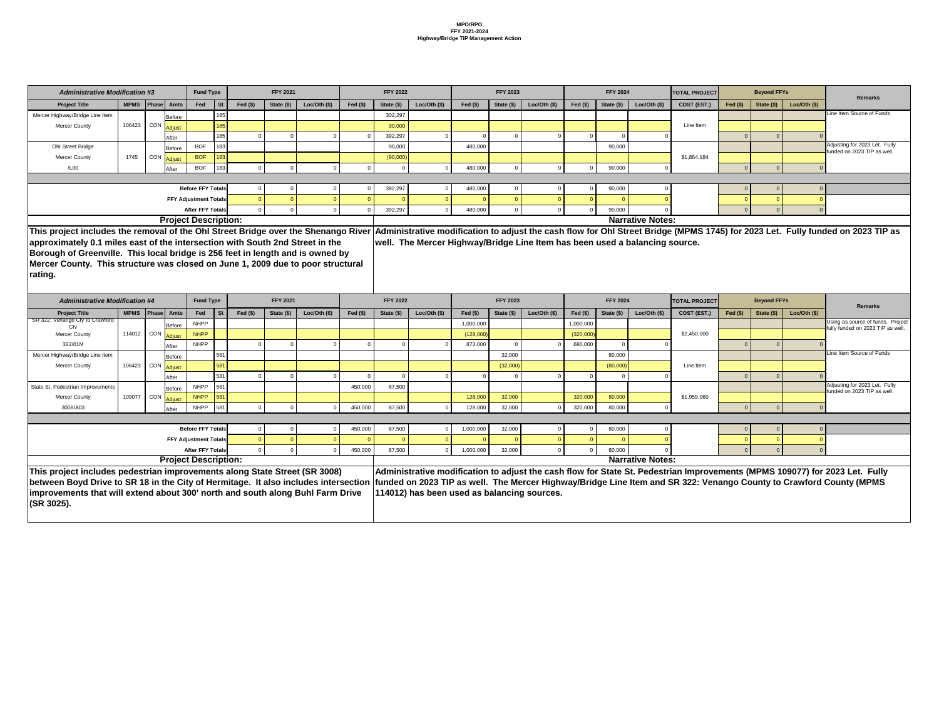| <b>Administrative Modification #3</b> |                             |            |                                 | <b>Fund Type</b>             |           |           | <b>FFY 2021</b> |                |           | <b>FFY 2022</b> |             |           | <b>FFY 2023</b> |                |           | <b>FFY 2024</b> |                         | <b>TOTAL PROJECT</b> |           | <b>Beyond FFYs</b>                                           |             | Remarks                   |
|---------------------------------------|-----------------------------|------------|---------------------------------|------------------------------|-----------|-----------|-----------------|----------------|-----------|-----------------|-------------|-----------|-----------------|----------------|-----------|-----------------|-------------------------|----------------------|-----------|--------------------------------------------------------------|-------------|---------------------------|
| <b>Project Title</b>                  | MPMS   Phase   Amts         |            |                                 | Fed                          | <b>St</b> | Fed $($)$ | State (\$)      | Loc/Oth $(\$)$ | Fed $($)$ | State (\$)      | Loc/Oh (\$) | Fed $($)$ | State (\$)      | Loc/Oth $(\$)$ | Fed $($)$ | State (\$)      | Loc/Oth (\$)            | COST (EST.)          | Fed $($)$ | State (\$)                                                   | Loc/Oh (\$) |                           |
| Mercer Highway/Bridge Line Item       |                             |            | Before                          |                              | 185       |           |                 |                |           | 302,297         |             |           |                 |                |           |                 |                         |                      |           |                                                              |             | Line Item Source of Funds |
| <b>Mercer County</b>                  | 106423                      |            | ್ಷ   CON <mark> Adjust I</mark> |                              | 185       |           |                 |                |           | 90,000          |             |           |                 |                |           |                 |                         | Line Item            |           |                                                              |             |                           |
|                                       |                             |            | After                           |                              | 185       |           |                 |                |           | 392,297         |             |           |                 |                |           |                 |                         |                      |           |                                                              |             |                           |
| Ohl Street Bridge                     | Before                      | <b>BOF</b> | 183                             |                              |           |           |                 | 90,000         |           | 480,000         |             |           |                 | 90,000         |           |                 |                         |                      |           | Adjusting for 2023 Let. Fully<br>funded on 2023 TIP as well. |             |                           |
| <b>Mercer County</b>                  | 1745                        |            |                                 | <b>BOF</b>                   | 183       |           |                 |                |           | (90,000)        |             |           |                 |                |           |                 |                         | \$1,864,184          |           |                                                              |             |                           |
| /L00                                  |                             |            | After                           | <b>BOF</b>                   | 183       |           |                 |                |           |                 |             | 480,000   |                 |                |           | 90,000          |                         |                      |           |                                                              |             |                           |
|                                       |                             |            |                                 |                              |           |           |                 |                |           |                 |             |           |                 |                |           |                 |                         |                      |           |                                                              |             |                           |
|                                       |                             |            |                                 | <b>Before FFY Totals</b>     |           |           |                 |                |           | 392,297         |             | 480,000   |                 |                |           | 90,000          |                         |                      |           |                                                              |             |                           |
|                                       |                             |            |                                 | <b>FFY Adjustment Totals</b> |           |           |                 |                |           |                 |             |           |                 |                |           |                 |                         |                      |           |                                                              |             |                           |
|                                       |                             |            |                                 | <b>After FFY Totals</b>      |           |           |                 |                |           | 392,297         |             | 480,000   |                 |                |           | 90,000          |                         |                      |           |                                                              |             |                           |
|                                       | <b>Project Description:</b> |            |                                 |                              |           |           |                 |                |           |                 |             |           |                 |                |           |                 | <b>Narrative Notes:</b> |                      |           |                                                              |             |                           |

| <b>Administrative Modification #4</b>                                               |        |                     |               | <b>Fund Type</b>             |           |            | <b>FFY 2021</b> |             |            | <b>FFY 2022</b> |                                             |           | <b>FFY 2023</b> |                |            | <b>FFY 2024</b> |                         | <b>TOTAL PROJECT</b> |            | <b>Beyond FFYs</b> |             | <b>Remarks</b>                                                                                                              |
|-------------------------------------------------------------------------------------|--------|---------------------|---------------|------------------------------|-----------|------------|-----------------|-------------|------------|-----------------|---------------------------------------------|-----------|-----------------|----------------|------------|-----------------|-------------------------|----------------------|------------|--------------------|-------------|-----------------------------------------------------------------------------------------------------------------------------|
| <b>Project Title</b>                                                                |        | MPMS   Phase   Amts |               | Fed                          | <b>St</b> | Fed $(\$)$ | State (\$)      | Loc/Oh (\$) | Fed $(\$)$ | State (\$)      | Loc/Oth $(\$)$                              | Fed $(s)$ | State (\$)      | Loc/Oth $(\$)$ | Fed $(\$)$ | State $(\$)$    | Loc/Oth $($)$           | COST (EST.)          | Fed $(\$)$ | State $(\$)$       | Loc/Oh (\$) |                                                                                                                             |
| SR 322: Venango Cty to Crawford                                                     |        |                     | Before        | <b>NHPP</b>                  |           |            |                 |             |            |                 |                                             | 1,000,000 |                 |                | 1,000,000  |                 |                         |                      |            |                    |             | Using as source of funds. Project<br>fully funded on 2023 TIP as well                                                       |
| <b>Mercer County</b>                                                                |        | 114012 CON Adjust   |               | <b>NHPP</b>                  |           |            |                 |             |            |                 |                                             | (128,000) |                 |                | (320,000)  |                 |                         | \$2,450,000          |            |                    |             |                                                                                                                             |
| 322/01M                                                                             |        |                     | After         | <b>NHPP</b>                  |           |            |                 |             |            |                 |                                             | 872,000   |                 |                | 680,000    |                 |                         |                      |            |                    |             |                                                                                                                             |
| Mercer Highway/Bridge Line Item                                                     |        |                     | <b>Before</b> |                              | 581       |            |                 |             |            |                 |                                             |           | 32,000          |                |            | 80,000          |                         |                      |            |                    |             | Line Item Source of Funds                                                                                                   |
| <b>Mercer County</b>                                                                |        | 106423 CON Adjust   |               |                              | 581       |            |                 |             |            |                 |                                             |           | (32,000)        |                |            | (80,000)        |                         | Line Item            |            |                    |             |                                                                                                                             |
|                                                                                     |        |                     | After         |                              | 581       |            |                 |             |            |                 |                                             |           |                 |                |            |                 |                         |                      |            |                    |             |                                                                                                                             |
| State St. Pedestrian Improvements                                                   |        |                     | <b>Before</b> | <b>NHPP</b>                  | 581       |            |                 |             | 450,000    | 87,500          |                                             |           |                 |                |            |                 |                         |                      |            |                    |             | Adjusting for 2023 Let. Fully<br>unded on 2023 TIP as well.                                                                 |
| <b>Mercer County</b>                                                                | 109077 | CON                 | Adjust        | <b>NHPP</b>                  | 581       |            |                 |             |            |                 |                                             | 128,000   | 32,000          |                | 320,000    | 80,000          |                         | \$1,959,960          |            |                    |             |                                                                                                                             |
| 3008/A03                                                                            |        |                     | After         | <b>NHPP</b>                  | 581       |            |                 |             | 450,000    | 87,500          |                                             | 128,000   | 32,000          |                | 320,000    | 80,000          |                         |                      |            |                    |             |                                                                                                                             |
|                                                                                     |        |                     |               |                              |           |            |                 |             |            |                 |                                             |           |                 |                |            |                 |                         |                      |            |                    |             |                                                                                                                             |
|                                                                                     |        |                     |               | <b>Before FFY Totals</b>     |           |            |                 |             | 450,000    | 87,500          |                                             | 1,000,000 | 32,000          |                |            | 80,000          |                         |                      |            |                    |             |                                                                                                                             |
|                                                                                     |        |                     |               | <b>FFY Adjustment Totals</b> |           |            |                 |             |            |                 |                                             |           |                 |                |            |                 |                         |                      |            |                    |             |                                                                                                                             |
|                                                                                     |        |                     |               | <b>After FFY Totals</b>      |           |            |                 |             | 450,000    | 87,500          |                                             | 1,000,000 | 32,000          |                |            | 80,000          |                         |                      |            |                    |             |                                                                                                                             |
|                                                                                     |        |                     |               | <b>Project Description:</b>  |           |            |                 |             |            |                 |                                             |           |                 |                |            |                 | <b>Narrative Notes:</b> |                      |            |                    |             |                                                                                                                             |
| This project includes pedestrian improvements along State Street (SR 3008)          |        |                     |               |                              |           |            |                 |             |            |                 |                                             |           |                 |                |            |                 |                         |                      |            |                    |             | Administrative modification to adjust the cash flow for State St. Pedestrian Improvements (MPMS 109077) for 2023 Let. Fully |
| between Boyd Drive to SR 18 in the City of Hermitage. It also includes intersection |        |                     |               |                              |           |            |                 |             |            |                 |                                             |           |                 |                |            |                 |                         |                      |            |                    |             | funded on 2023 TIP as well. The Mercer Highway/Bridge Line Item and SR 322: Venango County to Crawford County (MPMS         |
| improvements that will extend about 300' north and south along Buhl Farm Drive      |        |                     |               |                              |           |            |                 |             |            |                 | 114012) has been used as balancing sources. |           |                 |                |            |                 |                         |                      |            |                    |             |                                                                                                                             |
| (SR 3025).                                                                          |        |                     |               |                              |           |            |                 |             |            |                 |                                             |           |                 |                |            |                 |                         |                      |            |                    |             |                                                                                                                             |

**This project includes the removal of the Ohl Street Bridge over the Shenango River approximately 0.1 miles east of the intersection with South 2nd Street in the Borough of Greenville. This local bridge is 256 feet in length and is owned by Mercer County. This structure was closed on June 1, 2009 due to poor structural rating.** 

**Administrative modification to adjust the cash flow for Ohl Street Bridge (MPMS 1745) for 2023 Let. Fully funded on 2023 TIP as well. The Mercer Highway/Bridge Line Item has been used a balancing source.**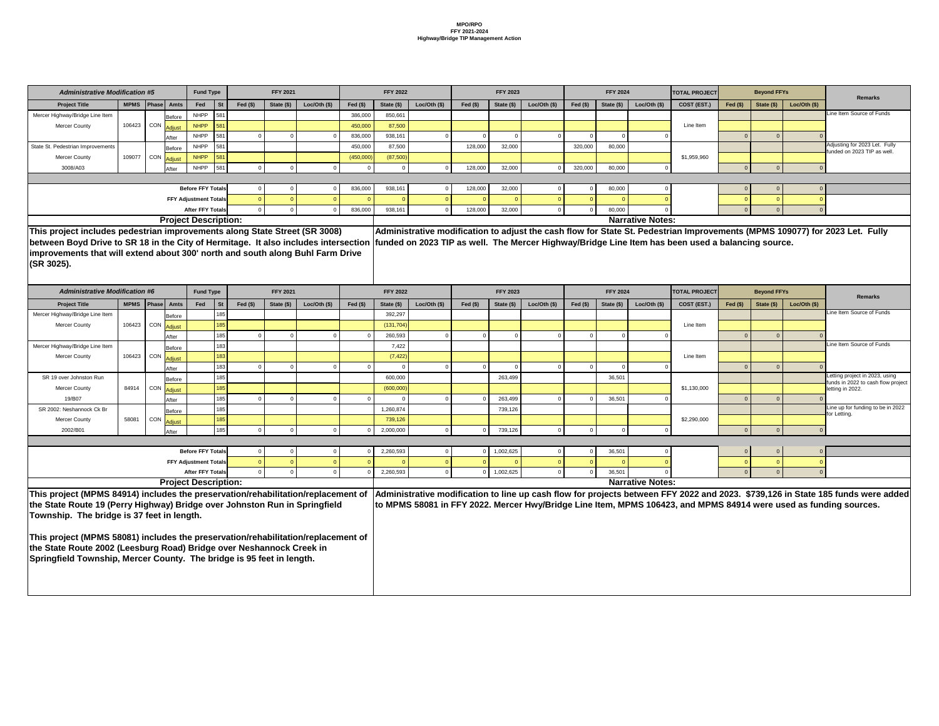| <b>Administrative Modification #5</b>                                               |        |                             | <b>Fund Type</b>             |                 |           | <b>FFY 2021</b> |                |           | <b>FFY 2022</b> |               |            | <b>FFY 2023</b> |               |            | <b>FFY 2024</b> |                         | <b>TOTAL PROJECT</b>                                                                              |            | <b>Beyond FFYs</b> |                |                                                                                                                                  |
|-------------------------------------------------------------------------------------|--------|-----------------------------|------------------------------|-----------------|-----------|-----------------|----------------|-----------|-----------------|---------------|------------|-----------------|---------------|------------|-----------------|-------------------------|---------------------------------------------------------------------------------------------------|------------|--------------------|----------------|----------------------------------------------------------------------------------------------------------------------------------|
| <b>Project Title</b>                                                                |        | MPMS   Phase   Amts         | Fed                          | St <sup>7</sup> | Fed $($)$ | State (\$)      | Loc/Oth $(\$)$ | Fed $($)$ | State (\$)      | Loc/Oh (\$)   | Fed $(\$)$ | State (\$)      | Loc/Oth (\$)  | Fed $(\$)$ | State (\$)      | Loc/Oth (\$)            | COST (EST.)                                                                                       | Fed $(\$)$ | State (\$)         | Loc/Oth $(\$)$ | <b>Remarks</b>                                                                                                                   |
| Mercer Highway/Bridge Line Item                                                     |        | Before                      | <b>NHPP</b>                  | 581             |           |                 |                | 386,000   | 850,661         |               |            |                 |               |            |                 |                         |                                                                                                   |            |                    |                | Line Item Source of Funds                                                                                                        |
| Mercer County                                                                       | 106423 | <sub>I</sub> CON Adjust     | <b>NHPP</b>                  | 581             |           |                 |                | 450,000   | 87,500          |               |            |                 |               |            |                 |                         | Line Item                                                                                         |            |                    |                |                                                                                                                                  |
|                                                                                     |        | After                       | <b>NHPP</b>                  | 581             |           |                 |                | 836,000   | 938,161         |               |            |                 |               |            |                 |                         |                                                                                                   |            |                    |                |                                                                                                                                  |
| State St. Pedestrian Improvements                                                   |        | Before                      | <b>NHPP</b>                  | 581             |           |                 |                | 450,000   | 87,500          |               | 128,000    | 32,000          |               | 320,000    | 80,000          |                         |                                                                                                   |            |                    |                | Adjusting for 2023 Let. Fully<br>funded on 2023 TIP as well.                                                                     |
| <b>Mercer County</b>                                                                | 109077 | <b>CON</b><br>Adjust        | <b>NHPP</b>                  | 581             |           |                 |                | (450,000) | (87,500)        |               |            |                 |               |            |                 |                         | \$1,959,960                                                                                       |            |                    |                |                                                                                                                                  |
| 3008/A03                                                                            |        | After                       | <b>NHPP</b>                  | 581             |           |                 |                |           |                 |               | 128,000    | 32,000          |               | 320,000    | 80,000          |                         |                                                                                                   |            | $\Omega$           |                |                                                                                                                                  |
|                                                                                     |        |                             |                              |                 |           |                 |                |           |                 |               |            |                 |               |            |                 |                         |                                                                                                   |            |                    |                |                                                                                                                                  |
|                                                                                     |        |                             | <b>Before FFY Totals</b>     |                 |           |                 |                | 836,000   | 938,161         |               | 128,000    | 32,000          |               |            | 80,000          |                         |                                                                                                   |            | 0                  |                |                                                                                                                                  |
|                                                                                     |        |                             | <b>FFY Adjustment Totals</b> |                 |           |                 |                |           |                 |               |            |                 |               |            |                 |                         |                                                                                                   |            |                    |                |                                                                                                                                  |
|                                                                                     |        |                             | <b>After FFY Totals</b>      |                 |           |                 |                | 836,000   | 938,161         |               | 128,000    | 32,000          |               |            | 80,000          |                         |                                                                                                   |            | - 0                |                |                                                                                                                                  |
|                                                                                     |        | <b>Project Description:</b> |                              |                 |           |                 |                |           |                 |               |            |                 |               |            |                 | <b>Narrative Notes:</b> |                                                                                                   |            |                    |                |                                                                                                                                  |
| This project includes pedestrian improvements along State Street (SR 3008)          |        |                             |                              |                 |           |                 |                |           |                 |               |            |                 |               |            |                 |                         |                                                                                                   |            |                    |                | Administrative modification to adjust the cash flow for State St. Pedestrian Improvements (MPMS 109077) for 2023 Let. Fully      |
| between Boyd Drive to SR 18 in the City of Hermitage. It also includes intersection |        |                             |                              |                 |           |                 |                |           |                 |               |            |                 |               |            |                 |                         | funded on 2023 TIP as well. The Mercer Highway/Bridge Line Item has been used a balancing source. |            |                    |                |                                                                                                                                  |
| improvements that will extend about 300' north and south along Buhl Farm Drive      |        |                             |                              |                 |           |                 |                |           |                 |               |            |                 |               |            |                 |                         |                                                                                                   |            |                    |                |                                                                                                                                  |
| (SR 3025).                                                                          |        |                             |                              |                 |           |                 |                |           |                 |               |            |                 |               |            |                 |                         |                                                                                                   |            |                    |                |                                                                                                                                  |
|                                                                                     |        |                             |                              |                 |           |                 |                |           |                 |               |            |                 |               |            |                 |                         |                                                                                                   |            |                    |                |                                                                                                                                  |
| <b>Administrative Modification #6</b>                                               |        |                             | <b>Fund Type</b>             |                 |           | <b>FFY 2021</b> |                |           | <b>FFY 2022</b> |               |            | <b>FFY 2023</b> |               |            | <b>FFY 2024</b> |                         | <b>TOTAL PROJECT</b>                                                                              |            | <b>Beyond FFYs</b> |                |                                                                                                                                  |
| <b>Project Title</b>                                                                |        | MPMS   Phase   Amts         | Fed                          | <b>St</b>       | Fed $($)$ | State (\$)      | Loc/Oth $(\$)$ | Fed $($)$ | State (\$)      | Loc/Oth $($)$ | Fed $(\$)$ | State (\$)      | Loc/Oth $($)$ | $Fed(\$)$  | State (\$)      | Loc/Oth (\$)            | COST (EST.)                                                                                       | Fed $(\$)$ | State $(\$)$       | Loc/Oh (\$)    | <b>Remarks</b>                                                                                                                   |
| Mercer Highway/Bridge Line Item                                                     |        | Before                      |                              | 185             |           |                 |                |           | 392,297         |               |            |                 |               |            |                 |                         |                                                                                                   |            |                    |                | Line Item Source of Funds                                                                                                        |
| Mercer County                                                                       |        | 106423 CON Adjust           |                              | 185             |           |                 |                |           | (131, 704)      |               |            |                 |               |            |                 |                         | Line Item                                                                                         |            |                    |                |                                                                                                                                  |
|                                                                                     |        | After                       |                              | 185             |           |                 |                |           | 260,593         |               |            |                 |               |            |                 |                         |                                                                                                   |            |                    |                |                                                                                                                                  |
| Mercer Highway/Bridge Line Item                                                     |        | Before                      |                              | 183             |           |                 |                |           | 7,422           |               |            |                 |               |            |                 |                         |                                                                                                   |            |                    |                | Line Item Source of Funds                                                                                                        |
| <b>Mercer County</b>                                                                |        | 106423 CON Adjust           |                              | 183             |           |                 |                |           | (7, 422)        |               |            |                 |               |            |                 |                         | Line Item                                                                                         |            |                    |                |                                                                                                                                  |
|                                                                                     |        | After                       |                              | 183             |           |                 |                |           |                 |               |            |                 |               |            |                 |                         |                                                                                                   |            |                    |                |                                                                                                                                  |
| SR 19 over Johnston Run                                                             |        | Before                      |                              | 185             |           |                 |                |           | 600,000         |               |            | 263,499         |               |            | 36,501          |                         |                                                                                                   |            |                    |                | Letting project in 2023, using                                                                                                   |
| <b>Mercer County</b>                                                                | 84914  | CON Adjust                  |                              | 185             |           |                 |                |           | (600,000)       |               |            |                 |               |            |                 |                         | \$1,130,000                                                                                       |            |                    |                | funds in 2022 to cash flow project<br>letting in 2022.                                                                           |
| 19/B07                                                                              |        | After                       |                              | 185             |           |                 |                |           |                 |               |            | 263,499         |               |            | 36,501          |                         |                                                                                                   |            |                    |                |                                                                                                                                  |
| SR 2002: Neshannock Ck Br                                                           |        | Before                      |                              | 185             |           |                 |                |           | 1,260,874       |               |            | 739,126         |               |            |                 |                         |                                                                                                   |            |                    |                | Line up for funding to be in 2022                                                                                                |
| <b>Mercer County</b>                                                                | 58081  | <sub>1</sub> CON Adjust     |                              | 185             |           |                 |                |           | 739,126         |               |            |                 |               |            |                 |                         | \$2,290,000                                                                                       |            |                    |                | for Letting.                                                                                                                     |
| 2002/B01                                                                            |        | After                       |                              | 185             |           |                 |                |           | 2,000,000       |               |            | 739,126         |               |            |                 |                         |                                                                                                   |            |                    |                |                                                                                                                                  |
|                                                                                     |        |                             |                              |                 |           |                 |                |           |                 |               |            |                 |               |            |                 |                         |                                                                                                   |            |                    |                |                                                                                                                                  |
|                                                                                     |        |                             | <b>Before FFY Totals</b>     |                 |           |                 |                |           | 2,260,593       |               |            | 1,002,625       |               |            | 36,501          |                         |                                                                                                   |            |                    |                |                                                                                                                                  |
|                                                                                     |        |                             | <b>FFY Adjustment Totals</b> |                 |           |                 |                |           |                 |               |            |                 |               |            |                 |                         |                                                                                                   |            |                    |                |                                                                                                                                  |
|                                                                                     |        |                             | <b>After FFY Totals</b>      |                 |           |                 |                |           | 2,260,593       |               | $\Omega$   | 1,002,625       |               |            | 36,501          |                         |                                                                                                   |            | $\Omega$           |                |                                                                                                                                  |
|                                                                                     |        | <b>Project Description:</b> |                              |                 |           |                 |                |           |                 |               |            |                 |               |            |                 | <b>Narrative Notes:</b> |                                                                                                   |            |                    |                |                                                                                                                                  |
| This project (MPMS 84914) includes the preservation/rehabilitation/replacement of   |        |                             |                              |                 |           |                 |                |           |                 |               |            |                 |               |            |                 |                         |                                                                                                   |            |                    |                | Administrative modification to line up cash flow for projects between FFY 2022 and 2023. \$739,126 in State 185 funds were added |
| the State Route 19 (Perry Highway) Bridge over Johnston Run in Springfield          |        |                             |                              |                 |           |                 |                |           |                 |               |            |                 |               |            |                 |                         |                                                                                                   |            |                    |                | to MPMS 58081 in FFY 2022. Mercer Hwy/Bridge Line Item, MPMS 106423, and MPMS 84914 were used as funding sources.                |
| Township. The bridge is 37 feet in length.                                          |        |                             |                              |                 |           |                 |                |           |                 |               |            |                 |               |            |                 |                         |                                                                                                   |            |                    |                |                                                                                                                                  |
|                                                                                     |        |                             |                              |                 |           |                 |                |           |                 |               |            |                 |               |            |                 |                         |                                                                                                   |            |                    |                |                                                                                                                                  |
| This project (MPMS 58081) includes the preservation/rehabilitation/replacement of   |        |                             |                              |                 |           |                 |                |           |                 |               |            |                 |               |            |                 |                         |                                                                                                   |            |                    |                |                                                                                                                                  |
| the State Route 2002 (Leesburg Road) Bridge over Neshannock Creek in                |        |                             |                              |                 |           |                 |                |           |                 |               |            |                 |               |            |                 |                         |                                                                                                   |            |                    |                |                                                                                                                                  |
| Springfield Township, Mercer County. The bridge is 95 feet in length.               |        |                             |                              |                 |           |                 |                |           |                 |               |            |                 |               |            |                 |                         |                                                                                                   |            |                    |                |                                                                                                                                  |
|                                                                                     |        |                             |                              |                 |           |                 |                |           |                 |               |            |                 |               |            |                 |                         |                                                                                                   |            |                    |                |                                                                                                                                  |
|                                                                                     |        |                             |                              |                 |           |                 |                |           |                 |               |            |                 |               |            |                 |                         |                                                                                                   |            |                    |                |                                                                                                                                  |
|                                                                                     |        |                             |                              |                 |           |                 |                |           |                 |               |            |                 |               |            |                 |                         |                                                                                                   |            |                    |                |                                                                                                                                  |
|                                                                                     |        |                             |                              |                 |           |                 |                |           |                 |               |            |                 |               |            |                 |                         |                                                                                                   |            |                    |                |                                                                                                                                  |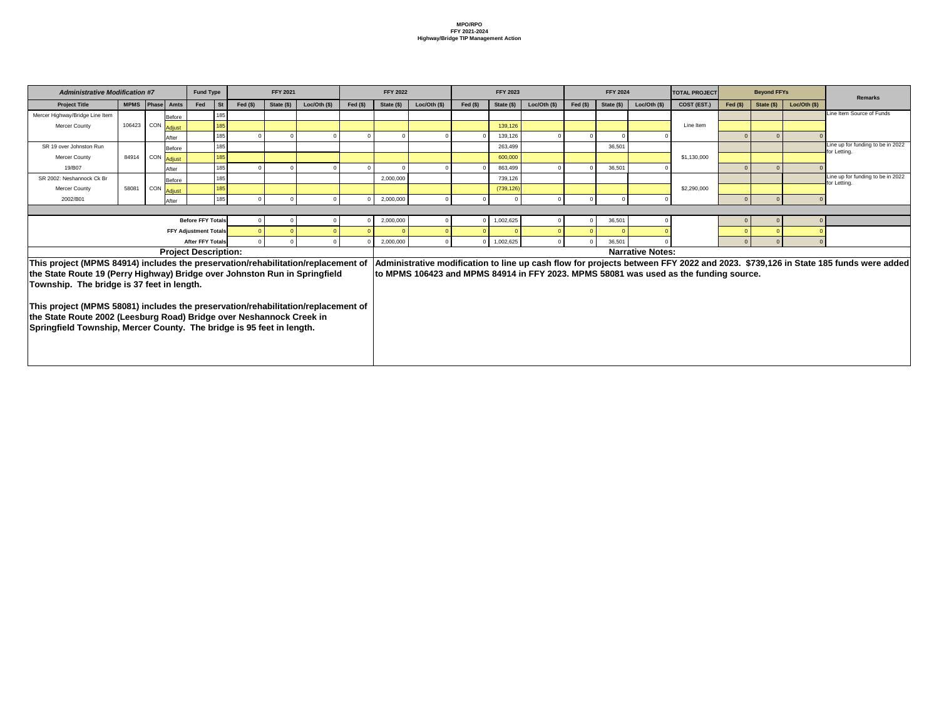| <b>Administrative Modification #7</b>                                                                                                                                                                                                                                                                                                                                                                                                               |                     |     |        | <b>Fund Type</b>             |            | <b>FFY 2021</b> |                |            | <b>FFY 2022</b> |             |            | <b>FFY 2023</b> |              |            | <b>FFY 2024</b> |                         | <b>TOTAL PROJECT</b>                                                                  |           | <b>Beyond FFYs</b> |             | <b>Remarks</b>                                                                                                                   |
|-----------------------------------------------------------------------------------------------------------------------------------------------------------------------------------------------------------------------------------------------------------------------------------------------------------------------------------------------------------------------------------------------------------------------------------------------------|---------------------|-----|--------|------------------------------|------------|-----------------|----------------|------------|-----------------|-------------|------------|-----------------|--------------|------------|-----------------|-------------------------|---------------------------------------------------------------------------------------|-----------|--------------------|-------------|----------------------------------------------------------------------------------------------------------------------------------|
| <b>Project Title</b>                                                                                                                                                                                                                                                                                                                                                                                                                                | MPMS   Phase   Amts |     |        | Fed<br><b>St</b>             | Fed $(\$)$ | State (\$)      | Loc/Oth $(\$)$ | Fed $(\$)$ | State (\$)      | Loc/Oh (\$) | Fed $(\$)$ | State (\$)      | Loc/Oth (\$) | Fed $(\$)$ | State (\$)      | Loc/Oth (\$)            | COST (EST.)                                                                           | Fed $($)$ | State (\$)         | Loc/Oh (\$) |                                                                                                                                  |
| Mercer Highway/Bridge Line Item                                                                                                                                                                                                                                                                                                                                                                                                                     |                     |     | Before | 185                          |            |                 |                |            |                 |             |            |                 |              |            |                 |                         |                                                                                       |           |                    |             | Line Item Source of Funds                                                                                                        |
| <b>Mercer County</b>                                                                                                                                                                                                                                                                                                                                                                                                                                | 106423 CON          |     | Adjust | 185                          |            |                 |                |            |                 |             |            | 139,126         |              |            |                 |                         | Line Item                                                                             |           |                    |             |                                                                                                                                  |
|                                                                                                                                                                                                                                                                                                                                                                                                                                                     |                     |     | After  | 185                          | $\Omega$   |                 |                |            |                 |             |            | 139,126         |              |            |                 |                         |                                                                                       |           |                    |             |                                                                                                                                  |
| SR 19 over Johnston Run                                                                                                                                                                                                                                                                                                                                                                                                                             |                     |     | Before | 185                          |            |                 |                |            |                 |             |            | 263,499         |              |            | 36,501          |                         |                                                                                       |           |                    |             | Line up for funding to be in 2022<br>for Letting.                                                                                |
| <b>Mercer County</b>                                                                                                                                                                                                                                                                                                                                                                                                                                | 84914 CON           |     | Adjust | 185                          |            |                 |                |            |                 |             |            | 600,000         |              |            |                 |                         | \$1,130,000                                                                           |           |                    |             |                                                                                                                                  |
| 19/B07                                                                                                                                                                                                                                                                                                                                                                                                                                              |                     |     | After  | 185                          |            |                 |                |            |                 |             |            | 863,499         |              |            | 36,501          |                         |                                                                                       |           |                    |             |                                                                                                                                  |
| SR 2002: Neshannock Ck Br                                                                                                                                                                                                                                                                                                                                                                                                                           |                     |     | Before | 185                          |            |                 |                |            | 2,000,000       |             |            | 739,126         |              |            |                 |                         |                                                                                       |           |                    |             | Line up for funding to be in 2022<br>for Letting.                                                                                |
| <b>Mercer County</b>                                                                                                                                                                                                                                                                                                                                                                                                                                | 58081               | CON | Adjust | 185                          |            |                 |                |            |                 |             |            | (739, 126)      |              |            |                 |                         | \$2,290,000                                                                           |           |                    |             |                                                                                                                                  |
| 2002/B01                                                                                                                                                                                                                                                                                                                                                                                                                                            |                     |     | After  | 185                          | $\Omega$   |                 |                |            | 2,000,000       |             |            |                 |              |            |                 |                         |                                                                                       |           | $\Omega$           |             |                                                                                                                                  |
|                                                                                                                                                                                                                                                                                                                                                                                                                                                     |                     |     |        |                              |            |                 |                |            |                 |             |            |                 |              |            |                 |                         |                                                                                       |           |                    |             |                                                                                                                                  |
|                                                                                                                                                                                                                                                                                                                                                                                                                                                     |                     |     |        | <b>Before FFY Totals</b>     |            |                 |                |            | 2,000,000       |             |            | 1,002,625       |              |            | 36,501          |                         |                                                                                       |           |                    |             |                                                                                                                                  |
|                                                                                                                                                                                                                                                                                                                                                                                                                                                     |                     |     |        | <b>FFY Adjustment Totals</b> |            |                 |                |            |                 |             |            |                 |              |            |                 |                         |                                                                                       |           |                    |             |                                                                                                                                  |
|                                                                                                                                                                                                                                                                                                                                                                                                                                                     |                     |     |        | <b>After FFY Totals</b>      |            |                 |                |            | 2,000,000       |             |            | 1,002,625       |              |            | 36,501          |                         |                                                                                       |           | $\Omega$           |             |                                                                                                                                  |
|                                                                                                                                                                                                                                                                                                                                                                                                                                                     |                     |     |        | <b>Project Description:</b>  |            |                 |                |            |                 |             |            |                 |              |            |                 | <b>Narrative Notes:</b> |                                                                                       |           |                    |             |                                                                                                                                  |
| This project (MPMS 84914) includes the preservation/rehabilitation/replacement of<br>the State Route 19 (Perry Highway) Bridge over Johnston Run in Springfield<br>Township. The bridge is 37 feet in length.<br>This project (MPMS 58081) includes the preservation/rehabilitation/replacement of<br>the State Route 2002 (Leesburg Road) Bridge over Neshannock Creek in<br>Springfield Township, Mercer County. The bridge is 95 feet in length. |                     |     |        |                              |            |                 |                |            |                 |             |            |                 |              |            |                 |                         | to MPMS 106423 and MPMS 84914 in FFY 2023. MPMS 58081 was used as the funding source. |           |                    |             | Administrative modification to line up cash flow for projects between FFY 2022 and 2023. \$739,126 in State 185 funds were added |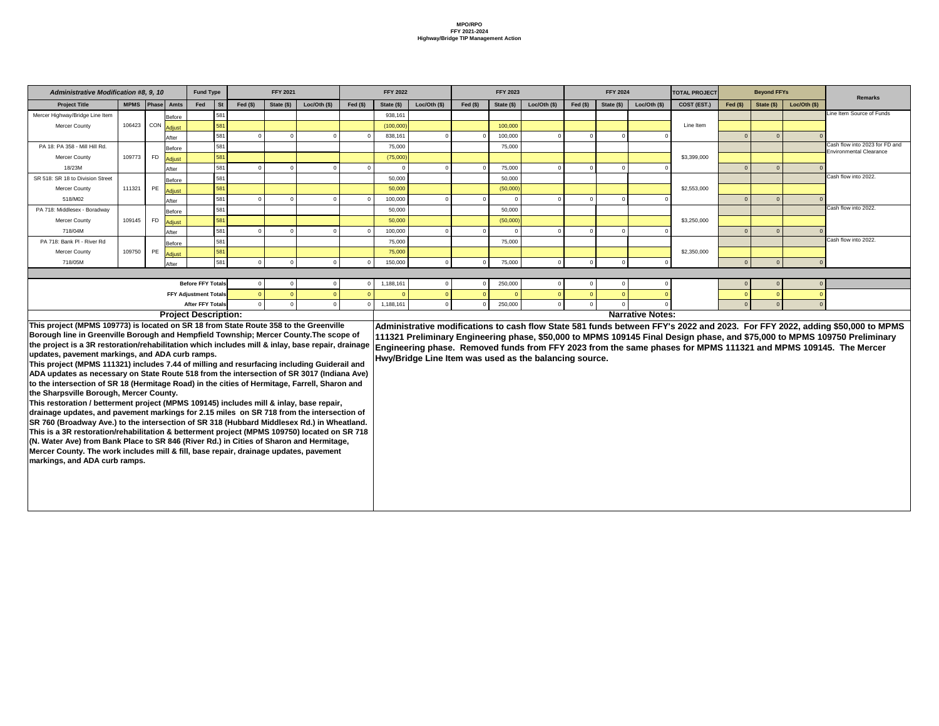| <b>Administrative Modification #8, 9, 10</b>                                                                                             |                     |           |               | <b>Fund Type</b>             |                        | <b>FFY 2021</b> |                |           | <b>FFY 2022</b> |                                                        |           | <b>FFY 2023</b> |                |           | <b>FFY 2024</b> |                         | <b>TOTAL PROJECT</b> |           | <b>Beyond FFYs</b> |               | <b>Remarks</b>                                                                                                               |
|------------------------------------------------------------------------------------------------------------------------------------------|---------------------|-----------|---------------|------------------------------|------------------------|-----------------|----------------|-----------|-----------------|--------------------------------------------------------|-----------|-----------------|----------------|-----------|-----------------|-------------------------|----------------------|-----------|--------------------|---------------|------------------------------------------------------------------------------------------------------------------------------|
| <b>Project Title</b>                                                                                                                     | MPMS   Phase   Amts |           |               | Fed                          | <b>St</b><br>Fed $($)$ | State (\$)      | Loc/Oth $(\$)$ | Fed $($)$ | State (\$)      | Loc/Oth $($)$                                          | Fed $($)$ | State (\$)      | Loc/Oth $(\$)$ | Fed $($)$ | State (\$)      | Loc/Oh (\$)             | COST (EST.)          | Fed $($)$ | State $(\$)$       | Loc/Oth $($)$ |                                                                                                                              |
| Mercer Highway/Bridge Line Item                                                                                                          |                     |           | <b>Before</b> |                              | 581                    |                 |                |           | 938,161         |                                                        |           |                 |                |           |                 |                         |                      |           |                    |               | Line Item Source of Funds                                                                                                    |
| Mercer County                                                                                                                            | 106423 CON Adjust   |           |               | 581                          |                        |                 |                |           | (100,000)       |                                                        |           | 100,000         |                |           |                 |                         | Line Item            |           |                    |               |                                                                                                                              |
|                                                                                                                                          |                     |           | After         |                              | 581                    |                 |                |           | 838,161         |                                                        |           | 100,000         |                |           |                 |                         |                      |           | $\Omega$           |               |                                                                                                                              |
| PA 18: PA 358 - Mill Hill Rd.                                                                                                            |                     |           | Before        | 581                          |                        |                 |                |           | 75,000          |                                                        |           | 75,000          |                |           |                 |                         |                      |           |                    |               | Cash flow into 2023 for FD and<br><b>Environmental Clearance</b>                                                             |
| <b>Mercer County</b>                                                                                                                     | 109773              | <b>FD</b> | <b>Adjust</b> | 581                          |                        |                 |                |           | (75,000)        |                                                        |           |                 |                |           |                 |                         | \$3,399,000          |           |                    |               |                                                                                                                              |
| 18/23M                                                                                                                                   |                     |           | After         |                              | 581                    |                 |                |           |                 |                                                        |           | 75,000          |                |           |                 |                         |                      |           |                    |               |                                                                                                                              |
| SR 518: SR 18 to Division Street                                                                                                         |                     |           | Before        |                              | 581                    |                 |                |           | 50,000          |                                                        |           | 50,000          |                |           |                 |                         |                      |           |                    |               | Cash flow into 2022.                                                                                                         |
| Mercer County                                                                                                                            | 111321              | PE        | Adjust        | 581                          |                        |                 |                |           | 50,000          |                                                        |           | (50,000)        |                |           |                 |                         | \$2,553,000          |           |                    |               |                                                                                                                              |
| 518/M02                                                                                                                                  |                     |           | After         |                              | 581                    |                 |                |           | 100,000         |                                                        |           |                 |                |           |                 |                         |                      |           |                    |               |                                                                                                                              |
| PA 718: Middlesex - Boradway                                                                                                             |                     |           | Before        | 581                          |                        |                 |                |           | 50,000          |                                                        |           | 50,000          |                |           |                 |                         |                      |           |                    |               | Cash flow into 2022                                                                                                          |
| <b>Mercer County</b>                                                                                                                     | 109145              | FD        | Adjust        | 581                          |                        |                 |                |           | 50,000          |                                                        |           | (50,000)        |                |           |                 |                         | \$3,250,000          |           |                    |               |                                                                                                                              |
| 718/04M                                                                                                                                  |                     |           | After         |                              | 581                    |                 |                |           | 100,000         |                                                        |           |                 |                |           |                 |                         |                      |           |                    |               |                                                                                                                              |
| PA 718: Bank PI - River Rd                                                                                                               |                     |           | <b>Before</b> | 581                          |                        |                 |                |           | 75,000          |                                                        |           | 75,000          |                |           |                 |                         |                      |           |                    |               | Cash flow into 2022                                                                                                          |
| Mercer County                                                                                                                            | 109750              | PE        | Adjust        | 581                          |                        |                 |                |           | 75,000          |                                                        |           |                 |                |           |                 |                         | \$2,350,000          |           |                    |               |                                                                                                                              |
| 718/05M                                                                                                                                  |                     |           | After         |                              | 581                    |                 |                |           | 150,000         |                                                        |           | 75,000          |                |           |                 |                         |                      |           | $\Omega$           |               |                                                                                                                              |
|                                                                                                                                          |                     |           |               |                              |                        |                 |                |           |                 |                                                        |           |                 |                |           |                 |                         |                      |           |                    |               |                                                                                                                              |
|                                                                                                                                          |                     |           |               | <b>Before FFY Totals</b>     |                        |                 |                |           | 1,188,161       |                                                        |           | 250,000         |                |           |                 |                         |                      |           |                    |               |                                                                                                                              |
|                                                                                                                                          |                     |           |               | <b>FFY Adjustment Totals</b> |                        |                 |                |           |                 |                                                        |           |                 |                |           |                 |                         |                      |           |                    |               |                                                                                                                              |
|                                                                                                                                          |                     |           |               | <b>After FFY Totals</b>      |                        |                 |                |           | 1,188,161       |                                                        |           | 250,000         |                |           |                 |                         |                      |           | $\Omega$           |               |                                                                                                                              |
|                                                                                                                                          |                     |           |               | <b>Project Description:</b>  |                        |                 |                |           |                 |                                                        |           |                 |                |           |                 | <b>Narrative Notes:</b> |                      |           |                    |               |                                                                                                                              |
| This project (MPMS 109773) is located on SR 18 from State Route 358 to the Greenville                                                    |                     |           |               |                              |                        |                 |                |           |                 |                                                        |           |                 |                |           |                 |                         |                      |           |                    |               | Administrative modifications to cash flow State 581 funds between FFY's 2022 and 2023. For FFY 2022, adding \$50,000 to MPMS |
| Borough line in Greenville Borough and Hempfield Township; Mercer County. The scope of                                                   |                     |           |               |                              |                        |                 |                |           |                 |                                                        |           |                 |                |           |                 |                         |                      |           |                    |               | 111321 Preliminary Engineering phase, \$50,000 to MPMS 109145 Final Design phase, and \$75,000 to MPMS 109750 Preliminary    |
| the project is a 3R restoration/rehabilitation which includes mill & inlay, base repair, drainage                                        |                     |           |               |                              |                        |                 |                |           |                 |                                                        |           |                 |                |           |                 |                         |                      |           |                    |               | Engineering phase. Removed funds from FFY 2023 from the same phases for MPMS 111321 and MPMS 109145. The Mercer              |
| updates, pavement markings, and ADA curb ramps.                                                                                          |                     |           |               |                              |                        |                 |                |           |                 | Hwy/Bridge Line Item was used as the balancing source. |           |                 |                |           |                 |                         |                      |           |                    |               |                                                                                                                              |
| This project (MPMS 111321) includes 7.44 of milling and resurfacing including Guiderail and                                              |                     |           |               |                              |                        |                 |                |           |                 |                                                        |           |                 |                |           |                 |                         |                      |           |                    |               |                                                                                                                              |
| ADA updates as necessary on State Route 518 from the intersection of SR 3017 (Indiana Ave)                                               |                     |           |               |                              |                        |                 |                |           |                 |                                                        |           |                 |                |           |                 |                         |                      |           |                    |               |                                                                                                                              |
| to the intersection of SR 18 (Hermitage Road) in the cities of Hermitage, Farrell, Sharon and<br>the Sharpsville Borough, Mercer County. |                     |           |               |                              |                        |                 |                |           |                 |                                                        |           |                 |                |           |                 |                         |                      |           |                    |               |                                                                                                                              |
| This restoration / betterment project (MPMS 109145) includes mill & inlay, base repair,                                                  |                     |           |               |                              |                        |                 |                |           |                 |                                                        |           |                 |                |           |                 |                         |                      |           |                    |               |                                                                                                                              |
| drainage updates, and pavement markings for 2.15 miles on SR 718 from the intersection of                                                |                     |           |               |                              |                        |                 |                |           |                 |                                                        |           |                 |                |           |                 |                         |                      |           |                    |               |                                                                                                                              |
| SR 760 (Broadway Ave.) to the intersection of SR 318 (Hubbard Middlesex Rd.) in Wheatland.                                               |                     |           |               |                              |                        |                 |                |           |                 |                                                        |           |                 |                |           |                 |                         |                      |           |                    |               |                                                                                                                              |
| This is a 3R restoration/rehabilitation & betterment project (MPMS 109750) located on SR 718                                             |                     |           |               |                              |                        |                 |                |           |                 |                                                        |           |                 |                |           |                 |                         |                      |           |                    |               |                                                                                                                              |
| (N. Water Ave) from Bank Place to SR 846 (River Rd.) in Cities of Sharon and Hermitage,                                                  |                     |           |               |                              |                        |                 |                |           |                 |                                                        |           |                 |                |           |                 |                         |                      |           |                    |               |                                                                                                                              |
| Mercer County. The work includes mill & fill, base repair, drainage updates, pavement                                                    |                     |           |               |                              |                        |                 |                |           |                 |                                                        |           |                 |                |           |                 |                         |                      |           |                    |               |                                                                                                                              |
| markings, and ADA curb ramps.                                                                                                            |                     |           |               |                              |                        |                 |                |           |                 |                                                        |           |                 |                |           |                 |                         |                      |           |                    |               |                                                                                                                              |
|                                                                                                                                          |                     |           |               |                              |                        |                 |                |           |                 |                                                        |           |                 |                |           |                 |                         |                      |           |                    |               |                                                                                                                              |
|                                                                                                                                          |                     |           |               |                              |                        |                 |                |           |                 |                                                        |           |                 |                |           |                 |                         |                      |           |                    |               |                                                                                                                              |
|                                                                                                                                          |                     |           |               |                              |                        |                 |                |           |                 |                                                        |           |                 |                |           |                 |                         |                      |           |                    |               |                                                                                                                              |
|                                                                                                                                          |                     |           |               |                              |                        |                 |                |           |                 |                                                        |           |                 |                |           |                 |                         |                      |           |                    |               |                                                                                                                              |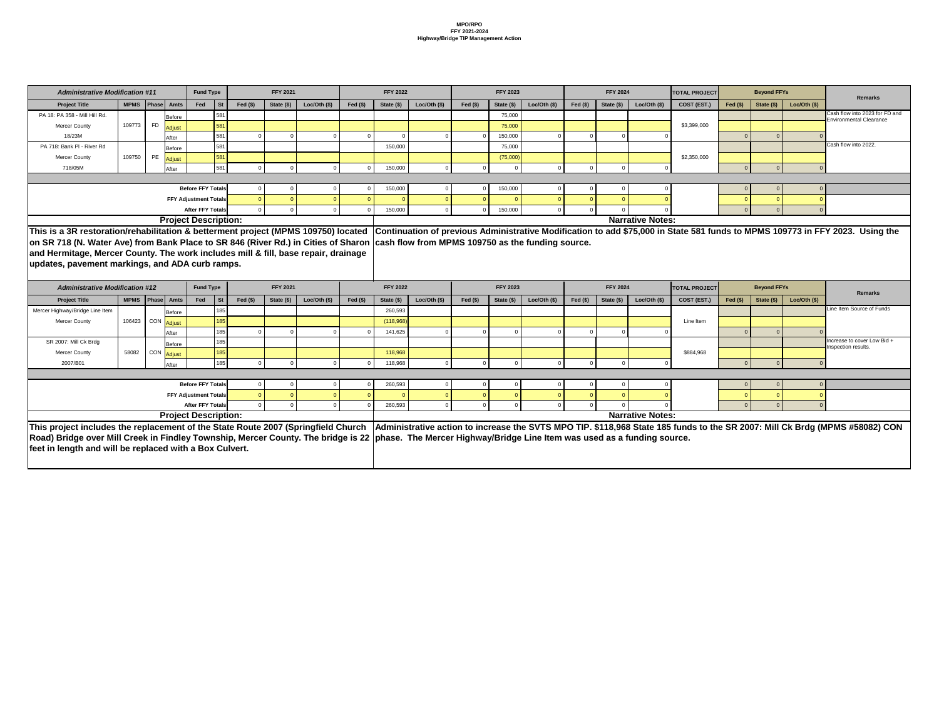| <b>Administrative Modification #11</b>                                                                                                                      |                     |    |                         | <b>Fund Type</b>             |           | <b>FFY 2021</b> |                |            | <b>FFY 2022</b> |                |            | <b>FFY 2023</b> |                |            | <b>FFY 2024</b> |                         | <b>TOTAL PROJECT</b> |            | <b>Beyond FFYs</b> |                |                                                                                                                               |
|-------------------------------------------------------------------------------------------------------------------------------------------------------------|---------------------|----|-------------------------|------------------------------|-----------|-----------------|----------------|------------|-----------------|----------------|------------|-----------------|----------------|------------|-----------------|-------------------------|----------------------|------------|--------------------|----------------|-------------------------------------------------------------------------------------------------------------------------------|
| <b>Project Title</b>                                                                                                                                        | MPMS Phase Amts     |    |                         | <b>St</b><br>Fed             | Fed $(s)$ | State (\$)      | Loc/Oth $($)$  | Fed $(\$)$ | State (\$)      | Loc/Oth $($)$  | Fed $(\$)$ | State (\$)      | Loc/Oth $($)$  | Fed $(\$)$ | State (\$)      | Loc/Oth $($)$           | COST (EST.)          | Fed $(\$)$ | State $(\$)$       | Loc/Oh (\$)    | Remarks                                                                                                                       |
| PA 18: PA 358 - Mill Hill Rd.                                                                                                                               |                     |    | <b>Before</b>           | 581                          |           |                 |                |            |                 |                |            | 75,000          |                |            |                 |                         |                      |            |                    |                | Cash flow into 2023 for FD and                                                                                                |
| <b>Mercer County</b>                                                                                                                                        | 109773              | FD | <b>Adjust</b>           | 581                          |           |                 |                |            |                 |                |            | 75,000          |                |            |                 |                         | \$3,399,000          |            |                    |                | <b>Environmental Clearance</b>                                                                                                |
| 18/23M                                                                                                                                                      |                     |    | After                   | 581                          |           |                 |                |            |                 |                |            | 150,000         |                |            |                 |                         |                      |            |                    |                |                                                                                                                               |
| PA 718: Bank PI - River Rd                                                                                                                                  |                     |    | <b>Before</b>           | 581                          |           |                 |                |            | 150,000         |                |            | 75,000          |                |            |                 |                         |                      |            |                    |                | Cash flow into 2022.                                                                                                          |
| <b>Mercer County</b>                                                                                                                                        | 109750              | PE | <b>Adjust</b>           | 581                          |           |                 |                |            |                 |                |            | (75,000)        |                |            |                 |                         | \$2,350,000          |            |                    |                |                                                                                                                               |
| 718/05M                                                                                                                                                     |                     |    | After                   | 581                          |           |                 |                |            | 150,000         |                |            |                 |                |            |                 |                         |                      |            |                    |                |                                                                                                                               |
|                                                                                                                                                             |                     |    |                         |                              |           |                 |                |            |                 |                |            |                 |                |            |                 |                         |                      |            |                    |                |                                                                                                                               |
|                                                                                                                                                             |                     |    |                         | <b>Before FFY Totals</b>     |           |                 |                |            | 150,000         |                |            | 150,000         |                |            |                 |                         |                      |            |                    |                |                                                                                                                               |
|                                                                                                                                                             |                     |    |                         | <b>FFY Adjustment Totals</b> |           |                 |                |            |                 |                |            |                 |                |            |                 |                         |                      |            |                    |                |                                                                                                                               |
|                                                                                                                                                             |                     |    |                         | <b>After FFY Totals</b>      |           |                 |                |            | 150,000         |                |            | 150,000         |                |            |                 |                         |                      |            |                    |                |                                                                                                                               |
|                                                                                                                                                             |                     |    |                         | <b>Project Description:</b>  |           |                 |                |            |                 |                |            |                 |                |            |                 | <b>Narrative Notes:</b> |                      |            |                    |                |                                                                                                                               |
| This is a 3R restoration/rehabilitation & betterment project (MPMS 109750) located                                                                          |                     |    |                         |                              |           |                 |                |            |                 |                |            |                 |                |            |                 |                         |                      |            |                    |                | Continuation of previous Administrative Modification to add \$75,000 in State 581 funds to MPMS 109773 in FFY 2023. Using the |
| on SR 718 (N. Water Ave) from Bank Place to SR 846 (River Rd.) in Cities of Sharon  cash flow from MPMS 109750 as the funding source.                       |                     |    |                         |                              |           |                 |                |            |                 |                |            |                 |                |            |                 |                         |                      |            |                    |                |                                                                                                                               |
| and Hermitage, Mercer County. The work includes mill & fill, base repair, drainage                                                                          |                     |    |                         |                              |           |                 |                |            |                 |                |            |                 |                |            |                 |                         |                      |            |                    |                |                                                                                                                               |
|                                                                                                                                                             |                     |    |                         |                              |           |                 |                |            |                 |                |            |                 |                |            |                 |                         |                      |            |                    |                |                                                                                                                               |
| updates, pavement markings, and ADA curb ramps.                                                                                                             |                     |    |                         |                              |           |                 |                |            |                 |                |            |                 |                |            |                 |                         |                      |            |                    |                |                                                                                                                               |
|                                                                                                                                                             |                     |    |                         |                              |           |                 |                |            |                 |                |            |                 |                |            |                 |                         |                      |            |                    |                |                                                                                                                               |
| <b>Administrative Modification #12</b>                                                                                                                      |                     |    |                         | <b>Fund Type</b>             |           | <b>FFY 2021</b> |                |            | <b>FFY 2022</b> |                |            | <b>FFY 2023</b> |                |            | <b>FFY 2024</b> |                         | <b>TOTAL PROJECT</b> |            | <b>Beyond FFYs</b> |                |                                                                                                                               |
| <b>Project Title</b>                                                                                                                                        | MPMS   Phase   Amts |    |                         | Fed<br><b>St</b>             | Fed $(s)$ | State (\$)      | Loc/Oth $(\$)$ | Fed $($)$  | State (\$)      | Loc/Oth $(\$)$ | Fed $($)$  | State (\$)      | Loc/Oth $(\$)$ | Fed $($)$  | State (\$)      | Loc/Oth (\$)            | COST (EST.)          | Fed $(\$)$ | State (\$)         | Loc/Oth $(\$)$ | <b>Remarks</b>                                                                                                                |
| Mercer Highway/Bridge Line Item                                                                                                                             |                     |    | <b>Before</b>           |                              | 185       |                 |                |            | 260,593         |                |            |                 |                |            |                 |                         |                      |            |                    |                | Line Item Source of Funds                                                                                                     |
| <b>Mercer County</b>                                                                                                                                        | 106423              |    | CON Adjust              | 185                          |           |                 |                |            | (118,968)       |                |            |                 |                |            |                 |                         | Line Item            |            |                    |                |                                                                                                                               |
|                                                                                                                                                             |                     |    | After                   |                              | 185       |                 |                |            | 141,625         |                |            |                 |                |            |                 |                         |                      |            |                    |                |                                                                                                                               |
| SR 2007: Mill Ck Brdg                                                                                                                                       |                     |    | Before                  |                              | 185       |                 |                |            |                 |                |            |                 |                |            |                 |                         |                      |            |                    |                | Increase to cover Low Bid +                                                                                                   |
| <b>Mercer County</b>                                                                                                                                        | 58082               |    | <sub>I</sub> CON Adjust | 185                          |           |                 |                |            | 118,968         |                |            |                 |                |            |                 |                         | \$884,968            |            |                    |                | Inspection results.                                                                                                           |
| 2007/B01                                                                                                                                                    |                     |    | After                   |                              | 185       |                 |                |            | 118,968         |                |            |                 |                |            |                 |                         |                      |            |                    |                |                                                                                                                               |
|                                                                                                                                                             |                     |    |                         |                              |           |                 |                |            |                 |                |            |                 |                |            |                 |                         |                      |            |                    |                |                                                                                                                               |
|                                                                                                                                                             |                     |    |                         | <b>Before FFY Totals</b>     |           |                 |                |            | 260,593         |                |            |                 |                |            |                 |                         |                      |            |                    |                |                                                                                                                               |
|                                                                                                                                                             |                     |    |                         | <b>FFY Adjustment Totals</b> |           |                 |                |            |                 |                |            |                 |                |            |                 |                         |                      |            |                    |                |                                                                                                                               |
|                                                                                                                                                             |                     |    |                         | <b>After FFY Totals</b>      |           |                 |                |            | 260,593         |                |            |                 |                |            |                 |                         |                      |            |                    |                |                                                                                                                               |
|                                                                                                                                                             |                     |    |                         | <b>Project Description:</b>  |           |                 |                |            |                 |                |            |                 |                |            |                 | <b>Narrative Notes:</b> |                      |            |                    |                |                                                                                                                               |
| This project includes the replacement of the State Route 2007 (Springfield Church                                                                           |                     |    |                         |                              |           |                 |                |            |                 |                |            |                 |                |            |                 |                         |                      |            |                    |                | Administrative action to increase the SVTS MPO TIP. \$118,968 State 185 funds to the SR 2007: Mill Ck Brdg (MPMS #58082) CON  |
| Road) Bridge over Mill Creek in Findley Township, Mercer County. The bridge is 22  phase. The Mercer Highway/Bridge Line Item was used as a funding source. |                     |    |                         |                              |           |                 |                |            |                 |                |            |                 |                |            |                 |                         |                      |            |                    |                |                                                                                                                               |
| feet in length and will be replaced with a Box Culvert.                                                                                                     |                     |    |                         |                              |           |                 |                |            |                 |                |            |                 |                |            |                 |                         |                      |            |                    |                |                                                                                                                               |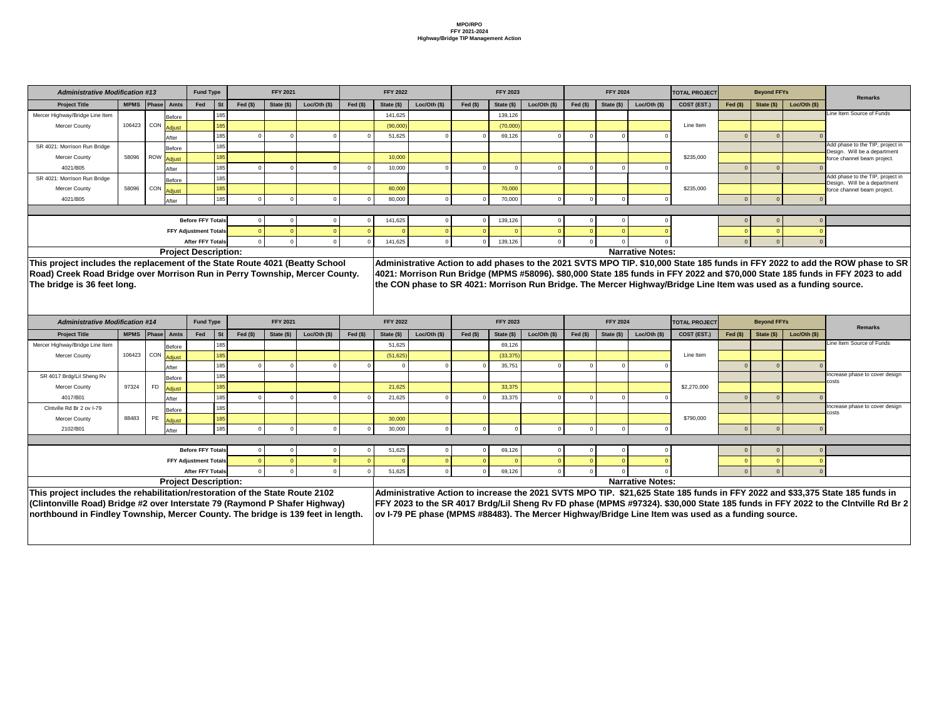|                | <b>Fund Type</b>             |           |           | <b>FFY 2021</b> |                                               |            | <b>FFY 2022</b> |             |           | <b>FFY 2023</b> |             |           | <b>FFY 2024</b> |                         | <b>TOTAL PROJECT</b> |            | <b>Beyond FFYs</b> |             | <b>Remarks</b>                                                                                                                |
|----------------|------------------------------|-----------|-----------|-----------------|-----------------------------------------------|------------|-----------------|-------------|-----------|-----------------|-------------|-----------|-----------------|-------------------------|----------------------|------------|--------------------|-------------|-------------------------------------------------------------------------------------------------------------------------------|
| <b>Amts</b>    | Fed                          | <b>St</b> | Fed $(§)$ | State $(\$)$    | Loc/Oh (\$)                                   | Fed $(\$)$ | State (\$)      | Loc/Oh (\$) | Fed $($)$ | State (\$)      | Loc/Oh (\$) | Fed $($)$ | State (\$)      | Loc/Oh (\$)             | COST (EST.)          | Fed $(\$)$ | State (\$)         | Loc/Oh (\$) |                                                                                                                               |
| Before         |                              | 185       |           |                 |                                               |            | 141,625         |             |           | 139,126         |             |           |                 |                         |                      |            |                    |             | Line Item Source of Funds                                                                                                     |
| <u>Adjust</u>  |                              | 185       |           |                 |                                               |            | (90,000)        |             |           | (70,000)        |             |           |                 |                         | Line Item            |            |                    |             |                                                                                                                               |
| After          |                              | 185       |           |                 |                                               |            | 51,625          |             |           | 69,126          |             |           |                 |                         |                      |            |                    |             |                                                                                                                               |
| Before         |                              | 185       |           |                 |                                               |            |                 |             |           |                 |             |           |                 |                         |                      |            |                    |             | Add phase to the TIP, project in<br>Design. Will be a department                                                              |
| <u>Adjust_</u> |                              | 185       |           |                 |                                               |            | 10,000          |             |           |                 |             |           |                 |                         | \$235,000            |            |                    |             | force channel beam project.                                                                                                   |
| After          |                              | 185       |           |                 |                                               |            | 10,000          |             |           |                 |             |           |                 |                         |                      |            |                    |             |                                                                                                                               |
| Before         |                              | 185       |           |                 |                                               |            |                 |             |           |                 |             |           |                 |                         |                      |            |                    |             | Add phase to the TIP, project in<br>Design. Will be a department                                                              |
| <u>Adjust_</u> |                              | 185       |           |                 |                                               |            | 80,000          |             |           | 70,000          |             |           |                 |                         | \$235,000            |            |                    |             | force channel beam project.                                                                                                   |
| After          |                              | 185       |           |                 |                                               |            | 80,000          |             |           | 70,000          |             |           |                 |                         |                      |            |                    |             |                                                                                                                               |
|                |                              |           |           |                 |                                               |            |                 |             |           |                 |             |           |                 |                         |                      |            |                    |             |                                                                                                                               |
|                | <b>Before FFY Totals</b>     |           |           |                 |                                               |            | 141,625         |             |           | 139,126         |             |           |                 |                         |                      |            |                    |             |                                                                                                                               |
|                | <b>FFY Adjustment Totals</b> |           |           |                 |                                               |            |                 |             |           |                 |             |           |                 |                         |                      |            |                    |             |                                                                                                                               |
|                | <b>After FFY Totals</b>      |           |           |                 |                                               |            | 141,625         |             |           | 139,126         |             |           |                 |                         |                      |            |                    |             |                                                                                                                               |
|                | roject Description:          |           |           |                 |                                               |            |                 |             |           |                 |             |           |                 | <b>Narrative Notes:</b> |                      |            |                    |             |                                                                                                                               |
|                |                              |           |           |                 | nent of the State Route 4021 (Beatty School   |            |                 |             |           |                 |             |           |                 |                         |                      |            |                    |             | Administrative Action to add phases to the 2021 SVTS MPO TIP. \$10,000 State 185 funds in FFY 2022 to add the ROW phase to SR |
|                |                              |           |           |                 | orrison Run in Perry Township, Mercer County. |            |                 |             |           |                 |             |           |                 |                         |                      |            |                    |             | 4021: Morrison Run Bridge (MPMS #58096). \$80,000 State 185 funds in FFY 2022 and \$70,000 State 185 funds in FFY 2023 to add |
|                |                              |           |           |                 |                                               |            |                 |             |           |                 |             |           |                 |                         |                      |            |                    |             |                                                                                                                               |

Morrison Run Bridge. The Mercer Highway/Bridge Line Item was used as a funding source.

| <b>Administrative Modification #13</b>                                           |                     |           |                         | <b>Fund Type</b>             |           |           | <b>FFY 2021</b> |              |            | <b>FFY 2022</b> |                 |            | <b>FFY 2023</b> |                 |            | <b>FFY 2024</b> |                         | <b>TOTAL PROJECT</b>                                                                                        |            | <b>Beyond FFYs</b> |                |
|----------------------------------------------------------------------------------|---------------------|-----------|-------------------------|------------------------------|-----------|-----------|-----------------|--------------|------------|-----------------|-----------------|------------|-----------------|-----------------|------------|-----------------|-------------------------|-------------------------------------------------------------------------------------------------------------|------------|--------------------|----------------|
| <b>Project Title</b>                                                             | MPMS   Phase   Amts |           |                         | Fed                          | <b>St</b> | Fed $($)$ | State (\$)      | Loc/Oh (\$)  | Fed $(\$)$ | State (\$)      | Loc/Oth $($ \$) | Fed $(\$)$ | State (\$)      | Loc/Oth $($ \$) | Fed $($)$  | State (\$)      | Loc/Oth (\$)            | COST (EST.)                                                                                                 | Fed $(\$)$ | State (\$)         | Loc/Oth $(\$)$ |
| Mercer Highway/Bridge Line Item                                                  |                     |           | Before                  |                              |           |           |                 |              |            | 141,625         |                 |            | 139,126         |                 |            |                 |                         |                                                                                                             |            |                    |                |
| <b>Mercer County</b>                                                             | 106423 CON Adjust   |           |                         |                              | 185       |           |                 |              |            | (90,000)        |                 |            | (70,000)        |                 |            |                 |                         | Line Item                                                                                                   |            |                    |                |
|                                                                                  |                     |           | After                   |                              | 185       |           |                 |              |            | 51,625          |                 |            | 69,126          |                 | $\Omega$   |                 |                         |                                                                                                             |            |                    |                |
| SR 4021: Morrison Run Bridge                                                     |                     |           | Before                  |                              | 185       |           |                 |              |            |                 |                 |            |                 |                 |            |                 |                         |                                                                                                             |            |                    |                |
| <b>Mercer County</b>                                                             | 58096               |           | ROW <mark>Adjust</mark> |                              | 185       |           |                 |              |            | 10,000          |                 |            |                 |                 |            |                 |                         | \$235,000                                                                                                   |            |                    |                |
| 4021/B05                                                                         |                     |           | After                   |                              | 185       |           |                 |              |            | 10,000          |                 |            |                 |                 | $\Omega$   |                 |                         |                                                                                                             |            |                    |                |
| SR 4021: Morrison Run Bridge                                                     |                     |           | Before                  |                              | 185       |           |                 |              |            |                 |                 |            |                 |                 |            |                 |                         |                                                                                                             |            |                    |                |
| <b>Mercer County</b>                                                             | 58096               |           | <sub>I</sub> CON Adjust |                              | 185       |           |                 |              |            | 80,000          |                 |            | 70,000          |                 |            |                 |                         | \$235,000                                                                                                   |            |                    |                |
| 4021/B05                                                                         |                     |           | After                   |                              | 185       |           |                 |              |            | 80,000          |                 |            | 70,000          |                 |            |                 |                         |                                                                                                             |            |                    |                |
|                                                                                  |                     |           |                         |                              |           |           |                 |              |            |                 |                 |            |                 |                 |            |                 |                         |                                                                                                             |            |                    |                |
|                                                                                  |                     |           |                         | <b>Before FFY Totals</b>     |           |           |                 |              |            | 141,625         |                 |            | 139,126         |                 |            |                 |                         |                                                                                                             |            |                    |                |
|                                                                                  |                     |           |                         | <b>FFY Adjustment Totals</b> |           |           |                 |              |            |                 |                 |            |                 | $\Omega$        |            |                 |                         |                                                                                                             |            |                    |                |
|                                                                                  |                     |           |                         | <b>After FFY Totals</b>      |           |           |                 |              |            | 141,625         |                 |            | 139,126         | $\Omega$        |            |                 |                         |                                                                                                             |            |                    |                |
|                                                                                  |                     |           |                         | <b>Project Description:</b>  |           |           |                 |              |            |                 |                 |            |                 |                 |            |                 | <b>Narrative Notes:</b> |                                                                                                             |            |                    |                |
| This project includes the replacement of the State Route 4021 (Beatty School     |                     |           |                         |                              |           |           |                 |              |            |                 |                 |            |                 |                 |            |                 |                         | Administrative Action to add phases to the 2021 SVTS MPO TIP. \$10,000 State 185 funds in FFY 2022 to add t |            |                    |                |
| Road) Creek Road Bridge over Morrison Run in Perry Township, Mercer County.      |                     |           |                         |                              |           |           |                 |              |            |                 |                 |            |                 |                 |            |                 |                         | 4021: Morrison Run Bridge (MPMS #58096). \$80,000 State 185 funds in FFY 2022 and \$70,000 State 185 funds  |            |                    |                |
| The bridge is 36 feet long.                                                      |                     |           |                         |                              |           |           |                 |              |            |                 |                 |            |                 |                 |            |                 |                         | the CON phase to SR 4021: Morrison Run Bridge. The Mercer Highway/Bridge Line Item was used as a fundir     |            |                    |                |
|                                                                                  |                     |           |                         |                              |           |           |                 |              |            |                 |                 |            |                 |                 |            |                 |                         |                                                                                                             |            |                    |                |
|                                                                                  |                     |           |                         |                              |           |           |                 |              |            |                 |                 |            |                 |                 |            |                 |                         |                                                                                                             |            |                    |                |
|                                                                                  |                     |           |                         |                              |           |           |                 |              |            |                 |                 |            |                 |                 |            |                 |                         |                                                                                                             |            |                    |                |
|                                                                                  |                     |           |                         |                              |           |           |                 |              |            |                 |                 |            |                 |                 |            |                 |                         |                                                                                                             |            |                    |                |
| <b>Administrative Modification #14</b>                                           |                     |           |                         | <b>Fund Type</b>             |           |           | <b>FFY 2021</b> |              |            | <b>FFY 2022</b> |                 |            | <b>FFY 2023</b> |                 |            | <b>FFY 2024</b> |                         | <b>TOTAL PROJECT</b>                                                                                        |            | <b>Beyond FFYs</b> |                |
| <b>Project Title</b>                                                             | MPMS Phase          |           | <b>Amts</b>             | Fed                          | <b>St</b> | Fed $($)$ | State (\$)      | Loc/Oth (\$) | Fed $($)$  | State (\$)      | Loc/Oth (\$)    | Fed $($)$  | State (\$)      | Loc/Oth (\$)    | Fed $(\$)$ | State (\$)      | Loc/Oth (\$)            | COST (EST.)                                                                                                 | Fed $($)$  | State (\$)         | Loc/Oth (\$)   |
| Mercer Highway/Bridge Line Item                                                  |                     |           | Before                  |                              | 185       |           |                 |              |            | 51,625          |                 |            | 69,126          |                 |            |                 |                         |                                                                                                             |            |                    |                |
| <b>Mercer County</b>                                                             |                     |           |                         |                              | 185       |           |                 |              |            | (51, 625)       |                 |            | (33, 375)       |                 |            |                 |                         | Line Item                                                                                                   |            |                    |                |
|                                                                                  | 106423 CON Adjust   |           | After                   |                              | 185       |           |                 |              |            |                 |                 |            | 35,751          |                 |            |                 |                         |                                                                                                             |            |                    |                |
| SR 4017 Brdg/Lil Sheng Rv                                                        |                     |           | Before                  |                              | 185       |           |                 |              |            |                 |                 |            |                 |                 |            |                 |                         |                                                                                                             |            |                    |                |
| <b>Mercer County</b>                                                             | 97324               | <b>FD</b> | <b>Adjust</b>           |                              | 185       |           |                 |              |            | 21,625          |                 |            | 33,375          |                 |            |                 |                         | \$2,270,000                                                                                                 |            |                    |                |
| 4017/B01                                                                         |                     |           | After                   |                              | 185       |           |                 |              |            | 21,625          |                 |            | 33,375          |                 |            |                 |                         |                                                                                                             |            |                    |                |
| Cintville Rd Br 2 ov I-79                                                        |                     |           | Before                  |                              | 185       |           |                 |              |            |                 |                 |            |                 |                 |            |                 |                         |                                                                                                             |            |                    |                |
| <b>Mercer County</b>                                                             | 88483               | PE        | Adjust                  |                              | 185       |           |                 |              |            | 30,000          |                 |            |                 |                 |            |                 |                         | \$790,000                                                                                                   |            |                    |                |
| 2102/B01                                                                         |                     |           | After                   |                              | 185       |           |                 |              |            | 30,000          |                 |            |                 |                 |            |                 |                         |                                                                                                             |            |                    |                |
|                                                                                  |                     |           |                         |                              |           |           |                 |              |            |                 |                 |            |                 |                 |            |                 |                         |                                                                                                             |            |                    |                |
|                                                                                  |                     |           |                         | <b>Before FFY Totals</b>     |           |           |                 |              |            | 51,625          |                 |            | 69,126          |                 |            |                 |                         |                                                                                                             |            |                    |                |
|                                                                                  |                     |           |                         | <b>FFY Adjustment Totals</b> |           |           |                 |              |            |                 |                 |            |                 |                 |            |                 |                         |                                                                                                             |            |                    |                |
|                                                                                  |                     |           |                         | <b>After FFY Totals</b>      |           |           |                 |              |            | 51,625          |                 |            | 69,126          | $\Omega$        |            |                 |                         |                                                                                                             |            |                    |                |
|                                                                                  |                     |           |                         | <b>Project Description:</b>  |           |           |                 |              |            |                 |                 |            |                 |                 |            |                 | <b>Narrative Notes:</b> |                                                                                                             |            |                    |                |
|                                                                                  |                     |           |                         |                              |           |           |                 |              |            |                 |                 |            |                 |                 |            |                 |                         |                                                                                                             |            |                    |                |
| This project includes the rehabilitation/restoration of the State Route 2102     |                     |           |                         |                              |           |           |                 |              |            |                 |                 |            |                 |                 |            |                 |                         | Administrative Action to increase the 2021 SVTS MPO TIP. \$21,625 State 185 funds in FFY 2022 and \$33,375  |            |                    |                |
| (Clintonville Road) Bridge #2 over Interstate 79 (Raymond P Shafer Highway)      |                     |           |                         |                              |           |           |                 |              |            |                 |                 |            |                 |                 |            |                 |                         | FFY 2023 to the SR 4017 Brdg/Lil Sheng Rv FD phase (MPMS #97324). \$30,000 State 185 funds in FFY 2022 to   |            |                    |                |
| northbound in Findley Township, Mercer County. The bridge is 139 feet in length. |                     |           |                         |                              |           |           |                 |              |            |                 |                 |            |                 |                 |            |                 |                         | ov I-79 PE phase (MPMS #88483). The Mercer Highway/Bridge Line Item was used as a funding source.           |            |                    |                |
|                                                                                  |                     |           |                         |                              |           |           |                 |              |            |                 |                 |            |                 |                 |            |                 |                         |                                                                                                             |            |                    |                |

rease the 2021 SVTS MPO TIP. \$21,625 State 185 funds in FFY 2022 and \$33,375 State 185 funds in <sup>.</sup> **FFY 2023 to the SR 4017 Brdg/Lil Sheng Rv FD phase (MPMS #97324). \$30,000 State 185 funds in FFY 2022 to the Clntville Rd Br 2 ov I-79 PE phase (MPMS #88483). The Mercer Highway/Bridge Line Item was used as a funding source.**

|               | <b>Fund Type</b>             |           |           | <b>FFY 2021</b> |                |           | <b>FFY 2022</b> |               |           | <b>FFY 2023</b> |                |           | <b>FFY 2024</b> |                         | <b>TOTAL PROJECT</b> |           | <b>Beyond FFYs</b> |              | Remarks                                 |
|---------------|------------------------------|-----------|-----------|-----------------|----------------|-----------|-----------------|---------------|-----------|-----------------|----------------|-----------|-----------------|-------------------------|----------------------|-----------|--------------------|--------------|-----------------------------------------|
| <b>Amts</b>   | Fed                          | <b>St</b> | Fed $($)$ | State (\$)      | Loc/Oth $(\$)$ | Fed $($)$ | State (\$)      | Loc/Oth $($)$ | Fed $($)$ | State (\$)      | Loc/Oth $(\$)$ | Fed $($)$ | State (\$)      | Loc/Oth $($)$           | COST (EST.)          | Fed $($)$ | State (\$)         | Loc/Oth (\$) |                                         |
| Before        |                              | 185       |           |                 |                |           | 51,625          |               |           | 69,126          |                |           |                 |                         |                      |           |                    |              | Line Item Source of Funds               |
| <u>Adjust</u> |                              | 185       |           |                 |                |           | (51, 625)       |               |           | (33, 375)       |                |           |                 |                         | Line Item            |           |                    |              |                                         |
| After         |                              | 185       |           |                 |                |           |                 |               |           | 35,751          |                |           |                 |                         |                      |           |                    |              |                                         |
| Before        |                              | 185       |           |                 |                |           |                 |               |           |                 |                |           |                 |                         |                      |           |                    |              | Increase phase to cover design<br>costs |
| Adjust        |                              | 185       |           |                 |                |           | 21,625          |               |           | 33,375          |                |           |                 |                         | \$2,270,000          |           |                    |              |                                         |
| After         |                              | 185       |           |                 |                |           | 21,625          |               |           | 33,375          |                |           |                 |                         |                      |           |                    |              |                                         |
| Before        |                              | 185       |           |                 |                |           |                 |               |           |                 |                |           |                 |                         |                      |           |                    |              | Increase phase to cover design<br>costs |
| Adjust        |                              | 185       |           |                 |                |           | 30,000          |               |           |                 |                |           |                 |                         | \$790,000            |           |                    |              |                                         |
| After         |                              | 185       |           | $\Omega$        |                |           | 30,000          | $\Omega$      |           |                 |                | - ( )     |                 |                         |                      |           |                    |              |                                         |
|               |                              |           |           |                 |                |           |                 |               |           |                 |                |           |                 |                         |                      |           |                    |              |                                         |
|               | <b>Before FFY Totals</b>     |           |           |                 |                |           | 51,625          |               |           | 69,126          |                |           |                 |                         |                      |           |                    |              |                                         |
|               | <b>FFY Adjustment Totals</b> |           |           |                 |                |           |                 |               |           |                 |                |           |                 |                         |                      |           |                    |              |                                         |
|               | After FFY Totals             |           |           | $\Omega$        |                |           | 51,625          |               |           | 69,126          |                |           |                 |                         |                      |           |                    |              |                                         |
|               | roject Description:          |           |           |                 |                |           |                 |               |           |                 |                |           |                 | <b>Narrative Notes:</b> |                      |           |                    |              |                                         |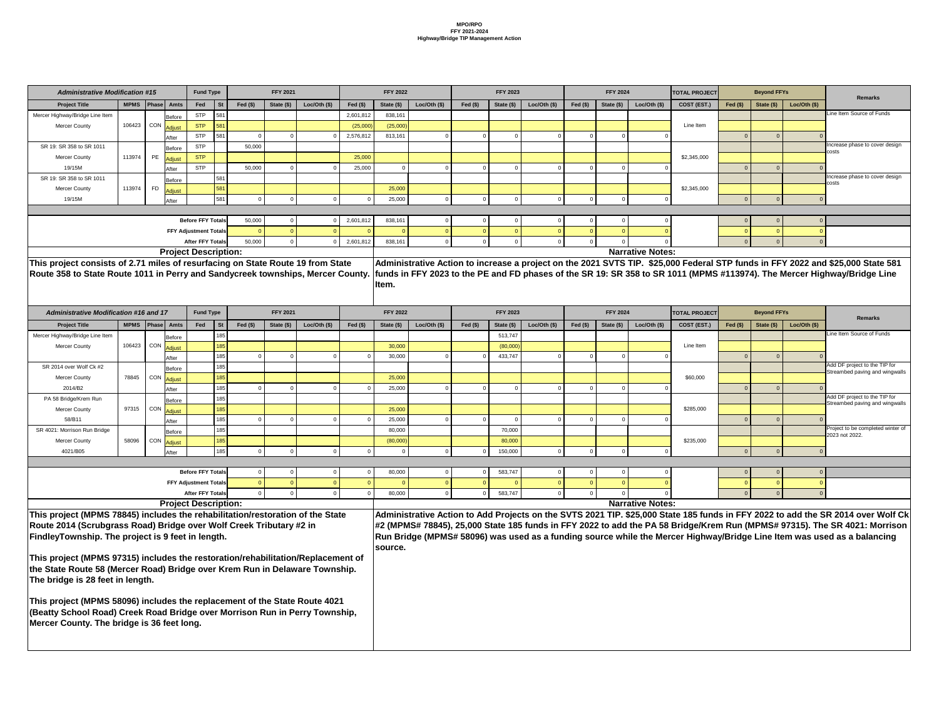|                 | <b>Fund Type</b>             |           |           | <b>FFY 2021</b> |                                                |           | <b>FFY 2022</b> |              |           | <b>FFY 2023</b> |               |                | <b>FFY 2024</b> |                         | <b>TOTAL PROJECT</b> |           | <b>Beyond FFYs</b> |               |                                                                                                                                 |
|-----------------|------------------------------|-----------|-----------|-----------------|------------------------------------------------|-----------|-----------------|--------------|-----------|-----------------|---------------|----------------|-----------------|-------------------------|----------------------|-----------|--------------------|---------------|---------------------------------------------------------------------------------------------------------------------------------|
| Amts            | Fed                          | <b>St</b> | Fed $($)$ | State (\$)      | Loc/Oh (\$)                                    | Fed $(s)$ | State (\$)      | Loc/Oth (\$) | Fed $($)$ | State (\$)      | Loc/Oth (\$)  | Fed $($)$      | State (\$)      | Loc/Oth (\$)            | COST (EST.)          | Fed $($)$ | State (\$)         | Loc/Oh (\$)   | <b>Remarks</b>                                                                                                                  |
|                 | <b>STP</b>                   | 581       |           |                 |                                                | 2,601,812 | 838,161         |              |           |                 |               |                |                 |                         |                      |           |                    |               | Line Item Source of Funds                                                                                                       |
| Before          | <b>STP</b>                   | 581       |           |                 |                                                | (25,000)  | (25,000)        |              |           |                 |               |                |                 |                         | Line Item            |           |                    |               |                                                                                                                                 |
| Adjust          | <b>STP</b>                   | 581       | 0         | 0               |                                                | 2,576,812 | 813,161         |              |           |                 |               | $\overline{0}$ |                 |                         |                      |           | $\Omega$           |               |                                                                                                                                 |
| After           | <b>STP</b>                   |           | 50,000    |                 |                                                |           |                 |              |           |                 |               |                |                 |                         |                      |           |                    |               | Increase phase to cover design                                                                                                  |
| Before          | <b>STP</b>                   |           |           |                 |                                                | 25,000    |                 |              |           |                 |               |                |                 |                         | \$2,345,000          |           |                    |               | costs                                                                                                                           |
| Adjust          | <b>STP</b>                   |           | 50,000    |                 |                                                | 25,000    |                 |              |           |                 |               | - 0            |                 |                         |                      |           |                    |               |                                                                                                                                 |
| After           |                              | 581       |           |                 |                                                |           |                 |              |           |                 |               |                |                 |                         |                      |           |                    |               | Increase phase to cover design                                                                                                  |
| Before          |                              | 581       |           |                 |                                                |           | 25,000          |              |           |                 |               |                |                 |                         | \$2,345,000          |           |                    |               | costs                                                                                                                           |
| Adjust          |                              | 581       |           |                 |                                                |           | 25,000          |              |           |                 |               | $\Omega$       |                 |                         |                      |           |                    |               |                                                                                                                                 |
| After           |                              |           |           |                 |                                                |           |                 |              |           |                 |               |                |                 |                         |                      |           |                    |               |                                                                                                                                 |
|                 | <b>Before FFY Totals</b>     |           | 50,000    | 0               |                                                | 2,601,812 | 838,161         |              |           |                 |               | - 0            |                 |                         |                      |           |                    |               |                                                                                                                                 |
|                 | <b>FFY Adjustment Totals</b> |           |           | $\Omega$        |                                                |           |                 |              |           |                 |               | $\overline{0}$ |                 |                         |                      |           |                    |               |                                                                                                                                 |
|                 | <b>After FFY Totals</b>      |           | 50,000    | $\Omega$        |                                                | 2,601,812 | 838,161         | $\Omega$     |           |                 |               | - 0            |                 |                         |                      |           | $\Omega$           |               |                                                                                                                                 |
|                 | roject Description:          |           |           |                 |                                                |           |                 |              |           |                 |               |                |                 | <b>Narrative Notes:</b> |                      |           |                    |               |                                                                                                                                 |
|                 |                              |           |           |                 | s of resurfacing on State Route 19 from State  |           |                 |              |           |                 |               |                |                 |                         |                      |           |                    |               | Administrative Action to increase a project on the 2021 SVTS TIP. \$25,000 Federal STP funds in FFY 2022 and \$25,000 State 581 |
|                 |                              |           |           |                 | Perry and Sandycreek townships, Mercer County. |           |                 |              |           |                 |               |                |                 |                         |                      |           |                    |               | funds in FFY 2023 to the PE and FD phases of the SR 19: SR 358 to SR 1011 (MPMS #113974). The Mercer Highway/Bridge Line        |
|                 |                              |           |           |                 |                                                |           |                 |              |           |                 |               |                |                 |                         |                      |           |                    |               |                                                                                                                                 |
|                 |                              |           |           |                 |                                                |           |                 |              |           |                 |               |                |                 |                         |                      |           |                    |               |                                                                                                                                 |
|                 |                              |           |           |                 |                                                |           | Item.           |              |           |                 |               |                |                 |                         |                      |           |                    |               |                                                                                                                                 |
|                 |                              |           |           |                 |                                                |           |                 |              |           |                 |               |                |                 |                         |                      |           |                    |               |                                                                                                                                 |
|                 | <b>Fund Type</b>             |           |           | <b>FFY 2021</b> |                                                |           | <b>FFY 2022</b> |              |           | <b>FFY 2023</b> |               |                | <b>FFY 2024</b> |                         | <b>TOTAL PROJECT</b> |           | <b>Beyond FFYs</b> |               |                                                                                                                                 |
| Amts            | Fed                          | <b>St</b> | Fed $($)$ | State (\$)      | Loc/Oh (\$)                                    | Fed $($)$ | State (\$)      | Loc/Oth (\$) | Fed $($)$ | State (\$)      | Loc/Oth $($)$ | Fed $($)$      | State $($       | Loc/Oth $(\$)$          | COST (EST.)          | Fed $(§)$ | State (\$)         | Loc/Oth $($)$ | <b>Remarks</b>                                                                                                                  |
|                 |                              | 185       |           |                 |                                                |           |                 |              |           | 513,747         |               |                |                 |                         |                      |           |                    |               | Line Item Source of Funds                                                                                                       |
| Before          |                              | 185       |           |                 |                                                |           | 30,000          |              |           | (80,000)        |               |                |                 |                         | Line Item            |           |                    |               |                                                                                                                                 |
| Adjust          |                              | 185       |           | 0               |                                                | 0         | 30,000          |              |           | 433,747         |               | - 0            |                 |                         |                      |           | $\Omega$           |               |                                                                                                                                 |
| After           |                              | 185       |           |                 |                                                |           |                 |              |           |                 |               |                |                 |                         |                      |           |                    |               | Add DF project to the TIP for                                                                                                   |
| Before          |                              | 185       |           |                 |                                                |           | 25,000          |              |           |                 |               |                |                 |                         | \$60,000             |           |                    |               | Streambed paving and wingwalls                                                                                                  |
| Adjust          |                              | 185       | $\Omega$  | $\overline{0}$  |                                                | $\Omega$  | 25,000          | $\Omega$     |           | $\Omega$        |               | $\overline{0}$ |                 |                         |                      |           | $\overline{0}$     |               |                                                                                                                                 |
| After           |                              | 185       |           |                 |                                                |           |                 |              |           |                 |               |                |                 |                         |                      |           |                    |               | Add DF project to the TIP for                                                                                                   |
| Before          |                              | 185       |           |                 |                                                |           | 25,000          |              |           |                 |               |                |                 |                         | \$285,000            |           |                    |               | Streambed paving and wingwalls                                                                                                  |
|                 |                              | 185       | $\Omega$  | $\Omega$        |                                                | $\Omega$  | 25,000          |              |           | $\Omega$        |               | - 0            |                 |                         |                      |           | $\Omega$           |               |                                                                                                                                 |
| Adjust<br>After |                              | 185       |           |                 |                                                |           | 80,000          |              |           | 70,000          |               |                |                 |                         |                      |           |                    |               | Project to be completed winter of                                                                                               |
| Before          |                              | 185       |           |                 |                                                |           | (80,000)        |              |           | 80,000          |               |                |                 |                         | \$235,000            |           |                    |               | 2023 not 2022.                                                                                                                  |
| Adjust          |                              | 185       | $\Omega$  | $\mathbf 0$     |                                                | $\Omega$  |                 |              |           | 150,000         |               | $\overline{0}$ |                 |                         |                      |           | $\Omega$           |               |                                                                                                                                 |
|                 |                              |           |           |                 |                                                |           |                 |              |           |                 |               |                |                 |                         |                      |           |                    |               |                                                                                                                                 |
| After           | <b>Before FFY Totals</b>     |           | $\Omega$  | 0               |                                                | 0         | 80,000          | 0            |           | 583,747         |               | $\overline{0}$ |                 |                         |                      | -0        |                    | 0             |                                                                                                                                 |
|                 | <b>FFY Adjustment Totals</b> |           |           | $\Omega$        |                                                |           |                 |              |           |                 |               | $\overline{0}$ |                 |                         |                      |           |                    |               |                                                                                                                                 |
|                 | <b>After FFY Totals</b>      |           | $\Omega$  | $\mathbf 0$     |                                                |           | 80,000          | $\Omega$     |           | 583,747         |               | $\overline{0}$ |                 |                         |                      |           | $\Omega$           | $\Omega$      |                                                                                                                                 |

| <b>Administrative Modification #15</b>                                            |             |           |                     | <b>Fund Type</b>             |           |           | <b>FFY 2021</b> |                |           | <b>FFY 2022</b> |                |           | <b>FFY 2023</b> |              |            | <b>FFY 2024</b> |                         | <b>TOTAL PROJECT</b>                                                                                           |           | <b>Beyond FFYs</b> |                |
|-----------------------------------------------------------------------------------|-------------|-----------|---------------------|------------------------------|-----------|-----------|-----------------|----------------|-----------|-----------------|----------------|-----------|-----------------|--------------|------------|-----------------|-------------------------|----------------------------------------------------------------------------------------------------------------|-----------|--------------------|----------------|
| <b>Project Title</b>                                                              | <b>MPMS</b> | Phase     | <b>Amts</b>         | Fed                          | <b>St</b> | Fed $(s)$ | State (\$)      | Loc/Oth $(\$)$ | Fed $($)$ | State (\$)      | Loc/Oh (\$)    | Fed $($)$ | State (\$)      | Loc/Oth (\$) | Fed $(\$)$ | State (\$)      | Loc/Oth $($)$           | COST (EST.)                                                                                                    | Fed $(s)$ | State (\$)         | Loc/Oh (\$)    |
| Mercer Highway/Bridge Line Item                                                   |             |           | Before              | <b>STP</b>                   | 581       |           |                 |                | 2,601,812 | 838,161         |                |           |                 |              |            |                 |                         |                                                                                                                |           |                    |                |
| <b>Mercer County</b>                                                              | 106423      |           | CON Adjust          | <b>STP</b>                   | 581       |           |                 |                | (25,000)  | (25,000)        |                |           |                 |              |            |                 |                         | Line Item                                                                                                      |           |                    |                |
|                                                                                   |             |           | After               | <b>STP</b>                   | 581       |           |                 |                | 2,576,812 | 813,161         |                |           |                 |              |            |                 |                         |                                                                                                                | $\Omega$  |                    |                |
| SR 19: SR 358 to SR 1011                                                          |             |           | Before              | <b>STP</b>                   |           | 50,000    |                 |                |           |                 |                |           |                 |              |            |                 |                         |                                                                                                                |           |                    |                |
| <b>Mercer County</b>                                                              | 113974      | PE        | Adjust              | <b>STP</b>                   |           |           |                 |                | 25,000    |                 |                |           |                 |              |            |                 |                         | \$2,345,000                                                                                                    |           |                    |                |
| 19/15M                                                                            |             |           | After               | <b>STP</b>                   |           | 50,000    |                 |                | 25,000    |                 |                |           | $\Omega$        |              |            |                 |                         |                                                                                                                | $\Omega$  |                    |                |
| SR 19: SR 358 to SR 1011                                                          |             |           | <b>Before</b>       |                              | 581       |           |                 |                |           |                 |                |           |                 |              |            |                 |                         |                                                                                                                |           |                    |                |
| <b>Mercer County</b>                                                              | 113974      | <b>FD</b> | Adjust              |                              | 581       |           |                 |                |           | 25,000          |                |           |                 |              |            |                 |                         | \$2,345,000                                                                                                    |           |                    |                |
| 19/15M                                                                            |             |           | After               |                              | 581       |           |                 |                |           | 25,000          |                |           |                 |              |            |                 |                         |                                                                                                                |           |                    |                |
|                                                                                   |             |           |                     |                              |           |           |                 |                |           |                 |                |           |                 |              |            |                 |                         |                                                                                                                |           |                    |                |
|                                                                                   |             |           |                     | <b>Before FFY Totals</b>     |           | 50,000    |                 |                | 2,601,812 | 838,161         |                |           | 0               |              |            |                 |                         |                                                                                                                | 0         |                    |                |
|                                                                                   |             |           |                     | <b>FFY Adjustment Totals</b> |           |           |                 |                |           |                 |                |           |                 |              |            |                 |                         |                                                                                                                |           |                    |                |
|                                                                                   |             |           |                     | <b>After FFY Totals</b>      |           | 50,000    |                 |                | 2,601,812 | 838,161         |                |           | $\Omega$        |              |            |                 |                         |                                                                                                                |           |                    |                |
|                                                                                   |             |           |                     | <b>Project Description:</b>  |           |           |                 |                |           |                 |                |           |                 |              |            |                 | <b>Narrative Notes:</b> |                                                                                                                |           |                    |                |
| This project consists of 2.71 miles of resurfacing on State Route 19 from State   |             |           |                     |                              |           |           |                 |                |           |                 |                |           |                 |              |            |                 |                         | Administrative Action to increase a project on the 2021 SVTS TIP. \$25,000 Federal STP funds in FFY 2022 an    |           |                    |                |
| Route 358 to State Route 1011 in Perry and Sandycreek townships, Mercer County.   |             |           |                     |                              |           |           |                 |                |           |                 |                |           |                 |              |            |                 |                         | funds in FFY 2023 to the PE and FD phases of the SR 19: SR 358 to SR 1011 (MPMS #113974). The Mercer Hig       |           |                    |                |
|                                                                                   |             |           |                     |                              |           |           |                 |                |           | Item.           |                |           |                 |              |            |                 |                         |                                                                                                                |           |                    |                |
|                                                                                   |             |           |                     |                              |           |           |                 |                |           |                 |                |           |                 |              |            |                 |                         |                                                                                                                |           |                    |                |
| <b>Administrative Modification #16 and 17</b>                                     |             |           |                     | <b>Fund Type</b>             |           |           | <b>FFY 2021</b> |                |           | <b>FFY 2022</b> |                |           | <b>FFY 2023</b> |              |            | <b>FFY 2024</b> |                         | <b>TOTAL PROJECT</b>                                                                                           |           | <b>Beyond FFYs</b> |                |
| <b>Project Title</b>                                                              |             |           | MPMS   Phase   Amts | Fed                          | <b>St</b> | Fed $(s)$ | State (\$)      | Loc/Oh (\$)    | Fed $($)$ | State (\$)      | Loc/Oth $(\$)$ | Fed $(§)$ | State (\$)      | Loc/Oh (\$)  | Fed $($)$  | State (\$)      | Loc/Oth $($)$           | COST (EST.)                                                                                                    | Fed $(§)$ | State $($)$        | Loc/Oth $(\$)$ |
| Mercer Highway/Bridge Line Item                                                   |             |           | Before              |                              | 185       |           |                 |                |           |                 |                |           | 513,747         |              |            |                 |                         |                                                                                                                |           |                    |                |
| <b>Mercer County</b>                                                              | 106423      |           | CON Adjust          |                              | 185       |           |                 |                |           | 30,000          |                |           | (80,000)        |              |            |                 |                         | Line Item                                                                                                      |           |                    |                |
|                                                                                   |             |           | After               |                              | 185       |           |                 |                |           | 30,000          |                |           | 433,747         |              |            |                 |                         |                                                                                                                |           |                    |                |
| SR 2014 over Wolf Ck #2                                                           |             |           | Before              |                              | 185       |           |                 |                |           |                 |                |           |                 |              |            |                 |                         |                                                                                                                |           |                    |                |
| <b>Mercer County</b>                                                              | 78845       |           | I CON Adjust        |                              | 185       |           |                 |                |           | 25,000          |                |           |                 |              |            |                 |                         | \$60,000                                                                                                       |           |                    |                |
| 2014/B2                                                                           |             |           | After               |                              | 185       |           |                 |                |           | 25,000          |                |           |                 |              |            |                 |                         |                                                                                                                |           |                    |                |
| PA 58 Bridge/Krem Run                                                             |             |           | Before              |                              | 185       |           |                 |                |           |                 |                |           |                 |              |            |                 |                         |                                                                                                                |           |                    |                |
| <b>Mercer County</b>                                                              | 97315       |           | CON Adjust          |                              | 185       |           |                 |                |           | 25,000          |                |           |                 |              |            |                 |                         | \$285,000                                                                                                      |           |                    |                |
| 58/B11                                                                            |             |           | After               |                              | 185       |           |                 |                |           | 25,000          |                |           |                 |              |            |                 |                         |                                                                                                                |           |                    |                |
| SR 4021: Morrison Run Bridge                                                      |             |           | Before              |                              | 185       |           |                 |                |           | 80,000          |                |           | 70,000          |              |            |                 |                         |                                                                                                                |           |                    |                |
| <b>Mercer County</b>                                                              | 58096       |           | CON Adjust          |                              | 185       |           |                 |                |           | (80,000)        |                |           | 80,000          |              |            |                 |                         | \$235,000                                                                                                      |           |                    |                |
| 4021/B05                                                                          |             |           | After               |                              | 185       |           |                 |                |           |                 |                |           | 150,000         |              |            |                 |                         |                                                                                                                |           |                    |                |
|                                                                                   |             |           |                     |                              |           |           |                 |                |           |                 |                |           |                 |              |            |                 |                         |                                                                                                                |           |                    |                |
|                                                                                   |             |           |                     | <b>Before FFY Totals</b>     |           |           |                 |                |           | 80,000          |                |           | 583,747         |              |            |                 |                         |                                                                                                                |           |                    |                |
|                                                                                   |             |           |                     | <b>FFY Adjustment Totals</b> |           |           |                 |                |           |                 |                |           |                 |              |            |                 |                         |                                                                                                                |           |                    |                |
|                                                                                   |             |           |                     | <b>After FFY Totals</b>      |           |           |                 |                |           | 80,000          |                |           | 583,747         |              |            |                 |                         |                                                                                                                |           |                    |                |
|                                                                                   |             |           |                     | <b>Project Description:</b>  |           |           |                 |                |           |                 |                |           |                 |              |            |                 | <b>Narrative Notes:</b> |                                                                                                                |           |                    |                |
| This project (MPMS 78845) includes the rehabilitation/restoration of the State    |             |           |                     |                              |           |           |                 |                |           |                 |                |           |                 |              |            |                 |                         | Administrative Action to Add Projects on the SVTS 2021 TIP. \$25,000 State 185 funds in FFY 2022 to add the \, |           |                    |                |
| Route 2014 (Scrubgrass Road) Bridge over Wolf Creek Tributary #2 in               |             |           |                     |                              |           |           |                 |                |           |                 |                |           |                 |              |            |                 |                         | #2 (MPMS# 78845), 25,000 State 185 funds in FFY 2022 to add the PA 58 Bridge/Krem Run (MPMS# 97315). Th        |           |                    |                |
| <b>FindleyTownship. The project is 9 feet in length.</b>                          |             |           |                     |                              |           |           |                 |                |           |                 |                |           |                 |              |            |                 |                         | Run Bridge (MPMS# 58096) was used as a funding source while the Mercer Highway/Bridge Line Item was us         |           |                    |                |
|                                                                                   |             |           |                     |                              |           |           |                 |                |           | source.         |                |           |                 |              |            |                 |                         |                                                                                                                |           |                    |                |
| This project (MPMS 97315) includes the restoration/rehabilitation/Replacement of  |             |           |                     |                              |           |           |                 |                |           |                 |                |           |                 |              |            |                 |                         |                                                                                                                |           |                    |                |
| the State Route 58 (Mercer Road) Bridge over Krem Run in Delaware Township.       |             |           |                     |                              |           |           |                 |                |           |                 |                |           |                 |              |            |                 |                         |                                                                                                                |           |                    |                |
| The bridge is 28 feet in length.                                                  |             |           |                     |                              |           |           |                 |                |           |                 |                |           |                 |              |            |                 |                         |                                                                                                                |           |                    |                |
|                                                                                   |             |           |                     |                              |           |           |                 |                |           |                 |                |           |                 |              |            |                 |                         |                                                                                                                |           |                    |                |
| <b>This project (MPMS 58096) includes the replacement of the State Route 4021</b> |             |           |                     |                              |           |           |                 |                |           |                 |                |           |                 |              |            |                 |                         |                                                                                                                |           |                    |                |
| (Beatty School Road) Creek Road Bridge over Morrison Run in Perry Township,       |             |           |                     |                              |           |           |                 |                |           |                 |                |           |                 |              |            |                 |                         |                                                                                                                |           |                    |                |
| Mercer County. The bridge is 36 feet long.                                        |             |           |                     |                              |           |           |                 |                |           |                 |                |           |                 |              |            |                 |                         |                                                                                                                |           |                    |                |
|                                                                                   |             |           |                     |                              |           |           |                 |                |           |                 |                |           |                 |              |            |                 |                         |                                                                                                                |           |                    |                |
|                                                                                   |             |           |                     |                              |           |           |                 |                |           |                 |                |           |                 |              |            |                 |                         |                                                                                                                |           |                    |                |
|                                                                                   |             |           |                     |                              |           |           |                 |                |           |                 |                |           |                 |              |            |                 |                         |                                                                                                                |           |                    |                |

**Administrative Action to Add Projects on the SVTS 2021 TIP. \$25,000 State 185 funds in FFY 2022 to add the SR 2014 over Wolf Ck #2 (MPMS# 78845), 25,000 State 185 funds in FFY 2022 to add the PA 58 Bridge/Krem Run (MPMS# 97315). The SR 4021: Morrison Run Bridge (MPMS# 58096) was used as a funding source while the Mercer Highway/Bridge Line Item was used as a balancing**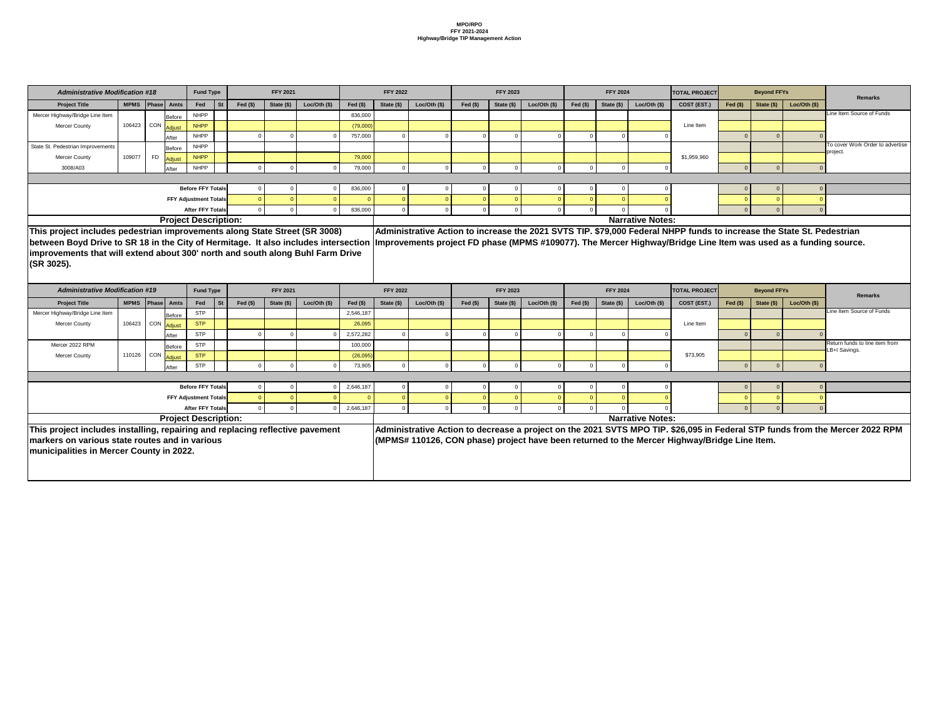| <b>Administrative Modification #18</b>                                              |        |                             | <b>Fund Type</b>             |                 |            | <b>FFY 2021</b> |                |            | <b>FFY 2022</b> |                |           | <b>FFY 2023</b> |                |            | <b>FFY 2024</b> |                         | <b>TOTAL PROJECT</b>                                                                                                  |              | <b>Beyond FFYs</b> |             |                                                                                                                              |
|-------------------------------------------------------------------------------------|--------|-----------------------------|------------------------------|-----------------|------------|-----------------|----------------|------------|-----------------|----------------|-----------|-----------------|----------------|------------|-----------------|-------------------------|-----------------------------------------------------------------------------------------------------------------------|--------------|--------------------|-------------|------------------------------------------------------------------------------------------------------------------------------|
| <b>Project Title</b>                                                                |        | MPMS   Phase   Amts         | Fed                          | <b>St</b>       | Fed $(\$)$ | State (\$)      | Loc/Oth (\$)   | Fed $(\$)$ | State (\$)      | Loc/Oth $(\$)$ | Fed $($)$ | State $(\$)$    | Loc/Oth $(\$)$ | Fed $(\$)$ | State (\$)      | Loc/Oth (\$)            | COST (EST.)                                                                                                           | $Fed$ $(\$)$ | State (\$)         | Loc/Oh (\$) | <b>Remarks</b>                                                                                                               |
| Mercer Highway/Bridge Line Item                                                     |        | Before                      | <b>NHPP</b>                  |                 |            |                 |                | 836,000    |                 |                |           |                 |                |            |                 |                         |                                                                                                                       |              |                    |             | Line Item Source of Funds                                                                                                    |
| <b>Mercer County</b>                                                                |        | 106423 CON Adjust           | <b>NHPP</b>                  |                 |            |                 |                | (79,000)   |                 |                |           |                 |                |            |                 |                         | Line Item                                                                                                             |              |                    |             |                                                                                                                              |
|                                                                                     |        | After                       | <b>NHPP</b>                  |                 |            |                 |                | 757,000    |                 |                |           |                 |                |            |                 |                         |                                                                                                                       |              |                    |             |                                                                                                                              |
| State St. Pedestrian Improvements                                                   |        | Before                      | <b>NHPP</b>                  |                 |            |                 |                |            |                 |                |           |                 |                |            |                 |                         |                                                                                                                       |              |                    |             | To cover Work Order to advertise                                                                                             |
| <b>Mercer County</b>                                                                | 109077 | <b>FD</b><br>Adjust         | <b>NHPP</b>                  |                 |            |                 |                | 79,000     |                 |                |           |                 |                |            |                 |                         | \$1,959,960                                                                                                           |              |                    |             | project.                                                                                                                     |
| 3008/A03                                                                            |        | After                       | <b>NHPP</b>                  |                 |            |                 |                | 79,000     |                 |                |           |                 |                |            |                 |                         |                                                                                                                       |              |                    |             |                                                                                                                              |
|                                                                                     |        |                             |                              |                 |            |                 |                |            |                 |                |           |                 |                |            |                 |                         |                                                                                                                       |              |                    |             |                                                                                                                              |
|                                                                                     |        |                             | <b>Before FFY Totals</b>     |                 |            |                 |                | 836,000    |                 |                |           |                 |                |            |                 |                         |                                                                                                                       |              |                    |             |                                                                                                                              |
|                                                                                     |        |                             | <b>FFY Adjustment Totals</b> |                 |            |                 |                |            |                 |                |           |                 |                |            |                 |                         |                                                                                                                       |              |                    |             |                                                                                                                              |
|                                                                                     |        |                             | <b>After FFY Totals</b>      |                 |            |                 |                | 836,000    |                 |                |           |                 |                |            |                 |                         |                                                                                                                       |              |                    |             |                                                                                                                              |
|                                                                                     |        | <b>Project Description:</b> |                              |                 |            |                 |                |            |                 |                |           |                 |                |            |                 | <b>Narrative Notes:</b> |                                                                                                                       |              |                    |             |                                                                                                                              |
| This project includes pedestrian improvements along State Street (SR 3008)          |        |                             |                              |                 |            |                 |                |            |                 |                |           |                 |                |            |                 |                         | Administrative Action to increase the 2021 SVTS TIP. \$79,000 Federal NHPP funds to increase the State St. Pedestrian |              |                    |             |                                                                                                                              |
| between Boyd Drive to SR 18 in the City of Hermitage. It also includes intersection |        |                             |                              |                 |            |                 |                |            |                 |                |           |                 |                |            |                 |                         | Improvements project FD phase (MPMS #109077). The Mercer Highway/Bridge Line Item was used as a funding source.       |              |                    |             |                                                                                                                              |
| improvements that will extend about 300' north and south along Buhl Farm Drive      |        |                             |                              |                 |            |                 |                |            |                 |                |           |                 |                |            |                 |                         |                                                                                                                       |              |                    |             |                                                                                                                              |
|                                                                                     |        |                             |                              |                 |            |                 |                |            |                 |                |           |                 |                |            |                 |                         |                                                                                                                       |              |                    |             |                                                                                                                              |
|                                                                                     |        |                             |                              |                 |            |                 |                |            |                 |                |           |                 |                |            |                 |                         |                                                                                                                       |              |                    |             |                                                                                                                              |
| (SR 3025).                                                                          |        |                             |                              |                 |            |                 |                |            |                 |                |           |                 |                |            |                 |                         |                                                                                                                       |              |                    |             |                                                                                                                              |
|                                                                                     |        |                             |                              |                 |            |                 |                |            |                 |                |           |                 |                |            |                 |                         |                                                                                                                       |              |                    |             |                                                                                                                              |
| <b>Administrative Modification #19</b>                                              |        |                             | <b>Fund Type</b>             |                 |            | <b>FFY 2021</b> |                |            | <b>FFY 2022</b> |                |           | <b>FFY 2023</b> |                |            | <b>FFY 2024</b> |                         | <b>TOTAL PROJECT</b>                                                                                                  |              | <b>Beyond FFYs</b> |             | <b>Remarks</b>                                                                                                               |
| <b>Project Title</b>                                                                |        | MPMS   Phase   Amts         | Fed                          | St <sup>-</sup> | Fed $($)$  | State (\$)      | Loc/Oth $(\$)$ | Fed $(\$)$ | State (\$)      | Loc/Oth $(\$)$ | Fed $($)$ | State (\$)      | $Loc/Oh (\$)$  | Fed $($)$  | State (\$)      | Loc/Oth (\$)            | COST (EST.)                                                                                                           | Fed $($)$    | State (\$)         | Loc/Oh (\$) |                                                                                                                              |
| Mercer Highway/Bridge Line Item                                                     |        | <b>Before</b>               | <b>STP</b>                   |                 |            |                 |                | 2,546,187  |                 |                |           |                 |                |            |                 |                         |                                                                                                                       |              |                    |             | Line Item Source of Funds                                                                                                    |
| Mercer County                                                                       |        | 106423 CON Adjust           | <b>STP</b>                   |                 |            |                 |                | 26,095     |                 |                |           |                 |                |            |                 |                         | Line Item                                                                                                             |              |                    |             |                                                                                                                              |
|                                                                                     |        | After                       | <b>STP</b>                   |                 |            |                 |                | 2,572,282  |                 |                |           |                 |                |            |                 |                         |                                                                                                                       |              |                    |             |                                                                                                                              |
| Mercer 2022 RPM                                                                     |        | Before                      | <b>STP</b>                   |                 |            |                 |                | 100,000    |                 |                |           |                 |                |            |                 |                         |                                                                                                                       |              |                    |             | Return funds to line item from                                                                                               |
| <b>Mercer County</b>                                                                |        | 110126 CON Adjust           | <b>STP</b>                   |                 |            |                 |                | (26,095)   |                 |                |           |                 |                |            |                 |                         | \$73,905                                                                                                              |              |                    |             | LB+I Savings.                                                                                                                |
|                                                                                     |        | After                       | <b>STP</b>                   |                 |            |                 |                | 73,905     |                 |                |           |                 |                |            |                 |                         |                                                                                                                       |              | $\Omega$           |             |                                                                                                                              |
|                                                                                     |        |                             |                              |                 |            |                 |                |            |                 |                |           |                 |                |            |                 |                         |                                                                                                                       |              |                    |             |                                                                                                                              |
|                                                                                     |        |                             | <b>Before FFY Totals</b>     |                 |            |                 |                | 2,646,187  |                 |                |           |                 |                |            |                 |                         |                                                                                                                       |              |                    |             |                                                                                                                              |
|                                                                                     |        |                             | <b>FFY Adjustment Totals</b> |                 |            |                 |                |            |                 |                |           |                 |                |            |                 |                         |                                                                                                                       |              |                    |             |                                                                                                                              |
|                                                                                     |        |                             | <b>After FFY Totals</b>      |                 |            |                 |                | 2,646,187  |                 |                |           |                 |                |            |                 |                         |                                                                                                                       |              |                    |             |                                                                                                                              |
|                                                                                     |        | <b>Project Description:</b> |                              |                 |            |                 |                |            |                 |                |           |                 |                |            |                 | <b>Narrative Notes:</b> |                                                                                                                       |              |                    |             |                                                                                                                              |
|                                                                                     |        |                             |                              |                 |            |                 |                |            |                 |                |           |                 |                |            |                 |                         |                                                                                                                       |              |                    |             |                                                                                                                              |
| This project includes installing, repairing and replacing reflective pavement       |        |                             |                              |                 |            |                 |                |            |                 |                |           |                 |                |            |                 |                         |                                                                                                                       |              |                    |             | Administrative Action to decrease a project on the 2021 SVTS MPO TIP. \$26,095 in Federal STP funds from the Mercer 2022 RPM |
| markers on various state routes and in various                                      |        |                             |                              |                 |            |                 |                |            |                 |                |           |                 |                |            |                 |                         | (MPMS# 110126, CON phase) project have been returned to the Mercer Highway/Bridge Line Item.                          |              |                    |             |                                                                                                                              |
| <b>Imunicipalities in Mercer County in 2022.</b>                                    |        |                             |                              |                 |            |                 |                |            |                 |                |           |                 |                |            |                 |                         |                                                                                                                       |              |                    |             |                                                                                                                              |
|                                                                                     |        |                             |                              |                 |            |                 |                |            |                 |                |           |                 |                |            |                 |                         |                                                                                                                       |              |                    |             |                                                                                                                              |